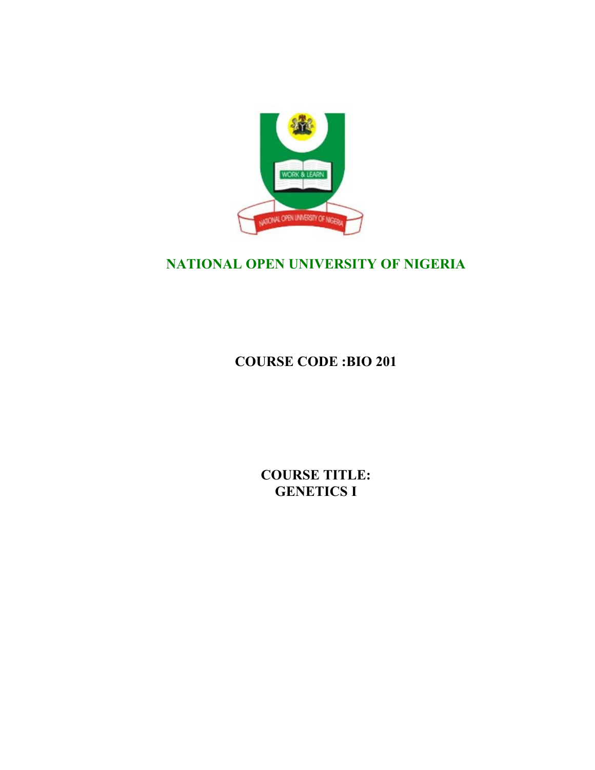

# **NATIONAL OPEN UNIVERSITY OF NIGERIA**

# **COURSE CODE :BIO 201**

**COURSE TITLE: GENETICS I**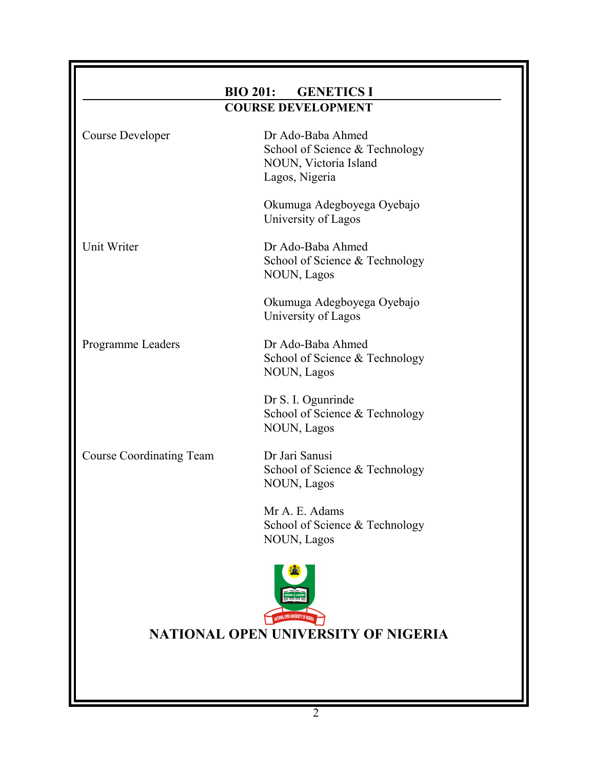| <b>BIO 201: GENETICS I</b><br><b>COURSE DEVELOPMENT</b> |                                                                                                |  |  |  |
|---------------------------------------------------------|------------------------------------------------------------------------------------------------|--|--|--|
| Course Developer                                        | Dr Ado-Baba Ahmed<br>School of Science & Technology<br>NOUN, Victoria Island<br>Lagos, Nigeria |  |  |  |
|                                                         | Okumuga Adegboyega Oyebajo<br>University of Lagos                                              |  |  |  |
| Unit Writer                                             | Dr Ado-Baba Ahmed<br>School of Science & Technology<br>NOUN, Lagos                             |  |  |  |
|                                                         | Okumuga Adegboyega Oyebajo<br>University of Lagos                                              |  |  |  |
| Programme Leaders                                       | Dr Ado-Baba Ahmed<br>School of Science & Technology<br>NOUN, Lagos                             |  |  |  |
|                                                         | Dr S. I. Ogunrinde<br>School of Science & Technology<br>NOUN, Lagos                            |  |  |  |
| <b>Course Coordinating Team</b>                         | Dr Jari Sanusi<br>School of Science & Technology<br>NOUN, Lagos                                |  |  |  |
|                                                         | Mr A. E. Adams<br>School of Science & Technology<br>NOUN, Lagos                                |  |  |  |
|                                                         |                                                                                                |  |  |  |
|                                                         | NATIONAL OPEN UNIVERSITY OF MIGERIA<br>NATIONAL OPEN UNIVERSITY OF NIGERIA                     |  |  |  |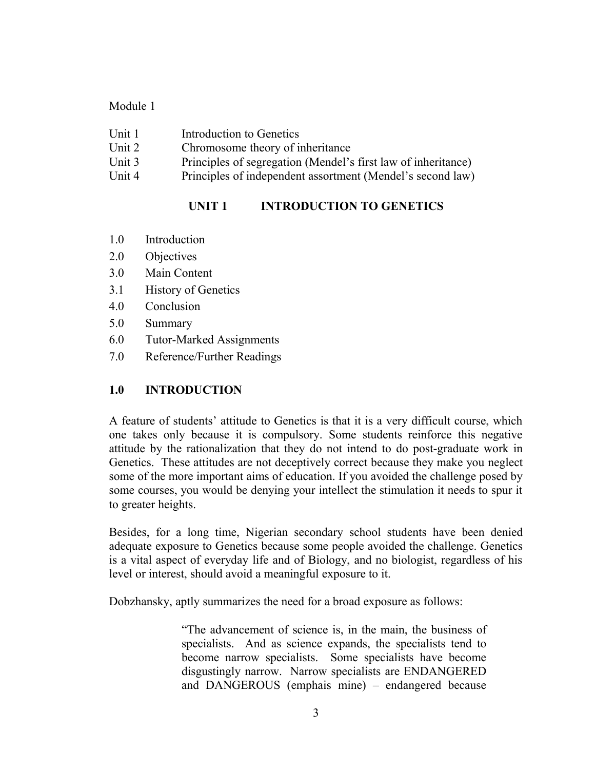### Module 1

| Principles of segregation (Mendel's first law of inheritance) |
|---------------------------------------------------------------|
| Principles of independent assortment (Mendel's second law)    |
|                                                               |

### **UNIT 1 INTRODUCTION TO GENETICS**

- 1.0 Introduction
- 2.0 Objectives
- 3.0 Main Content
- 3.1 History of Genetics
- 4.0 Conclusion
- 5.0 Summary
- 6.0 Tutor-Marked Assignments
- 7.0 Reference/Further Readings

## **1.0 INTRODUCTION**

A feature of students' attitude to Genetics is that it is a very difficult course, which one takes only because it is compulsory. Some students reinforce this negative attitude by the rationalization that they do not intend to do post-graduate work in Genetics. These attitudes are not deceptively correct because they make you neglect some of the more important aims of education. If you avoided the challenge posed by some courses, you would be denying your intellect the stimulation it needs to spur it to greater heights.

Besides, for a long time, Nigerian secondary school students have been denied adequate exposure to Genetics because some people avoided the challenge. Genetics is a vital aspect of everyday life and of Biology, and no biologist, regardless of his level or interest, should avoid a meaningful exposure to it.

Dobzhansky, aptly summarizes the need for a broad exposure as follows:

"The advancement of science is, in the main, the business of specialists. And as science expands, the specialists tend to become narrow specialists. Some specialists have become disgustingly narrow. Narrow specialists are ENDANGERED and DANGEROUS (emphais mine) – endangered because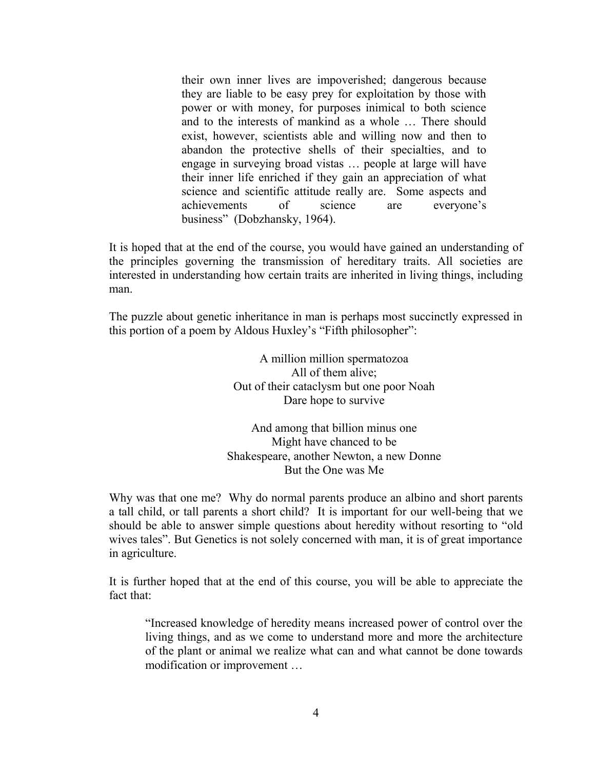their own inner lives are impoverished; dangerous because they are liable to be easy prey for exploitation by those with power or with money, for purposes inimical to both science and to the interests of mankind as a whole … There should exist, however, scientists able and willing now and then to abandon the protective shells of their specialties, and to engage in surveying broad vistas … people at large will have their inner life enriched if they gain an appreciation of what science and scientific attitude really are. Some aspects and achievements of science are everyone's business" (Dobzhansky, 1964).

It is hoped that at the end of the course, you would have gained an understanding of the principles governing the transmission of hereditary traits. All societies are interested in understanding how certain traits are inherited in living things, including man.

The puzzle about genetic inheritance in man is perhaps most succinctly expressed in this portion of a poem by Aldous Huxley's "Fifth philosopher":

> A million million spermatozoa All of them alive; Out of their cataclysm but one poor Noah Dare hope to survive

And among that billion minus one Might have chanced to be Shakespeare, another Newton, a new Donne But the One was Me

Why was that one me? Why do normal parents produce an albino and short parents a tall child, or tall parents a short child? It is important for our well-being that we should be able to answer simple questions about heredity without resorting to "old wives tales". But Genetics is not solely concerned with man, it is of great importance in agriculture.

It is further hoped that at the end of this course, you will be able to appreciate the fact that:

"Increased knowledge of heredity means increased power of control over the living things, and as we come to understand more and more the architecture of the plant or animal we realize what can and what cannot be done towards modification or improvement …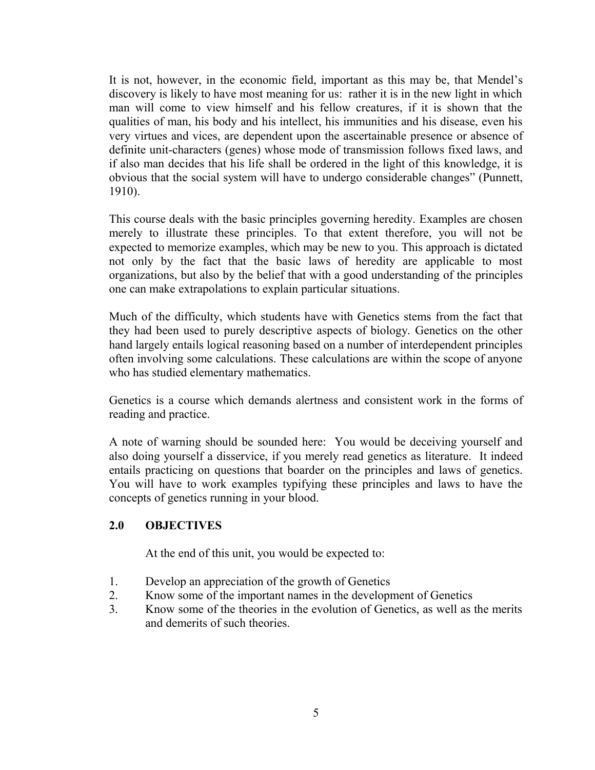It is not, however, in the economic field, important as this may be, that Mendel's discovery is likely to have most meaning for us: rather it is in the new light in which man will come to view himself and his fellow creatures, if it is shown that the qualities of man, his body and his intellect, his immunities and his disease, even his very virtues and vices, are dependent upon the ascertainable presence or absence of definite unit-characters (genes) whose mode of transmission follows fixed laws, and if also man decides that his life shall be ordered in the light of this knowledge, it is obvious that the social system will have to undergo considerable changes" (Punnett, 1910).

This course deals with the basic principles governing heredity. Examples are chosen merely to illustrate these principles. To that extent therefore, you will not be expected to memorize examples, which may be new to you. This approach is dictated not only by the fact that the basic laws of heredity are applicable to most organizations, but also by the belief that with a good understanding of the principles one can make extrapolations to explain particular situations.

Much of the difficulty, which students have with Genetics stems from the fact that they had been used to purely descriptive aspects of biology. Genetics on the other hand largely entails logical reasoning based on a number of interdependent principles often involving some calculations. These calculations are within the scope of anyone who has studied elementary mathematics.

Genetics is a course which demands alertness and consistent work in the forms of reading and practice.

A note of warning should be sounded here: You would be deceiving yourself and also doing yourself a disservice, if you merely read genetics as literature. It indeed entails practicing on questions that boarder on the principles and laws of genetics. You will have to work examples typifying these principles and laws to have the concepts of genetics running in your blood.

## **2.0 OBJECTIVES**

At the end of this unit, you would be expected to:

- 1. Develop an appreciation of the growth of Genetics
- 2. Know some of the important names in the development of Genetics
- 3. Know some of the theories in the evolution of Genetics, as well as the merits and demerits of such theories.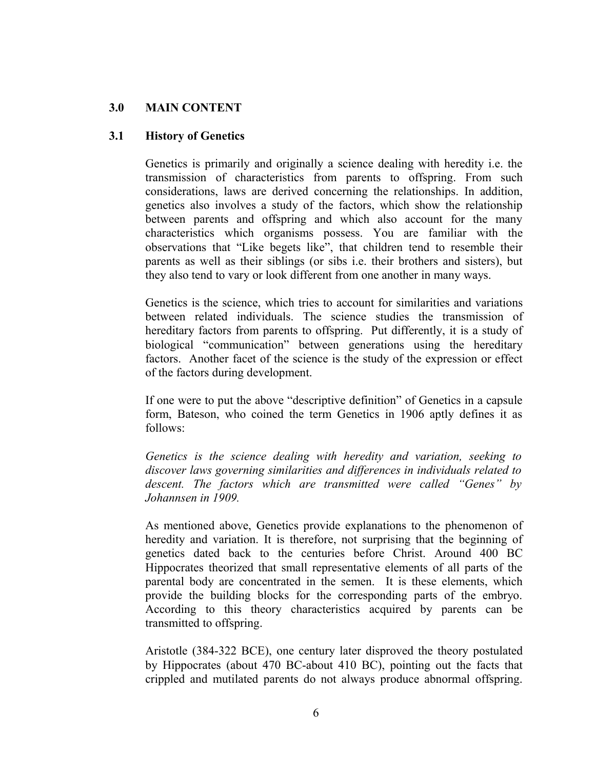# **3.0 MAIN CONTENT**

### **3.1 History of Genetics**

Genetics is primarily and originally a science dealing with heredity i.e. the transmission of characteristics from parents to offspring. From such considerations, laws are derived concerning the relationships. In addition, genetics also involves a study of the factors, which show the relationship between parents and offspring and which also account for the many characteristics which organisms possess. You are familiar with the observations that "Like begets like", that children tend to resemble their parents as well as their siblings (or sibs i.e. their brothers and sisters), but they also tend to vary or look different from one another in many ways.

Genetics is the science, which tries to account for similarities and variations between related individuals. The science studies the transmission of hereditary factors from parents to offspring. Put differently, it is a study of biological "communication" between generations using the hereditary factors. Another facet of the science is the study of the expression or effect of the factors during development.

If one were to put the above "descriptive definition" of Genetics in a capsule form, Bateson, who coined the term Genetics in 1906 aptly defines it as follows:

*Genetics is the science dealing with heredity and variation, seeking to discover laws governing similarities and differences in individuals related to descent. The factors which are transmitted were called "Genes" by Johannsen in 1909.*

As mentioned above, Genetics provide explanations to the phenomenon of heredity and variation. It is therefore, not surprising that the beginning of genetics dated back to the centuries before Christ. Around 400 BC Hippocrates theorized that small representative elements of all parts of the parental body are concentrated in the semen. It is these elements, which provide the building blocks for the corresponding parts of the embryo. According to this theory characteristics acquired by parents can be transmitted to offspring.

Aristotle (384-322 BCE), one century later disproved the theory postulated by Hippocrates (about 470 BC-about 410 BC), pointing out the facts that crippled and mutilated parents do not always produce abnormal offspring.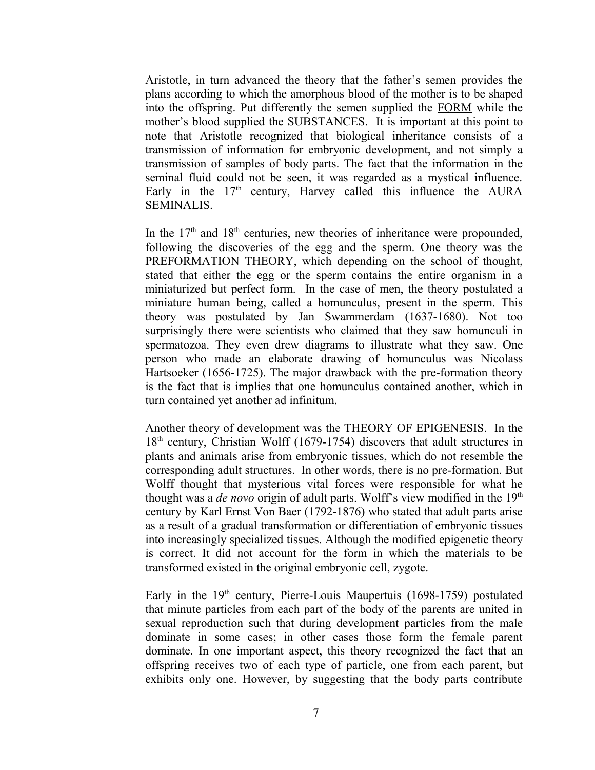Aristotle, in turn advanced the theory that the father's semen provides the plans according to which the amorphous blood of the mother is to be shaped into the offspring. Put differently the semen supplied the FORM while the mother's blood supplied the SUBSTANCES. It is important at this point to note that Aristotle recognized that biological inheritance consists of a transmission of information for embryonic development, and not simply a transmission of samples of body parts. The fact that the information in the seminal fluid could not be seen, it was regarded as a mystical influence. Early in the  $17<sup>th</sup>$  century, Harvey called this influence the AURA SEMINALIS.

In the  $17<sup>th</sup>$  and  $18<sup>th</sup>$  centuries, new theories of inheritance were propounded, following the discoveries of the egg and the sperm. One theory was the PREFORMATION THEORY, which depending on the school of thought, stated that either the egg or the sperm contains the entire organism in a miniaturized but perfect form. In the case of men, the theory postulated a miniature human being, called a homunculus, present in the sperm. This theory was postulated by Jan Swammerdam (1637-1680). Not too surprisingly there were scientists who claimed that they saw homunculi in spermatozoa. They even drew diagrams to illustrate what they saw. One person who made an elaborate drawing of homunculus was Nicolass Hartsoeker (1656-1725). The major drawback with the pre-formation theory is the fact that is implies that one homunculus contained another, which in turn contained yet another ad infinitum.

Another theory of development was the THEORY OF EPIGENESIS. In the  $18<sup>th</sup>$  century, Christian Wolff (1679-1754) discovers that adult structures in plants and animals arise from embryonic tissues, which do not resemble the corresponding adult structures. In other words, there is no pre-formation. But Wolff thought that mysterious vital forces were responsible for what he thought was a *de novo* origin of adult parts. Wolff's view modified in the 19<sup>th</sup> century by Karl Ernst Von Baer (1792-1876) who stated that adult parts arise as a result of a gradual transformation or differentiation of embryonic tissues into increasingly specialized tissues. Although the modified epigenetic theory is correct. It did not account for the form in which the materials to be transformed existed in the original embryonic cell, zygote.

Early in the  $19<sup>th</sup>$  century, Pierre-Louis Maupertuis (1698-1759) postulated that minute particles from each part of the body of the parents are united in sexual reproduction such that during development particles from the male dominate in some cases; in other cases those form the female parent dominate. In one important aspect, this theory recognized the fact that an offspring receives two of each type of particle, one from each parent, but exhibits only one. However, by suggesting that the body parts contribute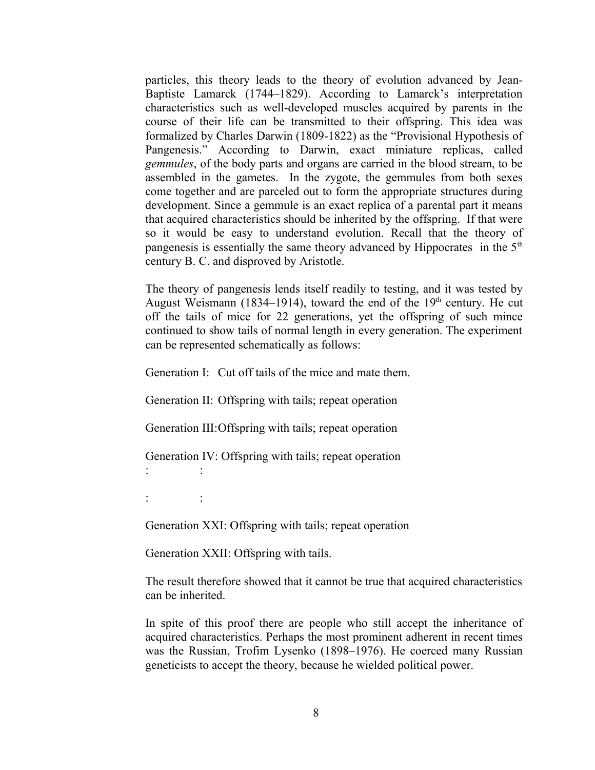particles, this theory leads to the theory of evolution advanced by Jean-Baptiste Lamarck (1744–1829). According to Lamarck's interpretation characteristics such as well-developed muscles acquired by parents in the course of their life can be transmitted to their offspring. This idea was formalized by Charles Darwin (1809-1822) as the "Provisional Hypothesis of Pangenesis." According to Darwin, exact miniature replicas, called *gemmules*, of the body parts and organs are carried in the blood stream, to be assembled in the gametes. In the zygote, the gemmules from both sexes come together and are parceled out to form the appropriate structures during development. Since a gemmule is an exact replica of a parental part it means that acquired characteristics should be inherited by the offspring. If that were so it would be easy to understand evolution. Recall that the theory of pangenesis is essentially the same theory advanced by Hippocrates in the  $5<sup>th</sup>$ century B. C. and disproved by Aristotle.

The theory of pangenesis lends itself readily to testing, and it was tested by August Weismann (1834–1914), toward the end of the  $19<sup>th</sup>$  century. He cut off the tails of mice for 22 generations, yet the offspring of such mince continued to show tails of normal length in every generation. The experiment can be represented schematically as follows:

Generation I: Cut off tails of the mice and mate them.

Generation II: Offspring with tails; repeat operation

Generation III:Offspring with tails; repeat operation

Generation IV: Offspring with tails; repeat operation

Generation XXI: Offspring with tails; repeat operation

Generation XXII: Offspring with tails.

 $: \mathbb{R}^3 \times \mathbb{R}^3 \rightarrow \mathbb{R}^3$ 

 $: \mathbb{R}^3 \times \mathbb{R}^3 \rightarrow \mathbb{R}^3$ 

The result therefore showed that it cannot be true that acquired characteristics can be inherited.

In spite of this proof there are people who still accept the inheritance of acquired characteristics. Perhaps the most prominent adherent in recent times was the Russian, Trofim Lysenko (1898–1976). He coerced many Russian geneticists to accept the theory, because he wielded political power.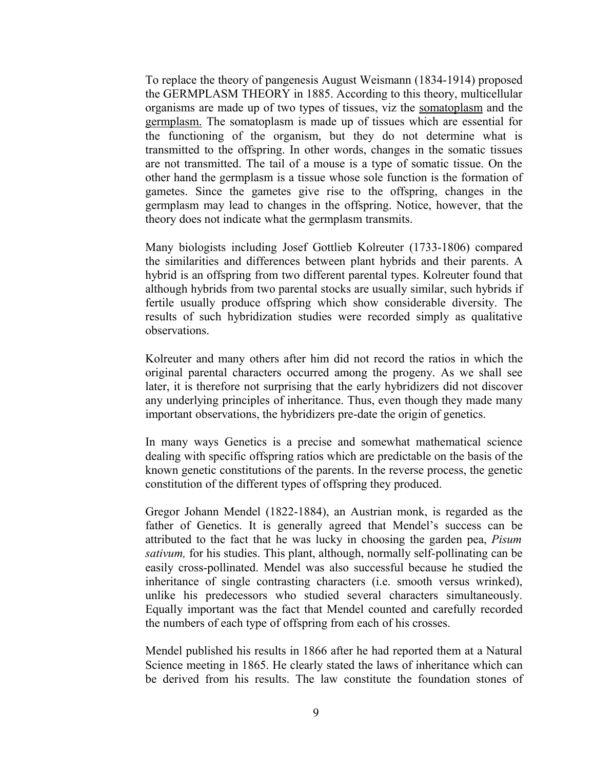To replace the theory of pangenesis August Weismann (1834-1914) proposed the GERMPLASM THEORY in 1885. According to this theory, multicellular organisms are made up of two types of tissues, viz the somatoplasm and the germplasm. The somatoplasm is made up of tissues which are essential for the functioning of the organism, but they do not determine what is transmitted to the offspring. In other words, changes in the somatic tissues are not transmitted. The tail of a mouse is a type of somatic tissue. On the other hand the germplasm is a tissue whose sole function is the formation of gametes. Since the gametes give rise to the offspring, changes in the germplasm may lead to changes in the offspring. Notice, however, that the theory does not indicate what the germplasm transmits.

Many biologists including Josef Gottlieb Kolreuter (1733-1806) compared the similarities and differences between plant hybrids and their parents. A hybrid is an offspring from two different parental types. Kolreuter found that although hybrids from two parental stocks are usually similar, such hybrids if fertile usually produce offspring which show considerable diversity. The results of such hybridization studies were recorded simply as qualitative observations.

Kolreuter and many others after him did not record the ratios in which the original parental characters occurred among the progeny. As we shall see later, it is therefore not surprising that the early hybridizers did not discover any underlying principles of inheritance. Thus, even though they made many important observations, the hybridizers pre-date the origin of genetics.

In many ways Genetics is a precise and somewhat mathematical science dealing with specific offspring ratios which are predictable on the basis of the known genetic constitutions of the parents. In the reverse process, the genetic constitution of the different types of offspring they produced.

Gregor Johann Mendel (1822-1884), an Austrian monk, is regarded as the father of Genetics. It is generally agreed that Mendel's success can be attributed to the fact that he was lucky in choosing the garden pea, *Pisum sativum,* for his studies. This plant, although, normally self-pollinating can be easily cross-pollinated. Mendel was also successful because he studied the inheritance of single contrasting characters (i.e. smooth versus wrinked), unlike his predecessors who studied several characters simultaneously. Equally important was the fact that Mendel counted and carefully recorded the numbers of each type of offspring from each of his crosses.

Mendel published his results in 1866 after he had reported them at a Natural Science meeting in 1865. He clearly stated the laws of inheritance which can be derived from his results. The law constitute the foundation stones of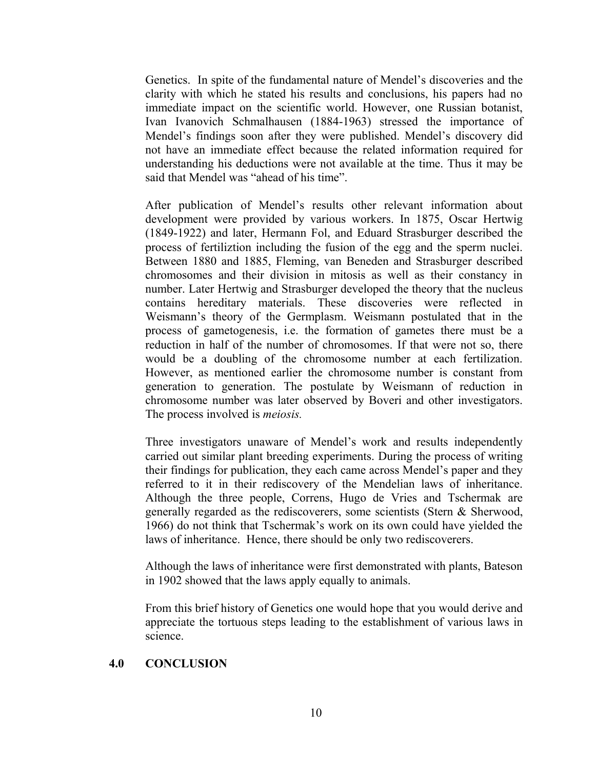Genetics. In spite of the fundamental nature of Mendel's discoveries and the clarity with which he stated his results and conclusions, his papers had no immediate impact on the scientific world. However, one Russian botanist, Ivan Ivanovich Schmalhausen (1884-1963) stressed the importance of Mendel's findings soon after they were published. Mendel's discovery did not have an immediate effect because the related information required for understanding his deductions were not available at the time. Thus it may be said that Mendel was "ahead of his time".

After publication of Mendel's results other relevant information about development were provided by various workers. In 1875, Oscar Hertwig (1849-1922) and later, Hermann Fol, and Eduard Strasburger described the process of fertiliztion including the fusion of the egg and the sperm nuclei. Between 1880 and 1885, Fleming, van Beneden and Strasburger described chromosomes and their division in mitosis as well as their constancy in number. Later Hertwig and Strasburger developed the theory that the nucleus contains hereditary materials. These discoveries were reflected in Weismann's theory of the Germplasm. Weismann postulated that in the process of gametogenesis, i.e. the formation of gametes there must be a reduction in half of the number of chromosomes. If that were not so, there would be a doubling of the chromosome number at each fertilization. However, as mentioned earlier the chromosome number is constant from generation to generation. The postulate by Weismann of reduction in chromosome number was later observed by Boveri and other investigators. The process involved is *meiosis.*

Three investigators unaware of Mendel's work and results independently carried out similar plant breeding experiments. During the process of writing their findings for publication, they each came across Mendel's paper and they referred to it in their rediscovery of the Mendelian laws of inheritance. Although the three people, Correns, Hugo de Vries and Tschermak are generally regarded as the rediscoverers, some scientists (Stern & Sherwood, 1966) do not think that Tschermak's work on its own could have yielded the laws of inheritance. Hence, there should be only two rediscoverers.

Although the laws of inheritance were first demonstrated with plants, Bateson in 1902 showed that the laws apply equally to animals.

From this brief history of Genetics one would hope that you would derive and appreciate the tortuous steps leading to the establishment of various laws in science.

#### **4.0 CONCLUSION**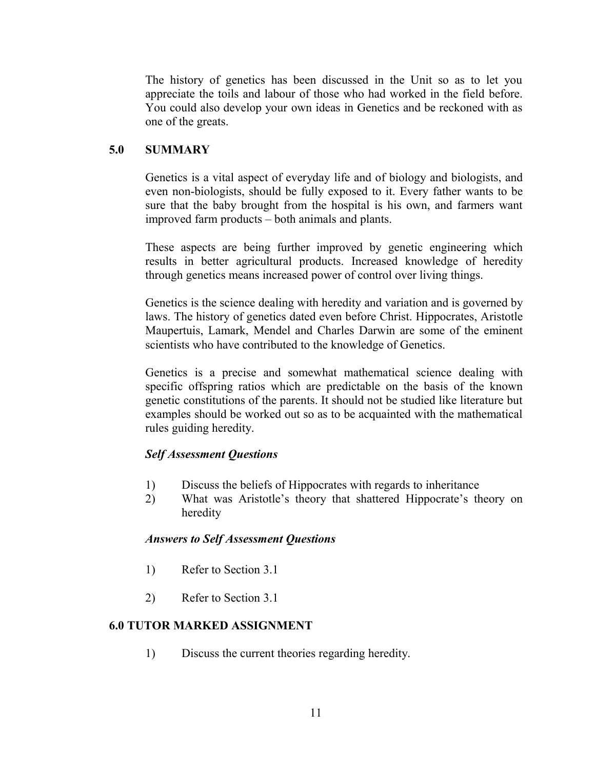The history of genetics has been discussed in the Unit so as to let you appreciate the toils and labour of those who had worked in the field before. You could also develop your own ideas in Genetics and be reckoned with as one of the greats.

### **5.0 SUMMARY**

Genetics is a vital aspect of everyday life and of biology and biologists, and even non-biologists, should be fully exposed to it. Every father wants to be sure that the baby brought from the hospital is his own, and farmers want improved farm products – both animals and plants.

These aspects are being further improved by genetic engineering which results in better agricultural products. Increased knowledge of heredity through genetics means increased power of control over living things.

Genetics is the science dealing with heredity and variation and is governed by laws. The history of genetics dated even before Christ. Hippocrates, Aristotle Maupertuis, Lamark, Mendel and Charles Darwin are some of the eminent scientists who have contributed to the knowledge of Genetics.

Genetics is a precise and somewhat mathematical science dealing with specific offspring ratios which are predictable on the basis of the known genetic constitutions of the parents. It should not be studied like literature but examples should be worked out so as to be acquainted with the mathematical rules guiding heredity.

## *Self Assessment Questions*

- 1) Discuss the beliefs of Hippocrates with regards to inheritance
- 2) What was Aristotle's theory that shattered Hippocrate's theory on heredity

### *Answers to Self Assessment Questions*

- 1) Refer to Section 3.1
- 2) Refer to Section 3.1

## **6.0 TUTOR MARKED ASSIGNMENT**

1) Discuss the current theories regarding heredity.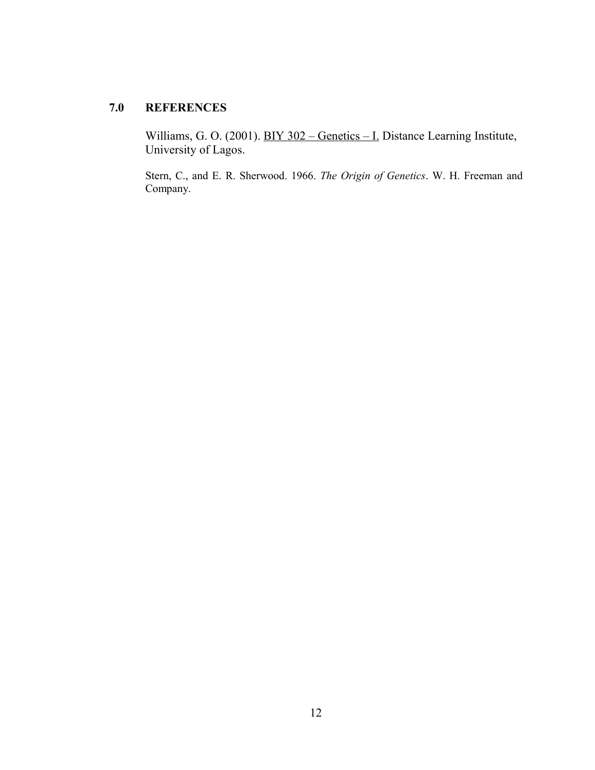# **7.0 REFERENCES**

Williams, G. O. (2001). BIY 302 – Genetics – I. Distance Learning Institute, University of Lagos.

Stern, C., and E. R. Sherwood. 1966. *The Origin of Genetics*. W. H. Freeman and Company.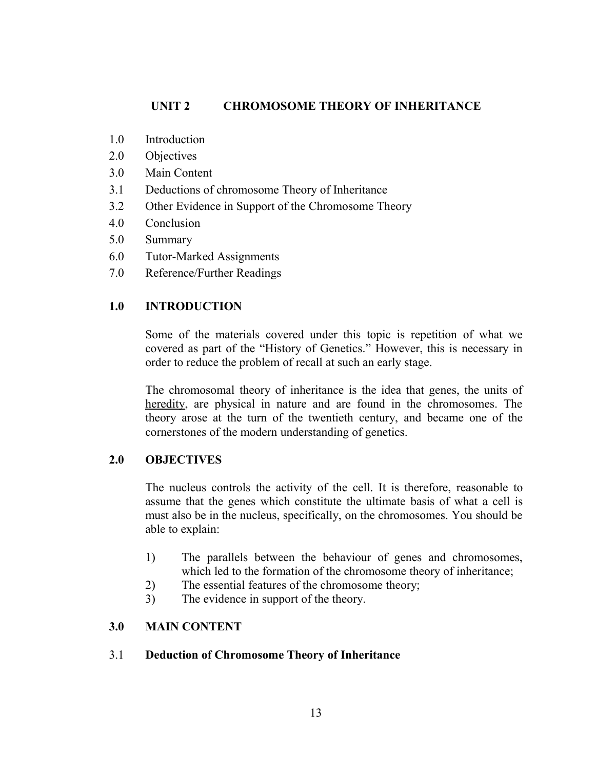# **UNIT 2 CHROMOSOME THEORY OF INHERITANCE**

- 1.0 Introduction
- 2.0 Objectives
- 3.0 Main Content
- 3.1 Deductions of chromosome Theory of Inheritance
- 3.2 Other Evidence in Support of the Chromosome Theory
- 4.0 Conclusion
- 5.0 Summary
- 6.0 Tutor-Marked Assignments
- 7.0 Reference/Further Readings

# **1.0 INTRODUCTION**

Some of the materials covered under this topic is repetition of what we covered as part of the "History of Genetics." However, this is necessary in order to reduce the problem of recall at such an early stage.

The chromosomal theory of inheritance is the idea that genes, the units of [heredity,](http://www.answers.com/topic/heredity) are physical in nature and are found in the chromosomes. The theory arose at the turn of the twentieth century, and became one of the cornerstones of the modern understanding of genetics.

## **2.0 OBJECTIVES**

The nucleus controls the activity of the cell. It is therefore, reasonable to assume that the genes which constitute the ultimate basis of what a cell is must also be in the nucleus, specifically, on the chromosomes. You should be able to explain:

- 1) The parallels between the behaviour of genes and chromosomes, which led to the formation of the chromosome theory of inheritance;
- 2) The essential features of the chromosome theory;
- 3) The evidence in support of the theory.

## **3.0 MAIN CONTENT**

## 3.1 **Deduction of Chromosome Theory of Inheritance**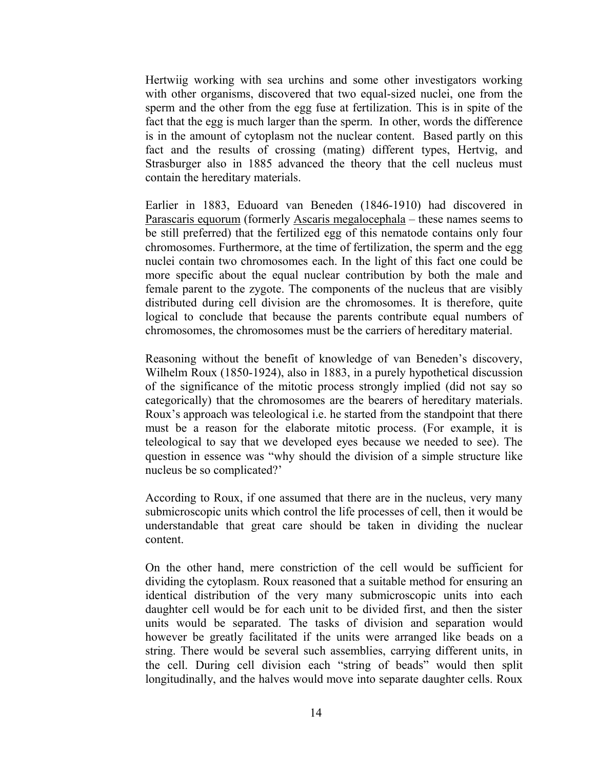Hertwiig working with sea urchins and some other investigators working with other organisms, discovered that two equal-sized nuclei, one from the sperm and the other from the egg fuse at fertilization. This is in spite of the fact that the egg is much larger than the sperm. In other, words the difference is in the amount of cytoplasm not the nuclear content. Based partly on this fact and the results of crossing (mating) different types, Hertvig, and Strasburger also in 1885 advanced the theory that the cell nucleus must contain the hereditary materials.

Earlier in 1883, Eduoard van Beneden (1846-1910) had discovered in Parascaris equorum (formerly Ascaris megalocephala – these names seems to be still preferred) that the fertilized egg of this nematode contains only four chromosomes. Furthermore, at the time of fertilization, the sperm and the egg nuclei contain two chromosomes each. In the light of this fact one could be more specific about the equal nuclear contribution by both the male and female parent to the zygote. The components of the nucleus that are visibly distributed during cell division are the chromosomes. It is therefore, quite logical to conclude that because the parents contribute equal numbers of chromosomes, the chromosomes must be the carriers of hereditary material.

Reasoning without the benefit of knowledge of van Beneden's discovery, Wilhelm Roux (1850-1924), also in 1883, in a purely hypothetical discussion of the significance of the mitotic process strongly implied (did not say so categorically) that the chromosomes are the bearers of hereditary materials. Roux's approach was teleological i.e. he started from the standpoint that there must be a reason for the elaborate mitotic process. (For example, it is teleological to say that we developed eyes because we needed to see). The question in essence was "why should the division of a simple structure like nucleus be so complicated?'

According to Roux, if one assumed that there are in the nucleus, very many submicroscopic units which control the life processes of cell, then it would be understandable that great care should be taken in dividing the nuclear content.

On the other hand, mere constriction of the cell would be sufficient for dividing the cytoplasm. Roux reasoned that a suitable method for ensuring an identical distribution of the very many submicroscopic units into each daughter cell would be for each unit to be divided first, and then the sister units would be separated. The tasks of division and separation would however be greatly facilitated if the units were arranged like beads on a string. There would be several such assemblies, carrying different units, in the cell. During cell division each "string of beads" would then split longitudinally, and the halves would move into separate daughter cells. Roux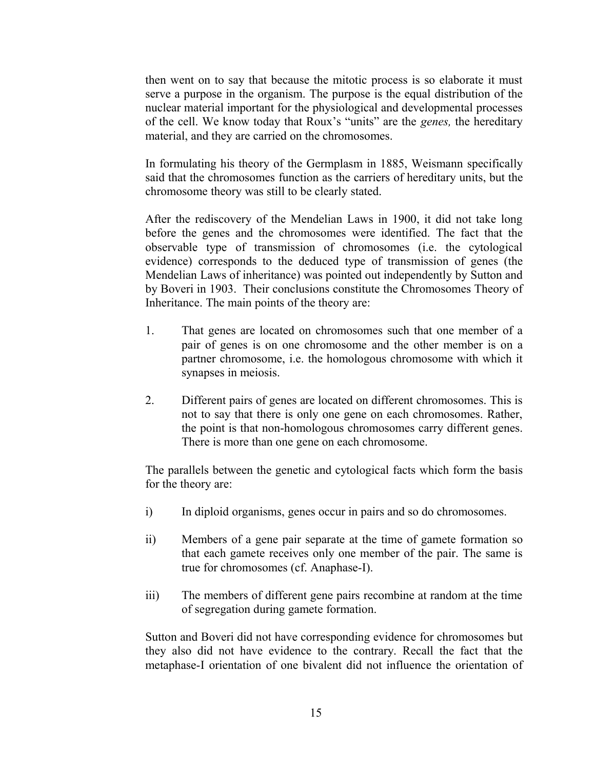then went on to say that because the mitotic process is so elaborate it must serve a purpose in the organism. The purpose is the equal distribution of the nuclear material important for the physiological and developmental processes of the cell. We know today that Roux's "units" are the *genes,* the hereditary material, and they are carried on the chromosomes.

In formulating his theory of the Germplasm in 1885, Weismann specifically said that the chromosomes function as the carriers of hereditary units, but the chromosome theory was still to be clearly stated.

After the rediscovery of the Mendelian Laws in 1900, it did not take long before the genes and the chromosomes were identified. The fact that the observable type of transmission of chromosomes (i.e. the cytological evidence) corresponds to the deduced type of transmission of genes (the Mendelian Laws of inheritance) was pointed out independently by Sutton and by Boveri in 1903. Their conclusions constitute the Chromosomes Theory of Inheritance. The main points of the theory are:

- 1. That genes are located on chromosomes such that one member of a pair of genes is on one chromosome and the other member is on a partner chromosome, i.e. the homologous chromosome with which it synapses in meiosis.
- 2. Different pairs of genes are located on different chromosomes. This is not to say that there is only one gene on each chromosomes. Rather, the point is that non-homologous chromosomes carry different genes. There is more than one gene on each chromosome.

The parallels between the genetic and cytological facts which form the basis for the theory are:

- i) In diploid organisms, genes occur in pairs and so do chromosomes.
- ii) Members of a gene pair separate at the time of gamete formation so that each gamete receives only one member of the pair. The same is true for chromosomes (cf. Anaphase-I).
- iii) The members of different gene pairs recombine at random at the time of segregation during gamete formation.

Sutton and Boveri did not have corresponding evidence for chromosomes but they also did not have evidence to the contrary. Recall the fact that the metaphase-I orientation of one bivalent did not influence the orientation of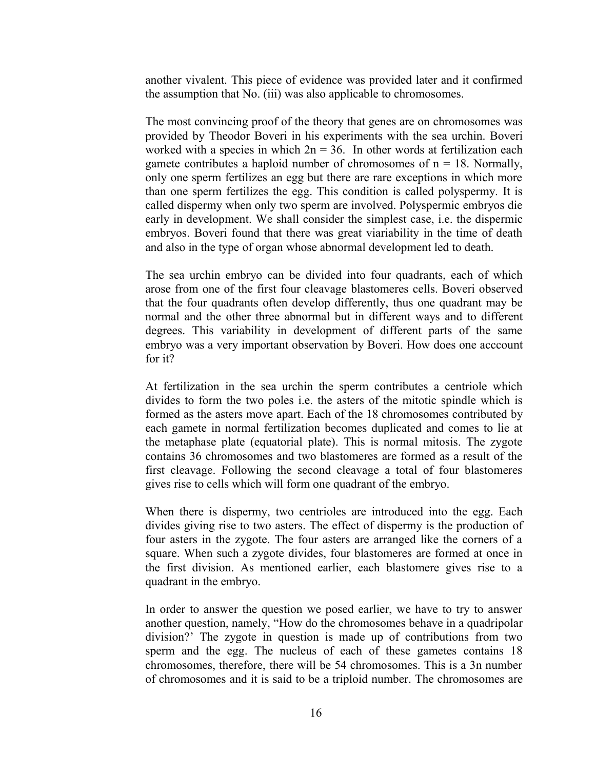another vivalent. This piece of evidence was provided later and it confirmed the assumption that No. (iii) was also applicable to chromosomes.

The most convincing proof of the theory that genes are on chromosomes was provided by Theodor Boveri in his experiments with the sea urchin. Boveri worked with a species in which  $2n = 36$ . In other words at fertilization each gamete contributes a haploid number of chromosomes of  $n = 18$ . Normally, only one sperm fertilizes an egg but there are rare exceptions in which more than one sperm fertilizes the egg. This condition is called polyspermy. It is called dispermy when only two sperm are involved. Polyspermic embryos die early in development. We shall consider the simplest case, i.e. the dispermic embryos. Boveri found that there was great viariability in the time of death and also in the type of organ whose abnormal development led to death.

The sea urchin embryo can be divided into four quadrants, each of which arose from one of the first four cleavage blastomeres cells. Boveri observed that the four quadrants often develop differently, thus one quadrant may be normal and the other three abnormal but in different ways and to different degrees. This variability in development of different parts of the same embryo was a very important observation by Boveri. How does one acccount for it?

At fertilization in the sea urchin the sperm contributes a centriole which divides to form the two poles i.e. the asters of the mitotic spindle which is formed as the asters move apart. Each of the 18 chromosomes contributed by each gamete in normal fertilization becomes duplicated and comes to lie at the metaphase plate (equatorial plate). This is normal mitosis. The zygote contains 36 chromosomes and two blastomeres are formed as a result of the first cleavage. Following the second cleavage a total of four blastomeres gives rise to cells which will form one quadrant of the embryo.

When there is dispermy, two centrioles are introduced into the egg. Each divides giving rise to two asters. The effect of dispermy is the production of four asters in the zygote. The four asters are arranged like the corners of a square. When such a zygote divides, four blastomeres are formed at once in the first division. As mentioned earlier, each blastomere gives rise to a quadrant in the embryo.

In order to answer the question we posed earlier, we have to try to answer another question, namely, "How do the chromosomes behave in a quadripolar division?' The zygote in question is made up of contributions from two sperm and the egg. The nucleus of each of these gametes contains 18 chromosomes, therefore, there will be 54 chromosomes. This is a 3n number of chromosomes and it is said to be a triploid number. The chromosomes are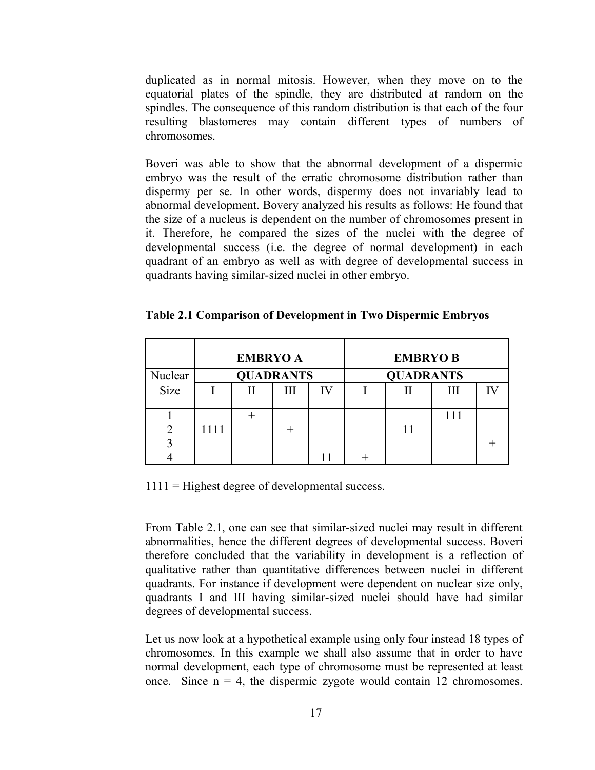duplicated as in normal mitosis. However, when they move on to the equatorial plates of the spindle, they are distributed at random on the spindles. The consequence of this random distribution is that each of the four resulting blastomeres may contain different types of numbers of chromosomes.

Boveri was able to show that the abnormal development of a dispermic embryo was the result of the erratic chromosome distribution rather than dispermy per se. In other words, dispermy does not invariably lead to abnormal development. Bovery analyzed his results as follows: He found that the size of a nucleus is dependent on the number of chromosomes present in it. Therefore, he compared the sizes of the nuclei with the degree of developmental success (i.e. the degree of normal development) in each quadrant of an embryo as well as with degree of developmental success in quadrants having similar-sized nuclei in other embryo.

**Table 2.1 Comparison of Development in Two Dispermic Embryos**

|         | <b>EMBRYO A</b>  |  |   | <b>EMBRYO B</b> |                  |    |     |  |
|---------|------------------|--|---|-----------------|------------------|----|-----|--|
| Nuclear | <b>QUADRANTS</b> |  |   |                 | <b>QUADRANTS</b> |    |     |  |
| Size    |                  |  | Ш |                 |                  |    |     |  |
|         |                  |  |   |                 |                  | 11 | 111 |  |
|         |                  |  |   |                 |                  |    |     |  |

 $1111$  = Highest degree of developmental success.

From Table 2.1, one can see that similar-sized nuclei may result in different abnormalities, hence the different degrees of developmental success. Boveri therefore concluded that the variability in development is a reflection of qualitative rather than quantitative differences between nuclei in different quadrants. For instance if development were dependent on nuclear size only, quadrants I and III having similar-sized nuclei should have had similar degrees of developmental success.

Let us now look at a hypothetical example using only four instead 18 types of chromosomes. In this example we shall also assume that in order to have normal development, each type of chromosome must be represented at least once. Since  $n = 4$ , the dispermic zygote would contain 12 chromosomes.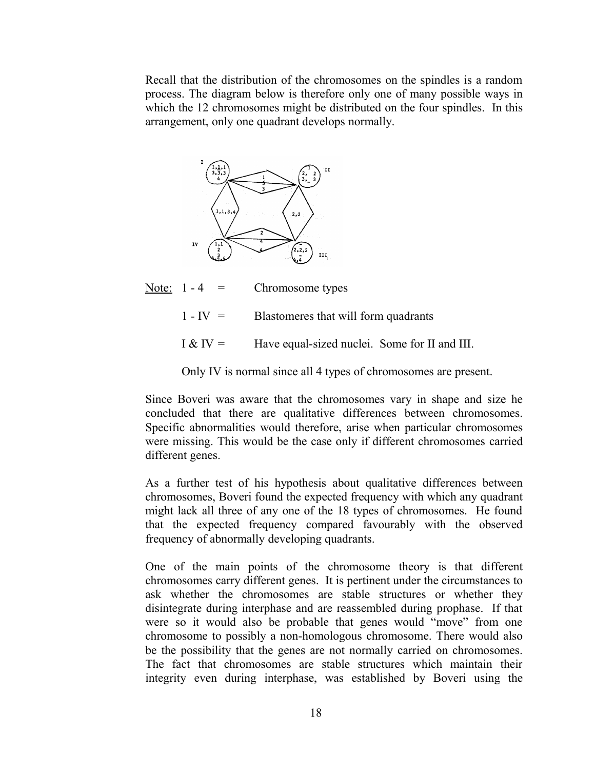Recall that the distribution of the chromosomes on the spindles is a random process. The diagram below is therefore only one of many possible ways in which the 12 chromosomes might be distributed on the four spindles. In this arrangement, only one quadrant develops normally.



Note:  $1 - 4 =$  Chromosome types

 $1 - IV$  = Blastomeres that will form quadrants

I & IV = Have equal-sized nuclei. Some for II and III.

Only IV is normal since all 4 types of chromosomes are present.

Since Boveri was aware that the chromosomes vary in shape and size he concluded that there are qualitative differences between chromosomes. Specific abnormalities would therefore, arise when particular chromosomes were missing. This would be the case only if different chromosomes carried different genes.

As a further test of his hypothesis about qualitative differences between chromosomes, Boveri found the expected frequency with which any quadrant might lack all three of any one of the 18 types of chromosomes. He found that the expected frequency compared favourably with the observed frequency of abnormally developing quadrants.

One of the main points of the chromosome theory is that different chromosomes carry different genes. It is pertinent under the circumstances to ask whether the chromosomes are stable structures or whether they disintegrate during interphase and are reassembled during prophase. If that were so it would also be probable that genes would "move" from one chromosome to possibly a non-homologous chromosome. There would also be the possibility that the genes are not normally carried on chromosomes. The fact that chromosomes are stable structures which maintain their integrity even during interphase, was established by Boveri using the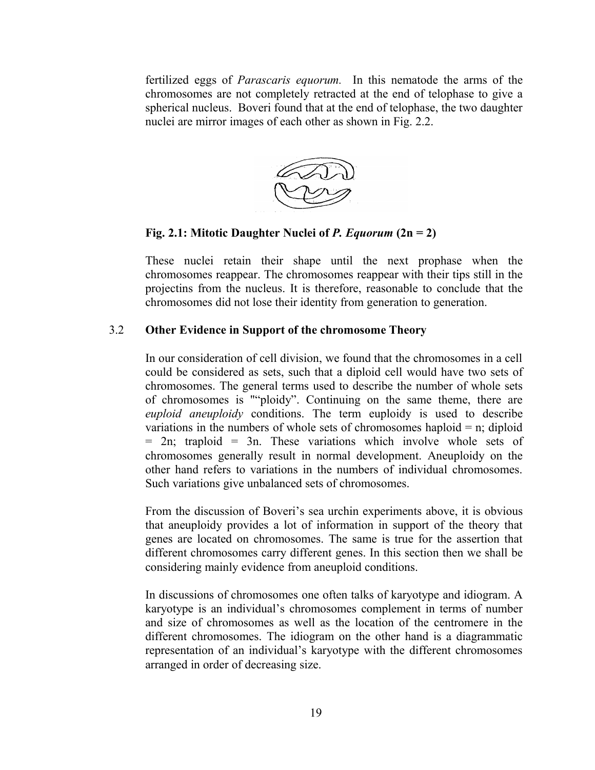fertilized eggs of *Parascaris equorum.* In this nematode the arms of the chromosomes are not completely retracted at the end of telophase to give a spherical nucleus. Boveri found that at the end of telophase, the two daughter nuclei are mirror images of each other as shown in Fig. 2.2.



#### **Fig. 2.1: Mitotic Daughter Nuclei of** *P. Equorum* **(2n = 2)**

These nuclei retain their shape until the next prophase when the chromosomes reappear. The chromosomes reappear with their tips still in the projectins from the nucleus. It is therefore, reasonable to conclude that the chromosomes did not lose their identity from generation to generation.

#### 3.2 **Other Evidence in Support of the chromosome Theory**

In our consideration of cell division, we found that the chromosomes in a cell could be considered as sets, such that a diploid cell would have two sets of chromosomes. The general terms used to describe the number of whole sets of chromosomes is ""ploidy". Continuing on the same theme, there are *euploid aneuploidy* conditions. The term euploidy is used to describe variations in the numbers of whole sets of chromosomes haploid  $= n$ ; diploid = 2n; traploid = 3n. These variations which involve whole sets of chromosomes generally result in normal development. Aneuploidy on the other hand refers to variations in the numbers of individual chromosomes. Such variations give unbalanced sets of chromosomes.

From the discussion of Boveri's sea urchin experiments above, it is obvious that aneuploidy provides a lot of information in support of the theory that genes are located on chromosomes. The same is true for the assertion that different chromosomes carry different genes. In this section then we shall be considering mainly evidence from aneuploid conditions.

In discussions of chromosomes one often talks of karyotype and idiogram. A karyotype is an individual's chromosomes complement in terms of number and size of chromosomes as well as the location of the centromere in the different chromosomes. The idiogram on the other hand is a diagrammatic representation of an individual's karyotype with the different chromosomes arranged in order of decreasing size.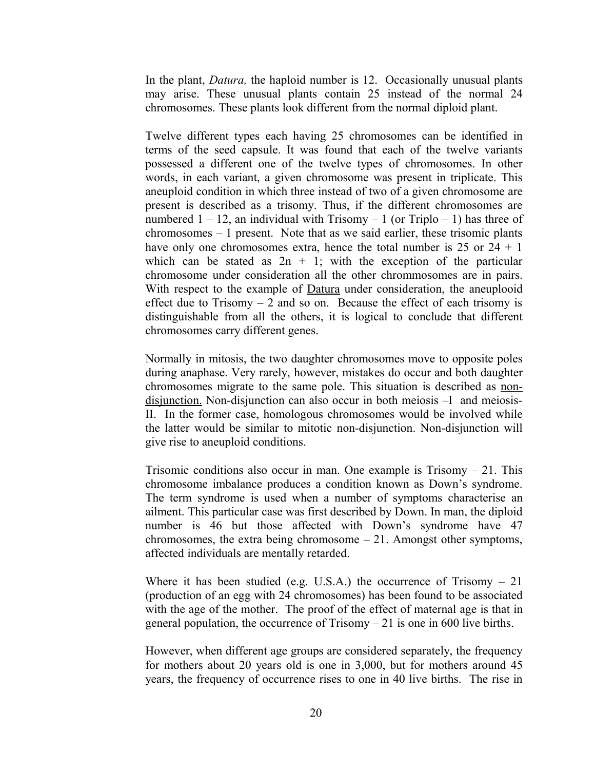In the plant, *Datura,* the haploid number is 12. Occasionally unusual plants may arise. These unusual plants contain 25 instead of the normal 24 chromosomes. These plants look different from the normal diploid plant.

Twelve different types each having 25 chromosomes can be identified in terms of the seed capsule. It was found that each of the twelve variants possessed a different one of the twelve types of chromosomes. In other words, in each variant, a given chromosome was present in triplicate. This aneuploid condition in which three instead of two of a given chromosome are present is described as a trisomy. Thus, if the different chromosomes are numbered  $1 - 12$ , an individual with Trisomy  $-1$  (or Triplo  $-1$ ) has three of  $chromosomes - 1$  present. Note that as we said earlier, these trisomic plants have only one chromosomes extra, hence the total number is  $25$  or  $24 + 1$ which can be stated as  $2n + 1$ ; with the exception of the particular chromosome under consideration all the other chrommosomes are in pairs. With respect to the example of Datura under consideration, the aneuplooid effect due to Trisomy  $-2$  and so on. Because the effect of each trisomy is distinguishable from all the others, it is logical to conclude that different chromosomes carry different genes.

Normally in mitosis, the two daughter chromosomes move to opposite poles during anaphase. Very rarely, however, mistakes do occur and both daughter chromosomes migrate to the same pole. This situation is described as nondisjunction. Non-disjunction can also occur in both meiosis –I and meiosis-II. In the former case, homologous chromosomes would be involved while the latter would be similar to mitotic non-disjunction. Non-disjunction will give rise to aneuploid conditions.

Trisomic conditions also occur in man. One example is Trisomy  $-21$ . This chromosome imbalance produces a condition known as Down's syndrome. The term syndrome is used when a number of symptoms characterise an ailment. This particular case was first described by Down. In man, the diploid number is 46 but those affected with Down's syndrome have 47 chromosomes, the extra being chromosome  $-21$ . Amongst other symptoms, affected individuals are mentally retarded.

Where it has been studied (e.g. U.S.A.) the occurrence of Trisomy  $-21$ (production of an egg with 24 chromosomes) has been found to be associated with the age of the mother. The proof of the effect of maternal age is that in general population, the occurrence of Trisomy – 21 is one in 600 live births.

However, when different age groups are considered separately, the frequency for mothers about 20 years old is one in 3,000, but for mothers around 45 years, the frequency of occurrence rises to one in 40 live births. The rise in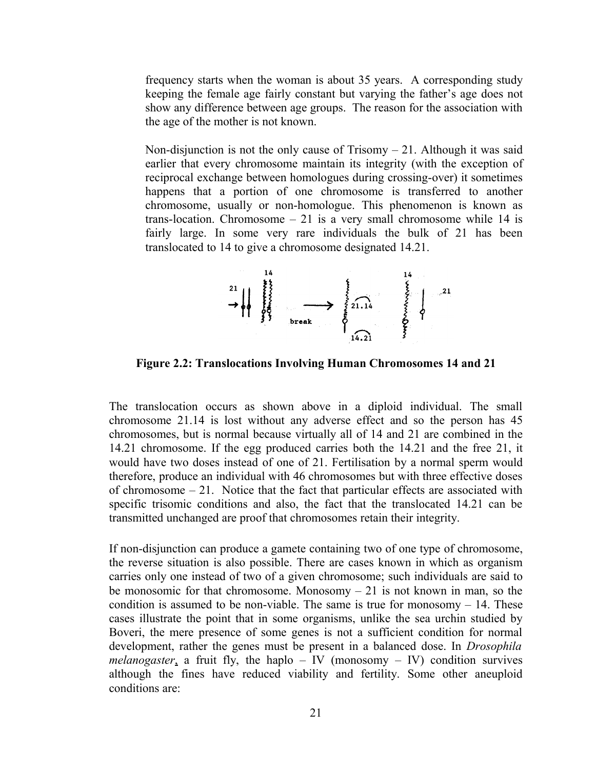frequency starts when the woman is about 35 years. A corresponding study keeping the female age fairly constant but varying the father's age does not show any difference between age groups. The reason for the association with the age of the mother is not known.

Non-disjunction is not the only cause of Trisomy  $-21$ . Although it was said earlier that every chromosome maintain its integrity (with the exception of reciprocal exchange between homologues during crossing-over) it sometimes happens that a portion of one chromosome is transferred to another chromosome, usually or non-homologue. This phenomenon is known as trans-location. Chromosome  $-21$  is a very small chromosome while 14 is fairly large. In some very rare individuals the bulk of 21 has been translocated to 14 to give a chromosome designated 14.21.



**Figure 2.2: Translocations Involving Human Chromosomes 14 and 21**

The translocation occurs as shown above in a diploid individual. The small chromosome 21.14 is lost without any adverse effect and so the person has 45 chromosomes, but is normal because virtually all of 14 and 21 are combined in the 14.21 chromosome. If the egg produced carries both the 14.21 and the free 21, it would have two doses instead of one of 21. Fertilisation by a normal sperm would therefore, produce an individual with 46 chromosomes but with three effective doses of chromosome  $-21$ . Notice that the fact that particular effects are associated with specific trisomic conditions and also, the fact that the translocated 14.21 can be transmitted unchanged are proof that chromosomes retain their integrity.

If non-disjunction can produce a gamete containing two of one type of chromosome, the reverse situation is also possible. There are cases known in which as organism carries only one instead of two of a given chromosome; such individuals are said to be monosomic for that chromosome. Monosomy – 21 is not known in man, so the condition is assumed to be non-viable. The same is true for monosomy  $-14$ . These cases illustrate the point that in some organisms, unlike the sea urchin studied by Boveri, the mere presence of some genes is not a sufficient condition for normal development, rather the genes must be present in a balanced dose. In *Drosophila melanogaster*, a fruit fly, the haplo – IV (monosomy – IV) condition survives although the fines have reduced viability and fertility. Some other aneuploid conditions are: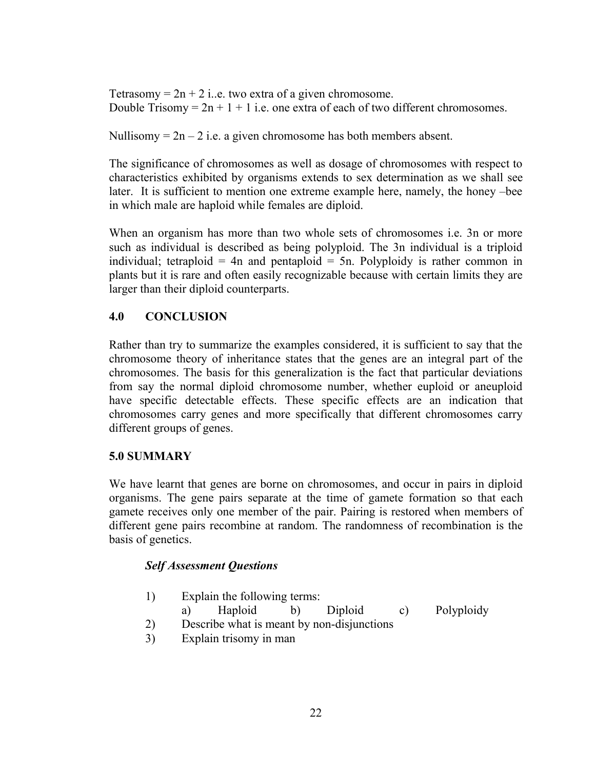Tetrasomy =  $2n + 2$  i.e. two extra of a given chromosome. Double Trisomy =  $2n + 1 + 1$  i.e. one extra of each of two different chromosomes.

Nullisomy =  $2n - 2$  i.e. a given chromosome has both members absent.

The significance of chromosomes as well as dosage of chromosomes with respect to characteristics exhibited by organisms extends to sex determination as we shall see later. It is sufficient to mention one extreme example here, namely, the honey –bee in which male are haploid while females are diploid.

When an organism has more than two whole sets of chromosomes i.e. 3n or more such as individual is described as being polyploid. The 3n individual is a triploid individual; tetraploid = 4n and pentaploid = 5n. Polyploidy is rather common in plants but it is rare and often easily recognizable because with certain limits they are larger than their diploid counterparts.

## **4.0 CONCLUSION**

Rather than try to summarize the examples considered, it is sufficient to say that the chromosome theory of inheritance states that the genes are an integral part of the chromosomes. The basis for this generalization is the fact that particular deviations from say the normal diploid chromosome number, whether euploid or aneuploid have specific detectable effects. These specific effects are an indication that chromosomes carry genes and more specifically that different chromosomes carry different groups of genes.

## **5.0 SUMMARY**

We have learnt that genes are borne on chromosomes, and occur in pairs in diploid organisms. The gene pairs separate at the time of gamete formation so that each gamete receives only one member of the pair. Pairing is restored when members of different gene pairs recombine at random. The randomness of recombination is the basis of genetics.

## *Self Assessment Questions*

1) Explain the following terms:

a) Haploid b) Diploid c) Polyploidy

2) Describe what is meant by non-disjunctions 3) Explain trisomy in man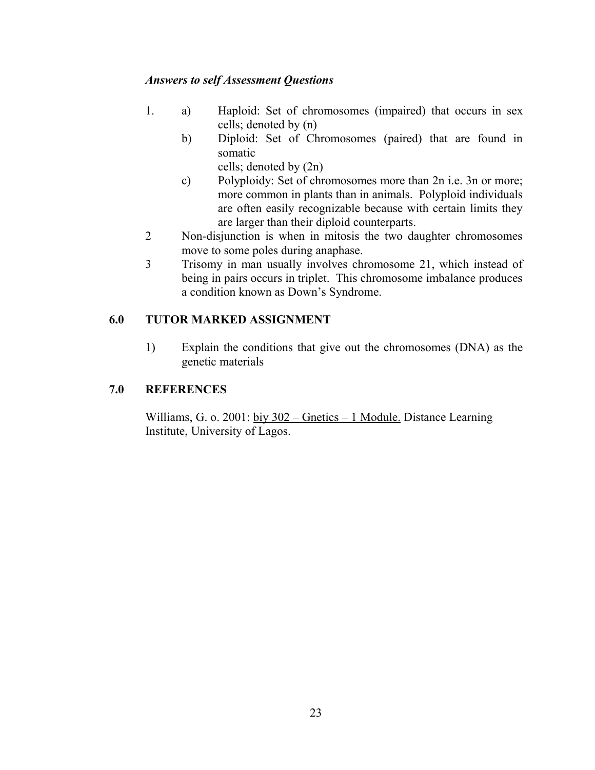## *Answers to self Assessment Questions*

- 1. a) Haploid: Set of chromosomes (impaired) that occurs in sex cells; denoted by (n)
	- b) Diploid: Set of Chromosomes (paired) that are found in somatic

cells; denoted by (2n)

- c) Polyploidy: Set of chromosomes more than 2n i.e. 3n or more; more common in plants than in animals. Polyploid individuals are often easily recognizable because with certain limits they are larger than their diploid counterparts.
- 2 Non-disjunction is when in mitosis the two daughter chromosomes move to some poles during anaphase.
- 3 Trisomy in man usually involves chromosome 21, which instead of being in pairs occurs in triplet. This chromosome imbalance produces a condition known as Down's Syndrome.

# **6.0 TUTOR MARKED ASSIGNMENT**

1) Explain the conditions that give out the chromosomes (DNA) as the genetic materials

## **7.0 REFERENCES**

Williams, G. o. 2001: biy 302 – Gnetics – 1 Module. Distance Learning Institute, University of Lagos.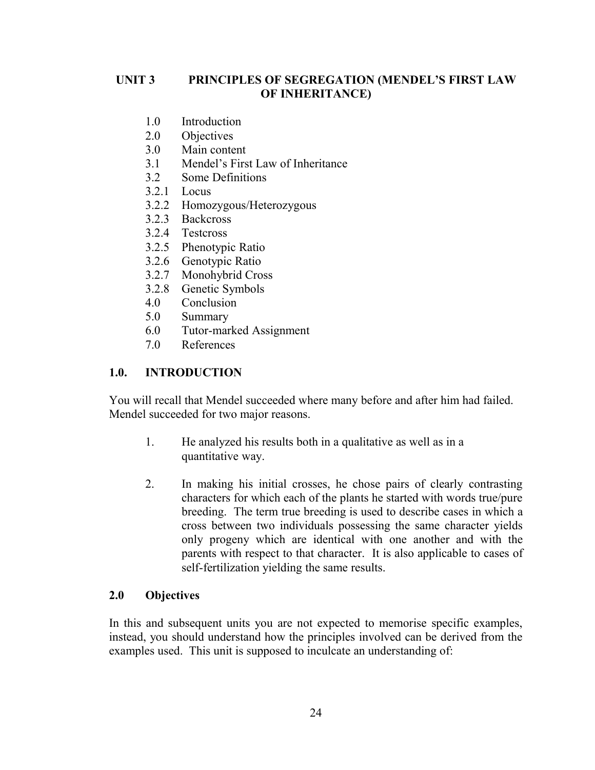# **UNIT 3 PRINCIPLES OF SEGREGATION (MENDEL'S FIRST LAW OF INHERITANCE)**

- 1.0 Introduction
- 2.0 Objectives
- 3.0 Main content
- 3.1 Mendel's First Law of Inheritance
- 3.2 Some Definitions
- 3.2.1 Locus
- 3.2.2 Homozygous/Heterozygous
- 3.2.3 Backcross
- 3.2.4 Testcross
- 3.2.5 Phenotypic Ratio
- 3.2.6 Genotypic Ratio
- 3.2.7 Monohybrid Cross
- 3.2.8 Genetic Symbols
- 4.0 Conclusion
- 5.0 Summary
- 6.0 Tutor-marked Assignment
- 7.0 References

### **1.0. INTRODUCTION**

You will recall that Mendel succeeded where many before and after him had failed. Mendel succeeded for two major reasons.

- 1. He analyzed his results both in a qualitative as well as in a quantitative way.
- 2. In making his initial crosses, he chose pairs of clearly contrasting characters for which each of the plants he started with words true/pure breeding. The term true breeding is used to describe cases in which a cross between two individuals possessing the same character yields only progeny which are identical with one another and with the parents with respect to that character. It is also applicable to cases of self-fertilization yielding the same results.

## **2.0 Objectives**

In this and subsequent units you are not expected to memorise specific examples, instead, you should understand how the principles involved can be derived from the examples used. This unit is supposed to inculcate an understanding of: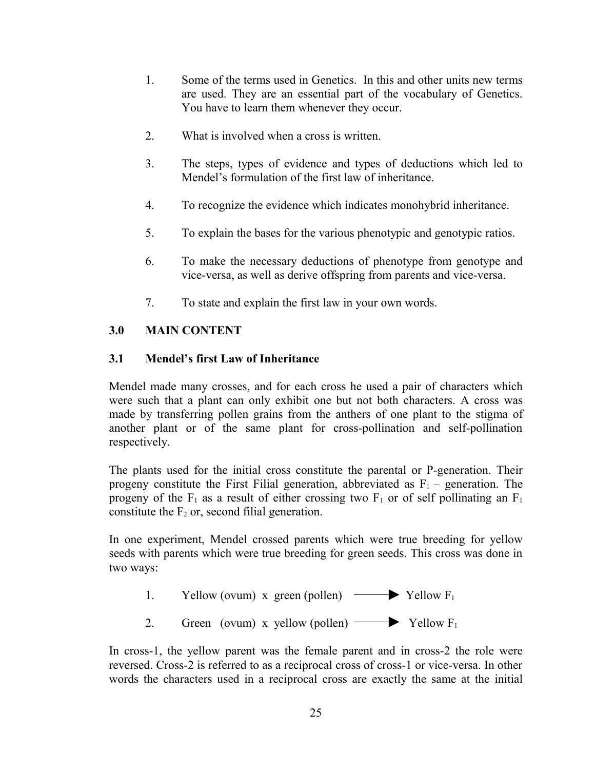- 1. Some of the terms used in Genetics. In this and other units new terms are used. They are an essential part of the vocabulary of Genetics. You have to learn them whenever they occur.
- 2. What is involved when a cross is written.
- 3. The steps, types of evidence and types of deductions which led to Mendel's formulation of the first law of inheritance.
- 4. To recognize the evidence which indicates monohybrid inheritance.
- 5. To explain the bases for the various phenotypic and genotypic ratios.
- 6. To make the necessary deductions of phenotype from genotype and vice-versa, as well as derive offspring from parents and vice-versa.
- 7. To state and explain the first law in your own words.

# **3.0 MAIN CONTENT**

## **3.1 Mendel's first Law of Inheritance**

Mendel made many crosses, and for each cross he used a pair of characters which were such that a plant can only exhibit one but not both characters. A cross was made by transferring pollen grains from the anthers of one plant to the stigma of another plant or of the same plant for cross-pollination and self-pollination respectively.

The plants used for the initial cross constitute the parental or P-generation. Their progeny constitute the First Filial generation, abbreviated as  $F_1$  – generation. The progeny of the  $F_1$  as a result of either crossing two  $F_1$  or of self pollinating an  $F_1$ constitute the  $F_2$  or, second filial generation.

In one experiment, Mendel crossed parents which were true breeding for yellow seeds with parents which were true breeding for green seeds. This cross was done in two ways:

- 1. Yellow (ovum) x green (pollen)  $\longrightarrow$  Yellow F<sub>1</sub>
- 2. Green (ovum) x yellow (pollen)  $\longrightarrow$  Yellow F<sub>1</sub>

In cross-1, the yellow parent was the female parent and in cross-2 the role were reversed. Cross-2 is referred to as a reciprocal cross of cross-1 or vice-versa. In other words the characters used in a reciprocal cross are exactly the same at the initial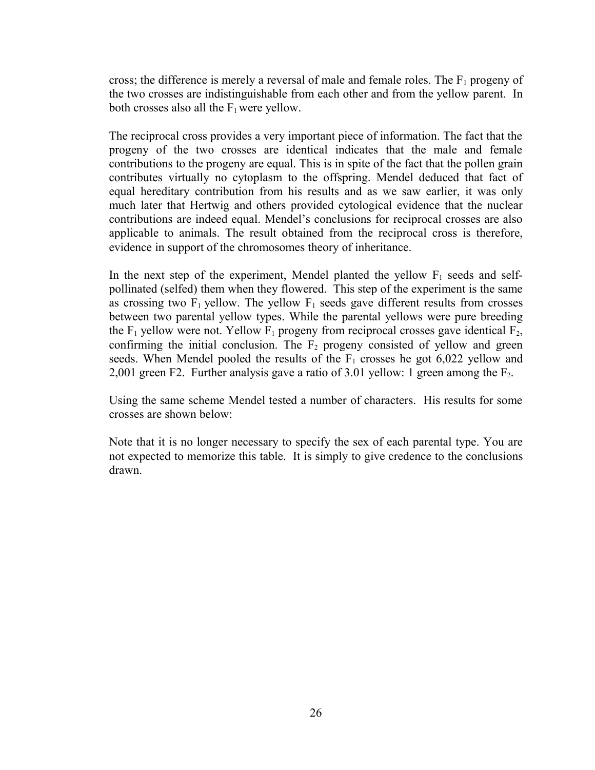cross; the difference is merely a reversal of male and female roles. The  $F_1$  progeny of the two crosses are indistinguishable from each other and from the yellow parent. In both crosses also all the  $F_1$  were yellow.

The reciprocal cross provides a very important piece of information. The fact that the progeny of the two crosses are identical indicates that the male and female contributions to the progeny are equal. This is in spite of the fact that the pollen grain contributes virtually no cytoplasm to the offspring. Mendel deduced that fact of equal hereditary contribution from his results and as we saw earlier, it was only much later that Hertwig and others provided cytological evidence that the nuclear contributions are indeed equal. Mendel's conclusions for reciprocal crosses are also applicable to animals. The result obtained from the reciprocal cross is therefore, evidence in support of the chromosomes theory of inheritance.

In the next step of the experiment, Mendel planted the yellow  $F_1$  seeds and selfpollinated (selfed) them when they flowered. This step of the experiment is the same as crossing two  $F_1$  yellow. The yellow  $F_1$  seeds gave different results from crosses between two parental yellow types. While the parental yellows were pure breeding the  $F_1$  yellow were not. Yellow  $F_1$  progeny from reciprocal crosses gave identical  $F_2$ , confirming the initial conclusion. The  $F_2$  progeny consisted of yellow and green seeds. When Mendel pooled the results of the  $F_1$  crosses he got 6,022 yellow and 2,001 green F2. Further analysis gave a ratio of 3.01 yellow: 1 green among the  $F_2$ .

Using the same scheme Mendel tested a number of characters. His results for some crosses are shown below:

Note that it is no longer necessary to specify the sex of each parental type. You are not expected to memorize this table. It is simply to give credence to the conclusions drawn.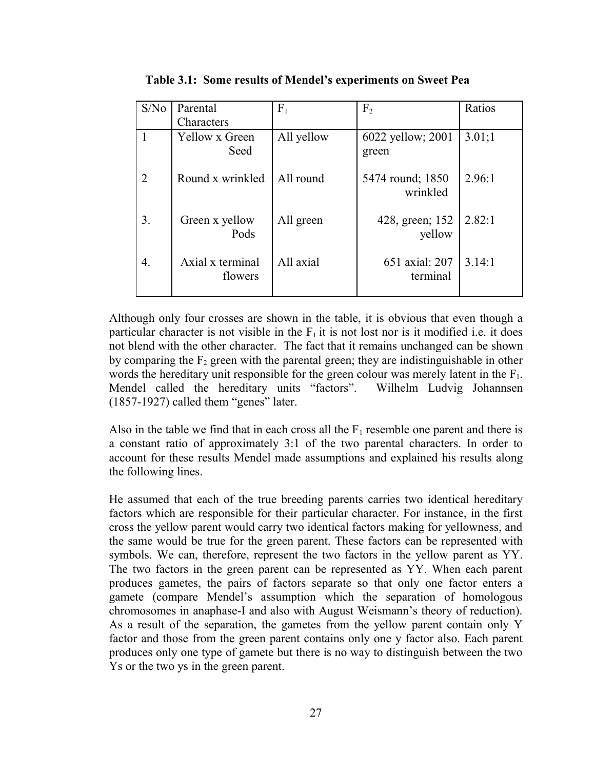| S/No | Parental                    | F <sub>1</sub> | F <sub>2</sub>               | Ratios |
|------|-----------------------------|----------------|------------------------------|--------|
|      | Characters                  |                |                              |        |
|      | Yellow x Green<br>Seed      | All yellow     | 6022 yellow; 2001<br>green   | 3.01;1 |
|      |                             |                |                              |        |
| 2    | Round x wrinkled            | All round      | 5474 round; 1850<br>wrinkled | 2.96:1 |
| 3.   | Green x yellow<br>Pods      | All green      | 428, green; 152<br>yellow    | 2.82:1 |
| 4.   | Axial x terminal<br>flowers | All axial      | 651 axial: 207<br>terminal   | 3.14:1 |

**Table 3.1: Some results of Mendel's experiments on Sweet Pea**

Although only four crosses are shown in the table, it is obvious that even though a particular character is not visible in the  $F_1$  it is not lost nor is it modified i.e. it does not blend with the other character. The fact that it remains unchanged can be shown by comparing the  $F_2$  green with the parental green; they are indistinguishable in other words the hereditary unit responsible for the green colour was merely latent in the  $F_1$ . Mendel called the hereditary units "factors". Wilhelm Ludvig Johannsen (1857-1927) called them "genes" later.

Also in the table we find that in each cross all the  $F_1$  resemble one parent and there is a constant ratio of approximately 3:1 of the two parental characters. In order to account for these results Mendel made assumptions and explained his results along the following lines.

He assumed that each of the true breeding parents carries two identical hereditary factors which are responsible for their particular character. For instance, in the first cross the yellow parent would carry two identical factors making for yellowness, and the same would be true for the green parent. These factors can be represented with symbols. We can, therefore, represent the two factors in the yellow parent as YY. The two factors in the green parent can be represented as YY. When each parent produces gametes, the pairs of factors separate so that only one factor enters a gamete (compare Mendel's assumption which the separation of homologous chromosomes in anaphase-I and also with August Weismann's theory of reduction). As a result of the separation, the gametes from the yellow parent contain only Y factor and those from the green parent contains only one y factor also. Each parent produces only one type of gamete but there is no way to distinguish between the two Ys or the two ys in the green parent.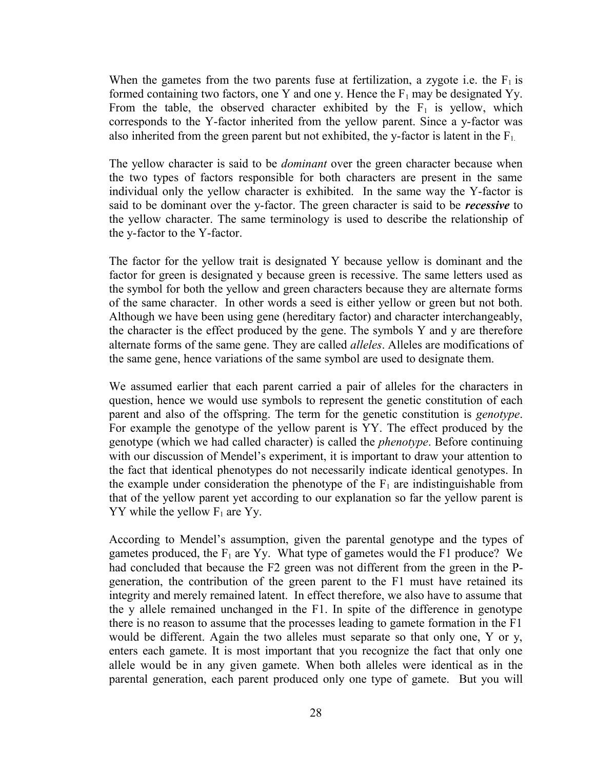When the gametes from the two parents fuse at fertilization, a zygote i.e. the  $F_1$  is formed containing two factors, one Y and one y. Hence the  $F_1$  may be designated Yy. From the table, the observed character exhibited by the  $F_1$  is yellow, which corresponds to the Y-factor inherited from the yellow parent. Since a y-factor was also inherited from the green parent but not exhibited, the y-factor is latent in the  $F_1$ .

The yellow character is said to be *dominant* over the green character because when the two types of factors responsible for both characters are present in the same individual only the yellow character is exhibited. In the same way the Y-factor is said to be dominant over the y-factor. The green character is said to be *recessive* to the yellow character. The same terminology is used to describe the relationship of the y-factor to the Y-factor.

The factor for the yellow trait is designated Y because yellow is dominant and the factor for green is designated y because green is recessive. The same letters used as the symbol for both the yellow and green characters because they are alternate forms of the same character. In other words a seed is either yellow or green but not both. Although we have been using gene (hereditary factor) and character interchangeably, the character is the effect produced by the gene. The symbols Y and y are therefore alternate forms of the same gene. They are called *alleles*. Alleles are modifications of the same gene, hence variations of the same symbol are used to designate them.

We assumed earlier that each parent carried a pair of alleles for the characters in question, hence we would use symbols to represent the genetic constitution of each parent and also of the offspring. The term for the genetic constitution is *genotype*. For example the genotype of the yellow parent is YY. The effect produced by the genotype (which we had called character) is called the *phenotype*. Before continuing with our discussion of Mendel's experiment, it is important to draw your attention to the fact that identical phenotypes do not necessarily indicate identical genotypes. In the example under consideration the phenotype of the  $F_1$  are indistinguishable from that of the yellow parent yet according to our explanation so far the yellow parent is  $YY$  while the yellow  $F_1$  are  $Yy$ .

According to Mendel's assumption, given the parental genotype and the types of gametes produced, the  $F_1$  are Yy. What type of gametes would the F1 produce? We had concluded that because the F2 green was not different from the green in the Pgeneration, the contribution of the green parent to the F1 must have retained its integrity and merely remained latent. In effect therefore, we also have to assume that the y allele remained unchanged in the F1. In spite of the difference in genotype there is no reason to assume that the processes leading to gamete formation in the F1 would be different. Again the two alleles must separate so that only one, Y or y, enters each gamete. It is most important that you recognize the fact that only one allele would be in any given gamete. When both alleles were identical as in the parental generation, each parent produced only one type of gamete. But you will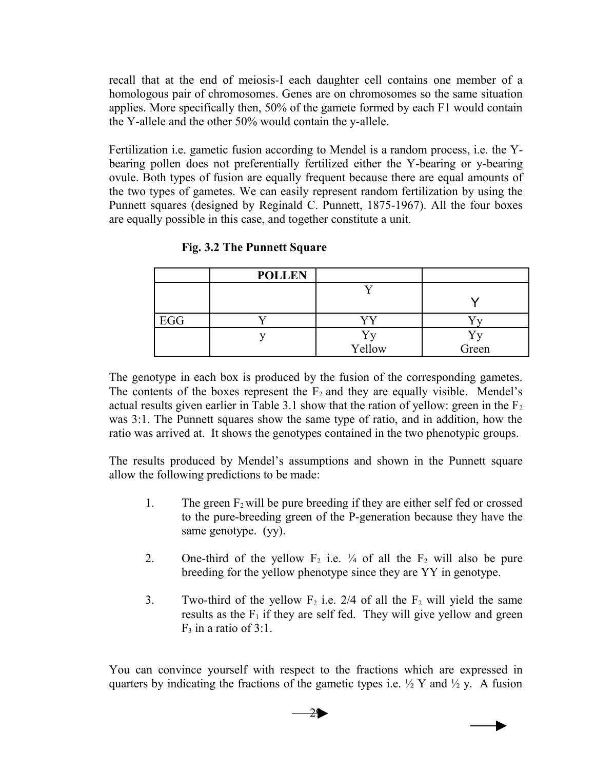recall that at the end of meiosis-I each daughter cell contains one member of a homologous pair of chromosomes. Genes are on chromosomes so the same situation applies. More specifically then, 50% of the gamete formed by each F1 would contain the Y-allele and the other 50% would contain the y-allele.

Fertilization i.e. gametic fusion according to Mendel is a random process, i.e. the Ybearing pollen does not preferentially fertilized either the Y-bearing or y-bearing ovule. Both types of fusion are equally frequent because there are equal amounts of the two types of gametes. We can easily represent random fertilization by using the Punnett squares (designed by [Reginald C. Punnett,](http://en.wikipedia.org/wiki/Reginald_C._Punnett) 1875-1967). All the four boxes are equally possible in this case, and together constitute a unit.

|     | <b>POLLEN</b> |        |       |
|-----|---------------|--------|-------|
|     |               |        |       |
|     |               |        |       |
| EGG |               |        |       |
|     |               |        |       |
|     |               | Yellow | Green |

## **Fig. 3.2 The Punnett Square**

The genotype in each box is produced by the fusion of the corresponding gametes. The contents of the boxes represent the  $F_2$  and they are equally visible. Mendel's actual results given earlier in Table 3.1 show that the ration of yellow: green in the  $F<sub>2</sub>$ was 3:1. The Punnett squares show the same type of ratio, and in addition, how the ratio was arrived at. It shows the genotypes contained in the two phenotypic groups.

The results produced by Mendel's assumptions and shown in the Punnett square allow the following predictions to be made:

- 1. The green  $F_2$  will be pure breeding if they are either self fed or crossed to the pure-breeding green of the P-generation because they have the same genotype. (yy).
- 2. One-third of the yellow  $F_2$  i.e.  $\frac{1}{4}$  of all the  $F_2$  will also be pure breeding for the yellow phenotype since they are YY in genotype.
- 3. Two-third of the yellow  $F_2$  i.e. 2/4 of all the  $F_2$  will yield the same results as the  $F_1$  if they are self fed. They will give yellow and green  $F_3$  in a ratio of 3:1.

You can convince yourself with respect to the fractions which are expressed in quarters by indicating the fractions of the gametic types i.e.  $\frac{1}{2}$  Y and  $\frac{1}{2}$  y. A fusion

 $29$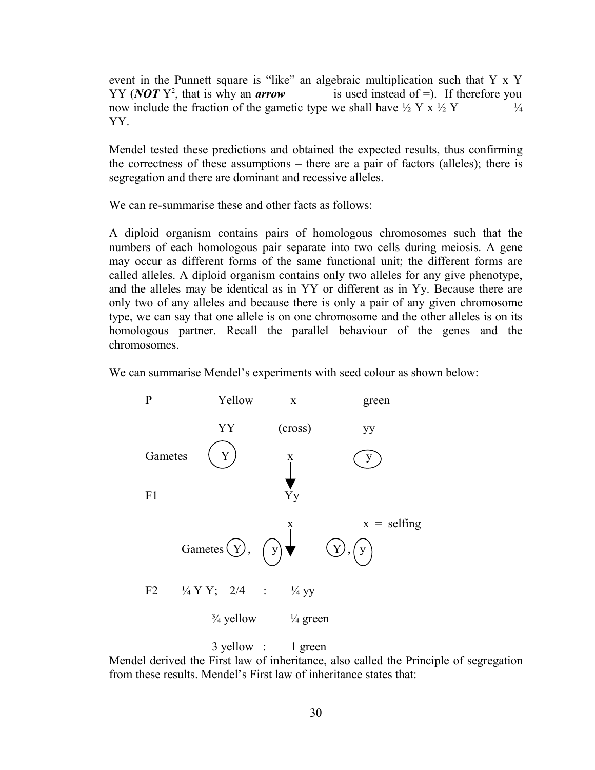event in the Punnett square is "like" an algebraic multiplication such that  $Y \times Y$  $YY$  (*NOT*  $Y^2$ , that is why an *arrow* is used instead of  $=$ ). If therefore you now include the fraction of the gametic type we shall have  $\frac{1}{2}$  Y x  $\frac{1}{2}$  Y YY.

Mendel tested these predictions and obtained the expected results, thus confirming the correctness of these assumptions – there are a pair of factors (alleles); there is segregation and there are dominant and recessive alleles.

We can re-summarise these and other facts as follows:

A diploid organism contains pairs of homologous chromosomes such that the numbers of each homologous pair separate into two cells during meiosis. A gene may occur as different forms of the same functional unit; the different forms are called alleles. A diploid organism contains only two alleles for any give phenotype, and the alleles may be identical as in YY or different as in Yy. Because there are only two of any alleles and because there is only a pair of any given chromosome type, we can say that one allele is on one chromosome and the other alleles is on its homologous partner. Recall the parallel behaviour of the genes and the chromosomes.

We can summarise Mendel's experiments with seed colour as shown below:



3 yellow : 1 green

Mendel derived the First law of inheritance, also called the Principle of segregation from these results. Mendel's First law of inheritance states that: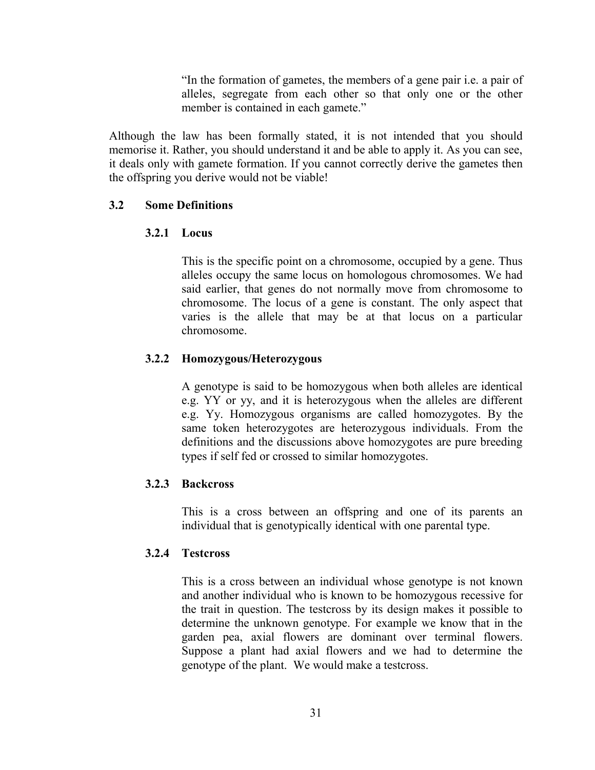"In the formation of gametes, the members of a gene pair i.e. a pair of alleles, segregate from each other so that only one or the other member is contained in each gamete."

Although the law has been formally stated, it is not intended that you should memorise it. Rather, you should understand it and be able to apply it. As you can see, it deals only with gamete formation. If you cannot correctly derive the gametes then the offspring you derive would not be viable!

### **3.2 Some Definitions**

#### **3.2.1 Locus**

This is the specific point on a chromosome, occupied by a gene. Thus alleles occupy the same locus on homologous chromosomes. We had said earlier, that genes do not normally move from chromosome to chromosome. The locus of a gene is constant. The only aspect that varies is the allele that may be at that locus on a particular chromosome.

### **3.2.2 Homozygous/Heterozygous**

A genotype is said to be homozygous when both alleles are identical e.g. YY or yy, and it is heterozygous when the alleles are different e.g. Yy. Homozygous organisms are called homozygotes. By the same token heterozygotes are heterozygous individuals. From the definitions and the discussions above homozygotes are pure breeding types if self fed or crossed to similar homozygotes.

### **3.2.3 Backcross**

This is a cross between an offspring and one of its parents an individual that is genotypically identical with one parental type.

### **3.2.4 Testcross**

This is a cross between an individual whose genotype is not known and another individual who is known to be homozygous recessive for the trait in question. The testcross by its design makes it possible to determine the unknown genotype. For example we know that in the garden pea, axial flowers are dominant over terminal flowers. Suppose a plant had axial flowers and we had to determine the genotype of the plant. We would make a testcross.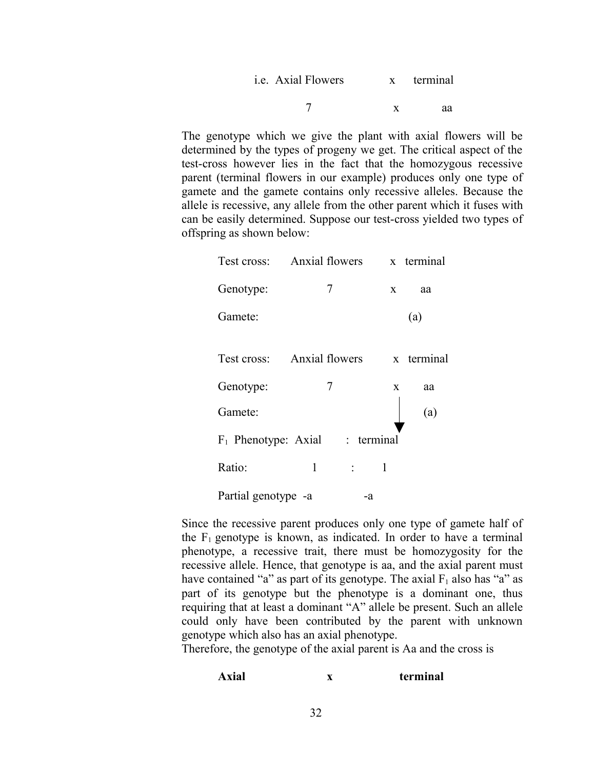| i.e. Axial Flowers | terminal |
|--------------------|----------|
|                    | аа       |

The genotype which we give the plant with axial flowers will be determined by the types of progeny we get. The critical aspect of the test-cross however lies in the fact that the homozygous recessive parent (terminal flowers in our example) produces only one type of gamete and the gamete contains only recessive alleles. Because the allele is recessive, any allele from the other parent which it fuses with can be easily determined. Suppose our test-cross yielded two types of offspring as shown below:



Since the recessive parent produces only one type of gamete half of the  $F_1$  genotype is known, as indicated. In order to have a terminal phenotype, a recessive trait, there must be homozygosity for the recessive allele. Hence, that genotype is aa, and the axial parent must have contained "a" as part of its genotype. The axial  $F_1$  also has "a" as part of its genotype but the phenotype is a dominant one, thus requiring that at least a dominant "A" allele be present. Such an allele could only have been contributed by the parent with unknown genotype which also has an axial phenotype.

Therefore, the genotype of the axial parent is Aa and the cross is

### **Axial x terminal**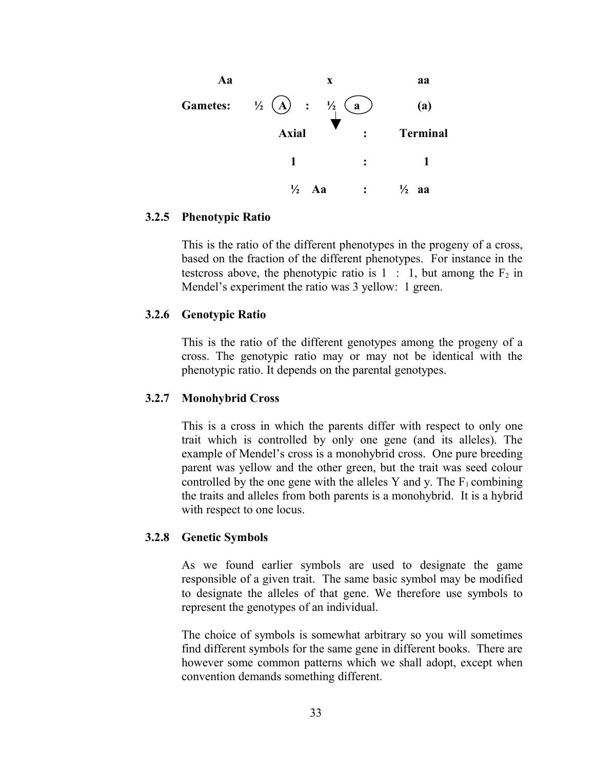

#### **3.2.5 Phenotypic Ratio**

This is the ratio of the different phenotypes in the progeny of a cross, based on the fraction of the different phenotypes. For instance in the testcross above, the phenotypic ratio is  $1 : 1$ , but among the  $F_2$  in Mendel's experiment the ratio was 3 yellow: 1 green.

### **3.2.6 Genotypic Ratio**

This is the ratio of the different genotypes among the progeny of a cross. The genotypic ratio may or may not be identical with the phenotypic ratio. It depends on the parental genotypes.

### **3.2.7 Monohybrid Cross**

This is a cross in which the parents differ with respect to only one trait which is controlled by only one gene (and its alleles). The example of Mendel's cross is a monohybrid cross. One pure breeding parent was yellow and the other green, but the trait was seed colour controlled by the one gene with the alleles Y and y. The  $F_1$  combining the traits and alleles from both parents is a monohybrid. It is a hybrid with respect to one locus.

### **3.2.8 Genetic Symbols**

As we found earlier symbols are used to designate the game responsible of a given trait. The same basic symbol may be modified to designate the alleles of that gene. We therefore use symbols to represent the genotypes of an individual.

The choice of symbols is somewhat arbitrary so you will sometimes find different symbols for the same gene in different books. There are however some common patterns which we shall adopt, except when convention demands something different.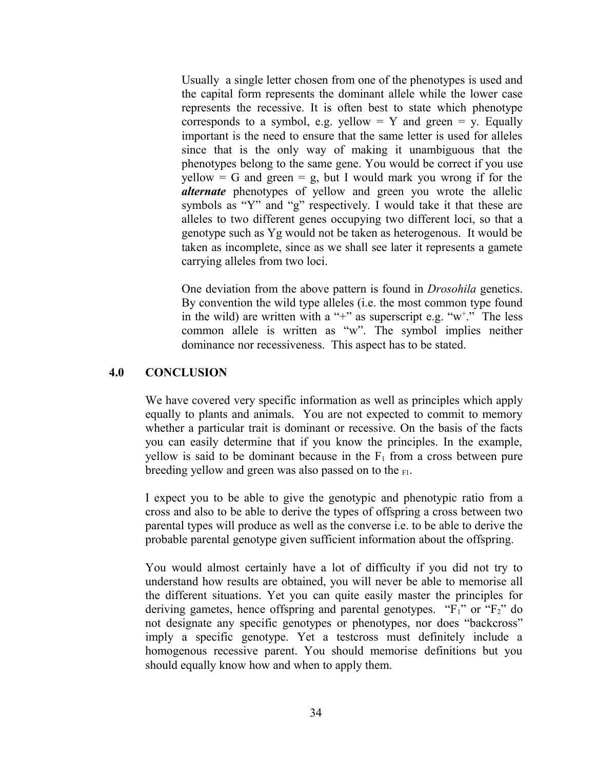Usually a single letter chosen from one of the phenotypes is used and the capital form represents the dominant allele while the lower case represents the recessive. It is often best to state which phenotype corresponds to a symbol, e.g. yellow  $= Y$  and green  $= y$ . Equally important is the need to ensure that the same letter is used for alleles since that is the only way of making it unambiguous that the phenotypes belong to the same gene. You would be correct if you use  $y$  vellow = G and green = g, but I would mark you wrong if for the *alternate* phenotypes of yellow and green you wrote the allelic symbols as "Y" and "g" respectively. I would take it that these are alleles to two different genes occupying two different loci, so that a genotype such as Yg would not be taken as heterogenous. It would be taken as incomplete, since as we shall see later it represents a gamete carrying alleles from two loci.

One deviation from the above pattern is found in *Drosohila* genetics. By convention the wild type alleles (i.e. the most common type found in the wild) are written with a "+" as superscript e.g. " $w^+$ ." The less common allele is written as "w". The symbol implies neither dominance nor recessiveness. This aspect has to be stated.

### **4.0 CONCLUSION**

We have covered very specific information as well as principles which apply equally to plants and animals. You are not expected to commit to memory whether a particular trait is dominant or recessive. On the basis of the facts you can easily determine that if you know the principles. In the example, yellow is said to be dominant because in the  $F_1$  from a cross between pure breeding yellow and green was also passed on to the  $_{F1}$ .

I expect you to be able to give the genotypic and phenotypic ratio from a cross and also to be able to derive the types of offspring a cross between two parental types will produce as well as the converse i.e. to be able to derive the probable parental genotype given sufficient information about the offspring.

You would almost certainly have a lot of difficulty if you did not try to understand how results are obtained, you will never be able to memorise all the different situations. Yet you can quite easily master the principles for deriving gametes, hence offspring and parental genotypes. " $F_1$ " or " $F_2$ " do not designate any specific genotypes or phenotypes, nor does "backcross" imply a specific genotype. Yet a testcross must definitely include a homogenous recessive parent. You should memorise definitions but you should equally know how and when to apply them.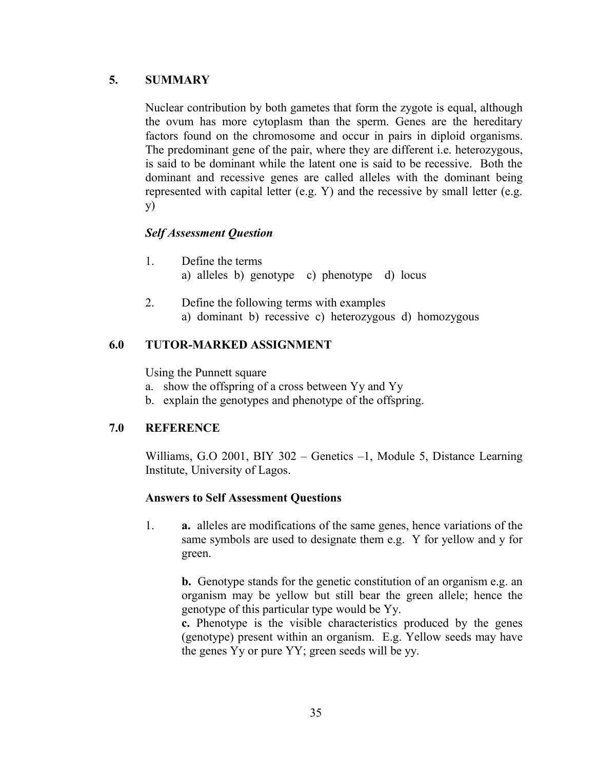# **5. SUMMARY**

Nuclear contribution by both gametes that form the zygote is equal, although the ovum has more cytoplasm than the sperm. Genes are the hereditary factors found on the chromosome and occur in pairs in diploid organisms. The predominant gene of the pair, where they are different i.e. heterozygous, is said to be dominant while the latent one is said to be recessive. Both the dominant and recessive genes are called alleles with the dominant being represented with capital letter (e.g. Y) and the recessive by small letter (e.g. y)

# *Self Assessment Question*

- 1. Define the terms a) alleles b) genotype c) phenotype d) locus
- 2. Define the following terms with examples a) dominant b) recessive c) heterozygous d) homozygous

# **6.0 TUTOR-MARKED ASSIGNMENT**

Using the Punnett square

- a. show the offspring of a cross between Yy and Yy
- b. explain the genotypes and phenotype of the offspring.

## **7.0 REFERENCE**

Williams, G.O 2001, BIY 302 – Genetics –1, Module 5, Distance Learning Institute, University of Lagos.

## **Answers to Self Assessment Questions**

1. **a.** alleles are modifications of the same genes, hence variations of the same symbols are used to designate them e.g. Y for yellow and y for green.

**b.** Genotype stands for the genetic constitution of an organism e.g. an organism may be yellow but still bear the green allele; hence the genotype of this particular type would be Yy.

**c.** Phenotype is the visible characteristics produced by the genes (genotype) present within an organism. E.g. Yellow seeds may have the genes Yy or pure YY; green seeds will be yy.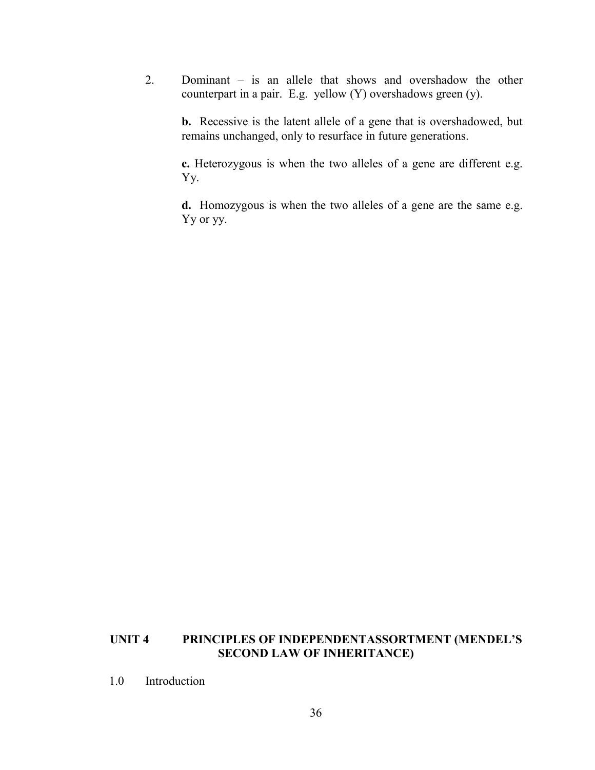2. Dominant – is an allele that shows and overshadow the other counterpart in a pair. E.g. yellow (Y) overshadows green (y).

**b.** Recessive is the latent allele of a gene that is overshadowed, but remains unchanged, only to resurface in future generations.

**c.** Heterozygous is when the two alleles of a gene are different e.g. Yy.

**d.** Homozygous is when the two alleles of a gene are the same e.g. Yy or yy.

### **UNIT 4 PRINCIPLES OF INDEPENDENTASSORTMENT (MENDEL'S SECOND LAW OF INHERITANCE)**

1.0 Introduction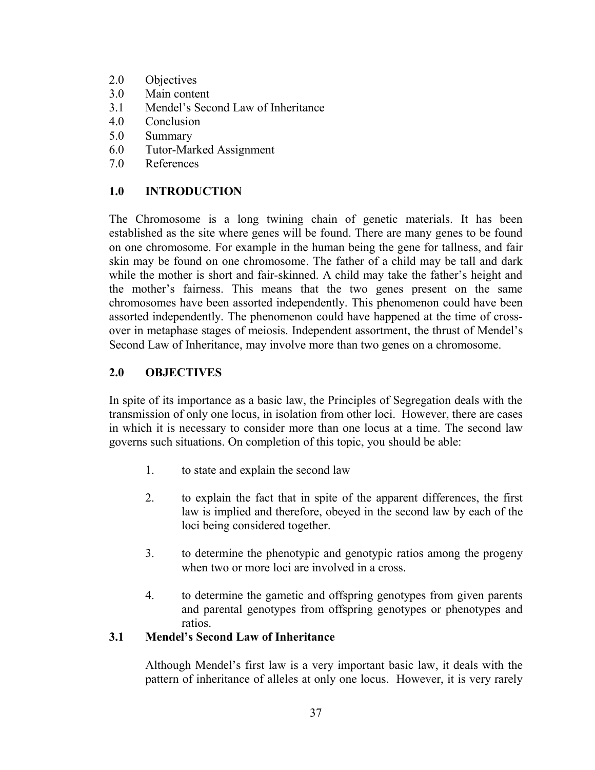- 2.0 Objectives
- 3.0 Main content
- 3.1 Mendel's Second Law of Inheritance
- 4.0 Conclusion
- 5.0 Summary
- 6.0 Tutor-Marked Assignment
- 7.0 References

# **1.0 INTRODUCTION**

The Chromosome is a long twining chain of genetic materials. It has been established as the site where genes will be found. There are many genes to be found on one chromosome. For example in the human being the gene for tallness, and fair skin may be found on one chromosome. The father of a child may be tall and dark while the mother is short and fair-skinned. A child may take the father's height and the mother's fairness. This means that the two genes present on the same chromosomes have been assorted independently. This phenomenon could have been assorted independently. The phenomenon could have happened at the time of crossover in metaphase stages of meiosis. Independent assortment, the thrust of Mendel's Second Law of Inheritance, may involve more than two genes on a chromosome.

# **2.0 OBJECTIVES**

In spite of its importance as a basic law, the Principles of Segregation deals with the transmission of only one locus, in isolation from other loci. However, there are cases in which it is necessary to consider more than one locus at a time. The second law governs such situations. On completion of this topic, you should be able:

- 1. to state and explain the second law
- 2. to explain the fact that in spite of the apparent differences, the first law is implied and therefore, obeyed in the second law by each of the loci being considered together.
- 3. to determine the phenotypic and genotypic ratios among the progeny when two or more loci are involved in a cross.
- 4. to determine the gametic and offspring genotypes from given parents and parental genotypes from offspring genotypes or phenotypes and ratios.

# **3.1 Mendel's Second Law of Inheritance**

Although Mendel's first law is a very important basic law, it deals with the pattern of inheritance of alleles at only one locus. However, it is very rarely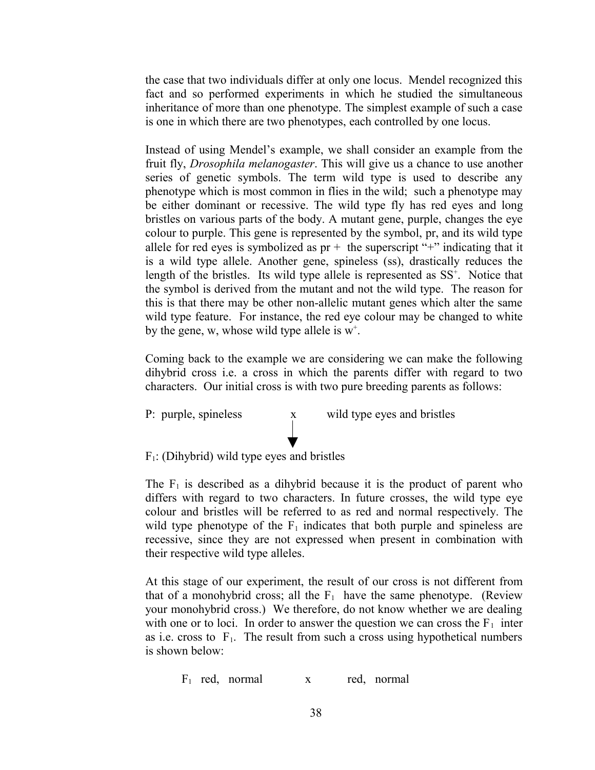the case that two individuals differ at only one locus. Mendel recognized this fact and so performed experiments in which he studied the simultaneous inheritance of more than one phenotype. The simplest example of such a case is one in which there are two phenotypes, each controlled by one locus.

Instead of using Mendel's example, we shall consider an example from the fruit fly, *Drosophila melanogaster*. This will give us a chance to use another series of genetic symbols. The term wild type is used to describe any phenotype which is most common in flies in the wild; such a phenotype may be either dominant or recessive. The wild type fly has red eyes and long bristles on various parts of the body. A mutant gene, purple, changes the eye colour to purple. This gene is represented by the symbol, pr, and its wild type allele for red eyes is symbolized as  $pr +$  the superscript "+" indicating that it is a wild type allele. Another gene, spineless (ss), drastically reduces the length of the bristles. Its wild type allele is represented as  $SS<sup>+</sup>$ . Notice that the symbol is derived from the mutant and not the wild type. The reason for this is that there may be other non-allelic mutant genes which alter the same wild type feature. For instance, the red eye colour may be changed to white by the gene, w, whose wild type allele is  $w^+$ .

Coming back to the example we are considering we can make the following dihybrid cross i.e. a cross in which the parents differ with regard to two characters. Our initial cross is with two pure breeding parents as follows:

P: purple, spineless x wild type eyes and bristles

 $F_1$ : (Dihybrid) wild type eyes and bristles

The  $F_1$  is described as a dihybrid because it is the product of parent who differs with regard to two characters. In future crosses, the wild type eye colour and bristles will be referred to as red and normal respectively. The wild type phenotype of the  $F_1$  indicates that both purple and spineless are recessive, since they are not expressed when present in combination with their respective wild type alleles.

At this stage of our experiment, the result of our cross is not different from that of a monohybrid cross; all the  $F_1$  have the same phenotype. (Review your monohybrid cross.) We therefore, do not know whether we are dealing with one or to loci. In order to answer the question we can cross the  $F_1$  inter as i.e. cross to  $F_1$ . The result from such a cross using hypothetical numbers is shown below:

 $F_1$  red, normal  $x$  red, normal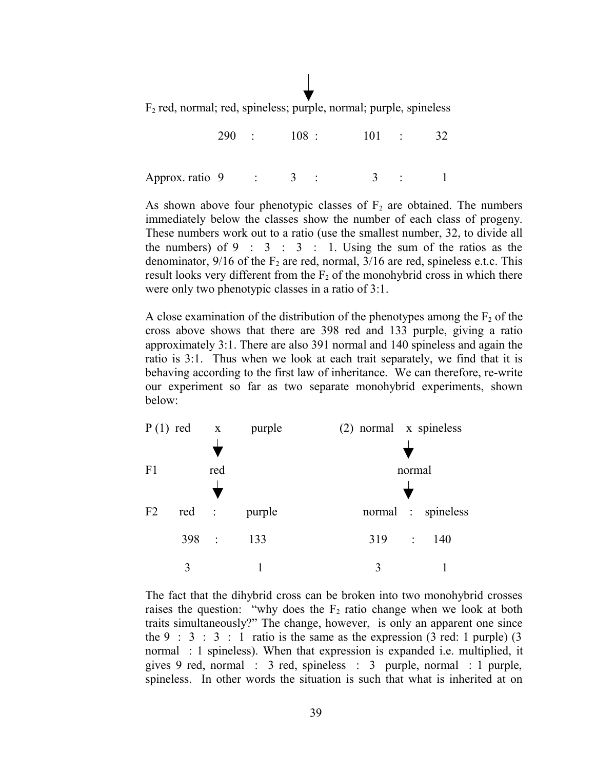$F<sub>2</sub>$  red, normal; red, spineless; purple, normal; purple, spineless

|                 | 290 | $\sigma_{\rm{max}}$ | 108: |   | 101 | ÷       |  |
|-----------------|-----|---------------------|------|---|-----|---------|--|
| Approx. ratio 9 |     | $\sim 1000$         |      | ٠ |     | $\cdot$ |  |

As shown above four phenotypic classes of  $F_2$  are obtained. The numbers immediately below the classes show the number of each class of progeny. These numbers work out to a ratio (use the smallest number, 32, to divide all the numbers) of  $9 \div 3 \div 3 \div 1$ . Using the sum of the ratios as the denominator,  $9/16$  of the  $F_2$  are red, normal,  $3/16$  are red, spineless e.t.c. This result looks very different from the  $F<sub>2</sub>$  of the monohybrid cross in which there were only two phenotypic classes in a ratio of 3:1.

A close examination of the distribution of the phenotypes among the  $F<sub>2</sub>$  of the cross above shows that there are 398 red and 133 purple, giving a ratio approximately 3:1. There are also 391 normal and 140 spineless and again the ratio is 3:1. Thus when we look at each trait separately, we find that it is behaving according to the first law of inheritance. We can therefore, re-write our experiment so far as two separate monohybrid experiments, shown below:



The fact that the dihybrid cross can be broken into two monohybrid crosses raises the question: "why does the  $F_2$  ratio change when we look at both traits simultaneously?" The change, however, is only an apparent one since the  $9 : 3 : 3 : 1$  ratio is the same as the expression (3 red: 1 purple) (3 normal : 1 spineless). When that expression is expanded i.e. multiplied, it gives 9 red, normal : 3 red, spineless : 3 purple, normal : 1 purple, spineless. In other words the situation is such that what is inherited at on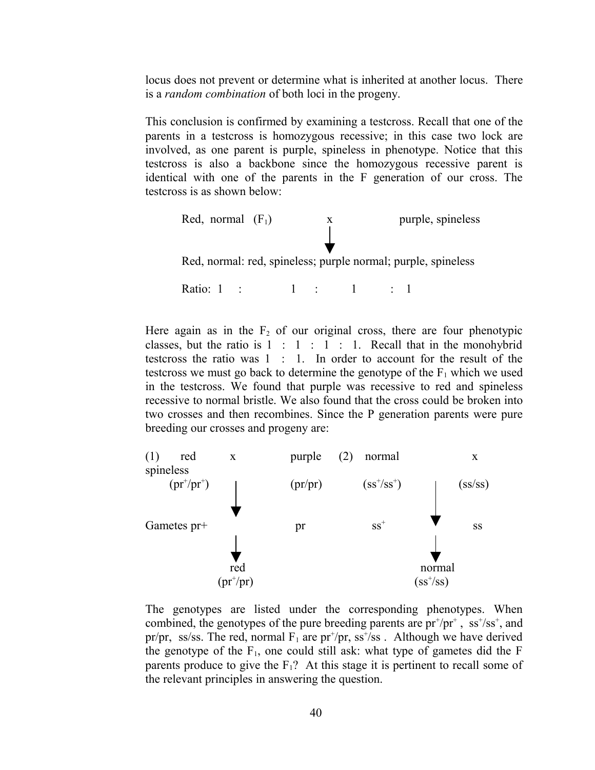locus does not prevent or determine what is inherited at another locus. There is a *random combination* of both loci in the progeny.

This conclusion is confirmed by examining a testcross. Recall that one of the parents in a testcross is homozygous recessive; in this case two lock are involved, as one parent is purple, spineless in phenotype. Notice that this testcross is also a backbone since the homozygous recessive parent is identical with one of the parents in the F generation of our cross. The testcross is as shown below:



Here again as in the  $F_2$  of our original cross, there are four phenotypic classes, but the ratio is  $1 : 1 : 1 : 1$ . Recall that in the monohybrid testcross the ratio was 1 : 1. In order to account for the result of the testcross we must go back to determine the genotype of the  $F_1$  which we used in the testcross. We found that purple was recessive to red and spineless recessive to normal bristle. We also found that the cross could be broken into two crosses and then recombines. Since the P generation parents were pure breeding our crosses and progeny are:



The genotypes are listed under the corresponding phenotypes. When combined, the genotypes of the pure breeding parents are  $pr^+/pr^+$ , ss<sup>+</sup>/ss<sup>+</sup>, and pr/pr, ss/ss. The red, normal  $F_1$  are pr<sup>+</sup>/pr, ss<sup>+</sup>/ss. Although we have derived the genotype of the  $F_1$ , one could still ask: what type of gametes did the  $F$ parents produce to give the  $F_1$ ? At this stage it is pertinent to recall some of the relevant principles in answering the question.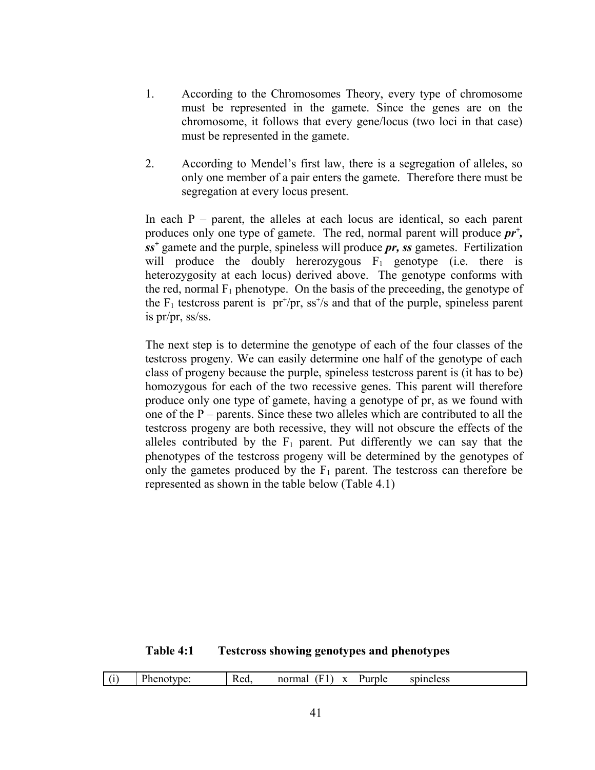- 1. According to the Chromosomes Theory, every type of chromosome must be represented in the gamete. Since the genes are on the chromosome, it follows that every gene/locus (two loci in that case) must be represented in the gamete.
- 2. According to Mendel's first law, there is a segregation of alleles, so only one member of a pair enters the gamete. Therefore there must be segregation at every locus present.

In each  $P$  – parent, the alleles at each locus are identical, so each parent produces only one type of gamete. The red, normal parent will produce *pr<sup>+</sup> , ss<sup>+</sup>* gamete and the purple, spineless will produce *pr, ss* gametes. Fertilization will produce the doubly hererozygous  $F_1$  genotype (i.e. there is heterozygosity at each locus) derived above. The genotype conforms with the red, normal  $F_1$  phenotype. On the basis of the preceeding, the genotype of the  $F_1$  testcross parent is  $pr^*/pr$ , ss<sup> $+/s$ </sup> and that of the purple, spineless parent is pr/pr, ss/ss.

The next step is to determine the genotype of each of the four classes of the testcross progeny. We can easily determine one half of the genotype of each class of progeny because the purple, spineless testcross parent is (it has to be) homozygous for each of the two recessive genes. This parent will therefore produce only one type of gamete, having a genotype of pr, as we found with one of the  $P$  – parents. Since these two alleles which are contributed to all the testcross progeny are both recessive, they will not obscure the effects of the alleles contributed by the  $F_1$  parent. Put differently we can say that the phenotypes of the testcross progeny will be determined by the genotypes of only the gametes produced by the  $F_1$  parent. The testcross can therefore be represented as shown in the table below (Table 4.1)

**Table 4:1 Testcross showing genotypes and phenotypes**

| $\cdots$<br><b>Section</b><br>ΩC<br>-<br>. .<br>на<br>11 V<br>$\sim$<br>л.<br>$\overline{\phantom{a}}$<br>$-$<br>- | $\sim$ $\sim$ $\sim$<br>ייכיה. |
|--------------------------------------------------------------------------------------------------------------------|--------------------------------|
|--------------------------------------------------------------------------------------------------------------------|--------------------------------|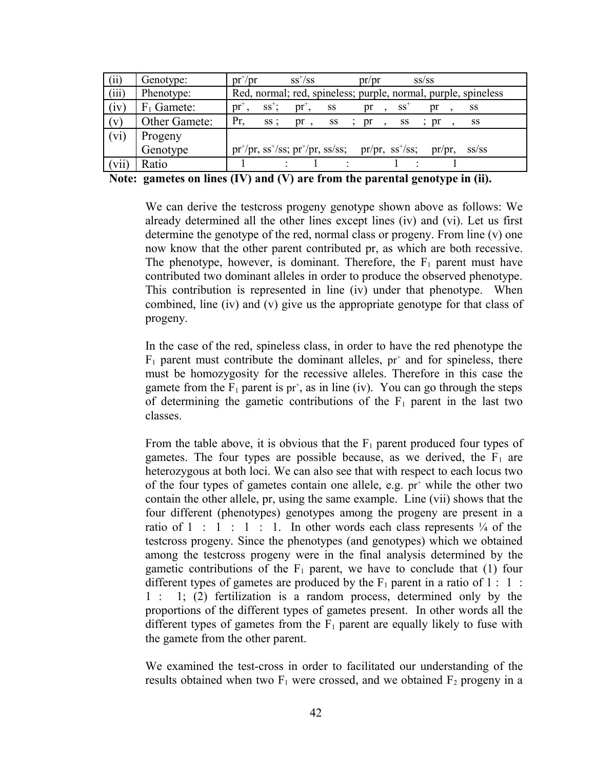| (iii)             | Genotype:           | $pr^{\dagger}/pr$            |                  | $SS^{\dagger}/SS$                                                                                                                        |    | $\text{pr}/\text{pr}$ |        | SS/SS     |                                                                |
|-------------------|---------------------|------------------------------|------------------|------------------------------------------------------------------------------------------------------------------------------------------|----|-----------------------|--------|-----------|----------------------------------------------------------------|
| (iii)             | Phenotype:          |                              |                  |                                                                                                                                          |    |                       |        |           | Red, normal; red, spineless; purple, normal, purple, spineless |
| (iv)              | $F_1$ Gamete:       | $\mathrm{pr}^{\mathrm{+}}$ , | $SS^{\dagger}$ ; | $\mathrm{pr}^{\mathrm{+}}$ ,                                                                                                             | SS | pr,                   | $SS^+$ | pr        | SS                                                             |
| $\vert (v) \vert$ | Other Gamete:       | $Pr_{x}$                     | $SS$ ;           |                                                                                                                                          |    | pr, ss ; pr,          |        | ss ; pr   | SS                                                             |
| (vi)              |                     |                              |                  |                                                                                                                                          |    |                       |        |           |                                                                |
|                   | Progeny<br>Genotype |                              |                  | $pr^{\dagger}/pr$ , ss <sup><math>\dagger</math></sup> /ss; $pr^{\dagger}/pr$ , ss/ss; $pr/pr$ , ss <sup><math>\dagger</math></sup> /ss; |    |                       |        | $pr/pr$ , | SS/SS                                                          |
| $\int$ (vii)      | Ratio               |                              |                  |                                                                                                                                          |    |                       |        |           |                                                                |

**Note: gametes on lines (IV) and (V) are from the parental genotype in (ii).**

We can derive the testcross progeny genotype shown above as follows: We already determined all the other lines except lines (iv) and (vi). Let us first determine the genotype of the red, normal class or progeny. From line (v) one now know that the other parent contributed pr, as which are both recessive. The phenotype, however, is dominant. Therefore, the  $F_1$  parent must have contributed two dominant alleles in order to produce the observed phenotype. This contribution is represented in line (iv) under that phenotype. When combined, line (iv) and (v) give us the appropriate genotype for that class of progeny.

In the case of the red, spineless class, in order to have the red phenotype the  $F_1$  parent must contribute the dominant alleles,  $pr^+$  and for spineless, there must be homozygosity for the recessive alleles. Therefore in this case the gamete from the  $F_1$  parent is  $pr^+$ , as in line (iv). You can go through the steps of determining the gametic contributions of the  $F_1$  parent in the last two classes.

From the table above, it is obvious that the  $F_1$  parent produced four types of gametes. The four types are possible because, as we derived, the  $F_1$  are heterozygous at both loci. We can also see that with respect to each locus two of the four types of gametes contain one allele, e.g. pr<sup>+</sup> while the other two contain the other allele, pr, using the same example. Line (vii) shows that the four different (phenotypes) genotypes among the progeny are present in a ratio of  $1 : 1 : 1 : 1$ . In other words each class represents  $\frac{1}{4}$  of the testcross progeny. Since the phenotypes (and genotypes) which we obtained among the testcross progeny were in the final analysis determined by the gametic contributions of the  $F_1$  parent, we have to conclude that (1) four different types of gametes are produced by the  $F_1$  parent in a ratio of 1 : 1 : 1 : 1; (2) fertilization is a random process, determined only by the proportions of the different types of gametes present. In other words all the different types of gametes from the  $F_1$  parent are equally likely to fuse with the gamete from the other parent.

We examined the test-cross in order to facilitated our understanding of the results obtained when two  $F_1$  were crossed, and we obtained  $F_2$  progeny in a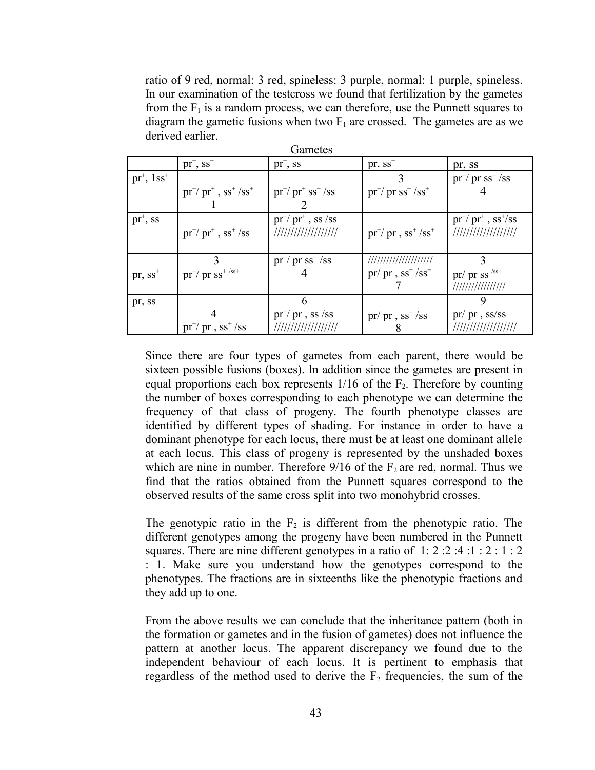ratio of 9 red, normal: 3 red, spineless: 3 purple, normal: 1 purple, spineless. In our examination of the testcross we found that fertilization by the gametes from the  $F_1$  is a random process, we can therefore, use the Punnett squares to diagram the gametic fusions when two  $F_1$  are crossed. The gametes are as we derived earlier.

 $C$ ametes

|                  |                                                                                | <b>Sallicies</b>                                 |                                                     |                                                                       |
|------------------|--------------------------------------------------------------------------------|--------------------------------------------------|-----------------------------------------------------|-----------------------------------------------------------------------|
|                  | $pr^+$ , ss <sup>+</sup>                                                       | $pr^*$ , ss                                      | $pr, ss^+$                                          | pr, ss                                                                |
| $pr^*$ , $1ss^*$ |                                                                                |                                                  |                                                     | $pr^{\dagger}/ pr$ ss <sup><math>\dagger</math></sup> /ss             |
|                  | $\text{pr}^{\dagger} / \text{pr}^{\dagger}$ , ss <sup>+</sup> /ss <sup>+</sup> | $pr^{\dagger}/ pr^{\dagger}$ ss <sup>+</sup> /ss | $pr^{\dagger}/ pr$ ss <sup>+</sup> /ss <sup>+</sup> |                                                                       |
|                  |                                                                                |                                                  |                                                     |                                                                       |
| $pr^*$ , ss      |                                                                                | $pr^{\dagger}/ pr^{\dagger}$ , ss /ss            |                                                     | $pr^{\dagger}/ pr^{\dagger}$ , ss <sup><math>\dagger</math></sup> /ss |
|                  | $pr^{+}/ pr^{+}$ , ss <sup>+</sup> /ss                                         | //////////////////                               | $pr^{+}/ pr$ , ss <sup>+</sup> /ss <sup>+</sup>     | //////////////////                                                    |
|                  |                                                                                |                                                  |                                                     |                                                                       |
|                  |                                                                                | $pr^{\dagger}/\,pr\,ss^{\dagger}/ss$             | ////////////////////                                |                                                                       |
| $pr, ss^+$       | $pr^{\dagger}/\,pr\,ss^{\dagger}\,s^{\prime}$                                  |                                                  | $\rm{pr}/\rm{pr}$ , $\rm{ss}^*/\rm{ss}^*$           | pr/ pr ss $\frac{1}{10}$                                              |
|                  |                                                                                |                                                  |                                                     | /////////////////                                                     |
| pr, ss           |                                                                                |                                                  |                                                     |                                                                       |
|                  |                                                                                | $pr^{\dagger}/ pr$ , ss /ss                      | $pr/ pr$ , ss <sup>+</sup> /ss                      | $pr/ pr$ , ss/ss                                                      |
|                  | $pr^{\dagger}/ pr$ , ss <sup>+</sup> /ss                                       | ///////////////////                              |                                                     | ///////////////////                                                   |

Since there are four types of gametes from each parent, there would be sixteen possible fusions (boxes). In addition since the gametes are present in equal proportions each box represents  $1/16$  of the  $F_2$ . Therefore by counting the number of boxes corresponding to each phenotype we can determine the frequency of that class of progeny. The fourth phenotype classes are identified by different types of shading. For instance in order to have a dominant phenotype for each locus, there must be at least one dominant allele at each locus. This class of progeny is represented by the unshaded boxes which are nine in number. Therefore  $9/16$  of the  $F_2$  are red, normal. Thus we find that the ratios obtained from the Punnett squares correspond to the observed results of the same cross split into two monohybrid crosses.

The genotypic ratio in the  $F_2$  is different from the phenotypic ratio. The different genotypes among the progeny have been numbered in the Punnett squares. There are nine different genotypes in a ratio of  $1: 2: 2: 4: 1: 2: 1: 2$ : 1. Make sure you understand how the genotypes correspond to the phenotypes. The fractions are in sixteenths like the phenotypic fractions and they add up to one.

From the above results we can conclude that the inheritance pattern (both in the formation or gametes and in the fusion of gametes) does not influence the pattern at another locus. The apparent discrepancy we found due to the independent behaviour of each locus. It is pertinent to emphasis that regardless of the method used to derive the  $F_2$  frequencies, the sum of the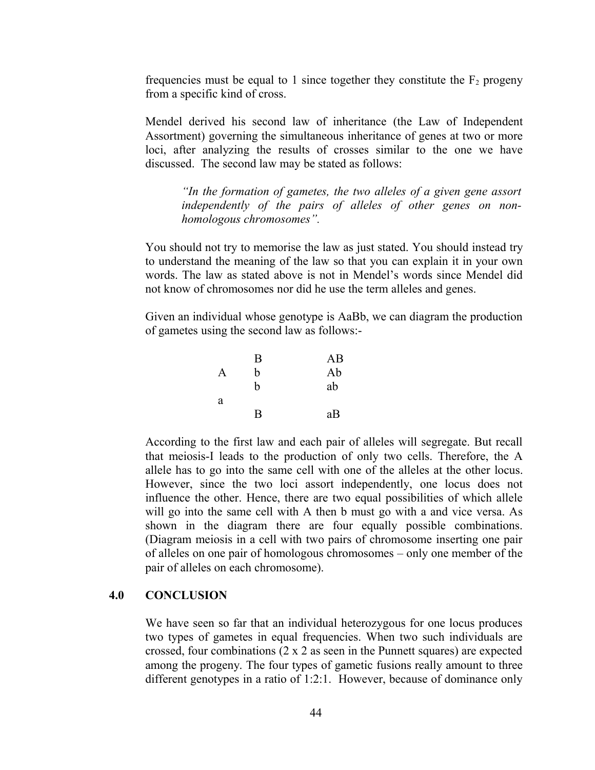frequencies must be equal to 1 since together they constitute the  $F_2$  progeny from a specific kind of cross.

Mendel derived his second law of inheritance (the Law of Independent Assortment) governing the simultaneous inheritance of genes at two or more loci, after analyzing the results of crosses similar to the one we have discussed. The second law may be stated as follows:

*"In the formation of gametes, the two alleles of a given gene assort independently of the pairs of alleles of other genes on nonhomologous chromosomes".* 

You should not try to memorise the law as just stated. You should instead try to understand the meaning of the law so that you can explain it in your own words. The law as stated above is not in Mendel's words since Mendel did not know of chromosomes nor did he use the term alleles and genes.

Given an individual whose genotype is AaBb, we can diagram the production of gametes using the second law as follows:-

|   | B | AB |
|---|---|----|
| A | b | Ab |
|   | b | ab |
| a |   |    |
|   | B | aB |

According to the first law and each pair of alleles will segregate. But recall that meiosis-I leads to the production of only two cells. Therefore, the A allele has to go into the same cell with one of the alleles at the other locus. However, since the two loci assort independently, one locus does not influence the other. Hence, there are two equal possibilities of which allele will go into the same cell with A then b must go with a and vice versa. As shown in the diagram there are four equally possible combinations. (Diagram meiosis in a cell with two pairs of chromosome inserting one pair of alleles on one pair of homologous chromosomes – only one member of the pair of alleles on each chromosome).

### **4.0 CONCLUSION**

We have seen so far that an individual heterozygous for one locus produces two types of gametes in equal frequencies. When two such individuals are crossed, four combinations (2 x 2 as seen in the Punnett squares) are expected among the progeny. The four types of gametic fusions really amount to three different genotypes in a ratio of 1:2:1. However, because of dominance only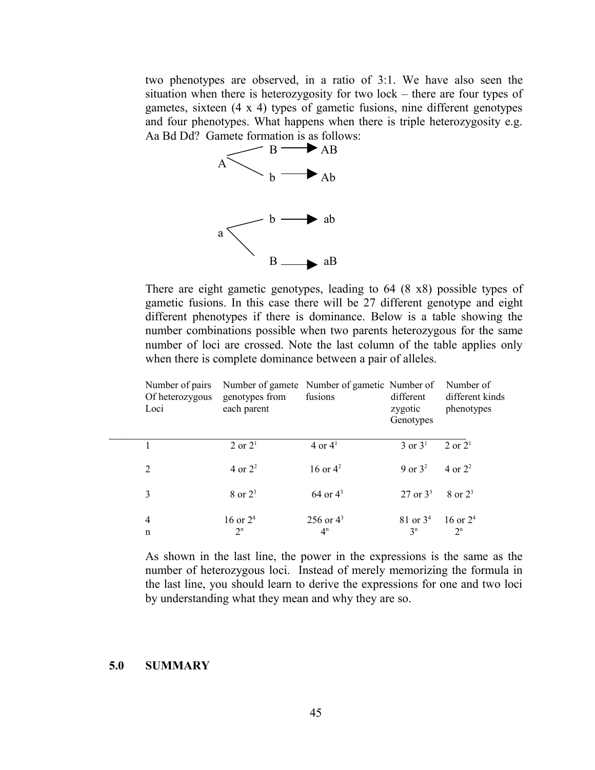two phenotypes are observed, in a ratio of 3:1. We have also seen the situation when there is heterozygosity for two lock – there are four types of gametes, sixteen (4 x 4) types of gametic fusions, nine different genotypes and four phenotypes. What happens when there is triple heterozygosity e.g. Aa Bd Dd? Gamete formation is as follows:



There are eight gametic genotypes, leading to 64 (8 x8) possible types of gametic fusions. In this case there will be 27 different genotype and eight different phenotypes if there is dominance. Below is a table showing the number combinations possible when two parents heterozygous for the same number of loci are crossed. Note the last column of the table applies only when there is complete dominance between a pair of alleles.

| Number of pairs<br>Of heterozygous<br>Loci | genotypes from<br>each parent | Number of gamete Number of gametic Number of<br>fusions | different<br>zygotic<br>Genotypes | Number of<br>different kinds<br>phenotypes |
|--------------------------------------------|-------------------------------|---------------------------------------------------------|-----------------------------------|--------------------------------------------|
|                                            | $2$ or $21$                   | 4 or $4^1$                                              | $3$ or $31$                       | $2$ or $21$                                |
| 2                                          | 4 or $2^2$                    | 16 or $4^2$                                             | 9 or $3^2$                        | 4 or $2^2$                                 |
| 3                                          | $8$ or $23$                   | $64$ or $4^3$                                           | $27 \text{ or } 3^3$              | $8$ or $23$                                |
| 4                                          | 16 or $24$                    | $256$ or $4^3$                                          | 81 or $34$                        | 16 or $2^4$                                |
| n                                          | $2^n$                         | 4 <sup>n</sup>                                          | $3^n$                             | $2^n$                                      |

As shown in the last line, the power in the expressions is the same as the number of heterozygous loci. Instead of merely memorizing the formula in the last line, you should learn to derive the expressions for one and two loci by understanding what they mean and why they are so.

#### **5.0 SUMMARY**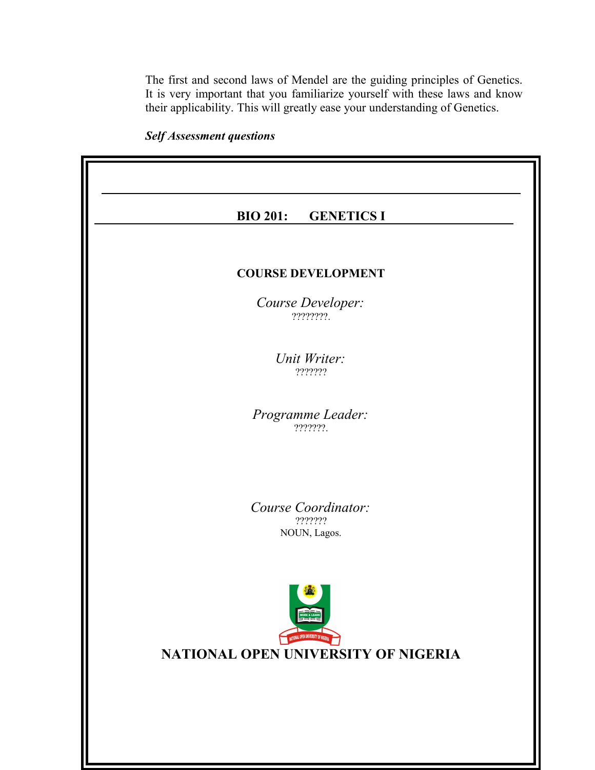The first and second laws of Mendel are the guiding principles of Genetics. It is very important that you familiarize yourself with these laws and know their applicability. This will greatly ease your understanding of Genetics.

# *Self Assessment questions*

| <b>BIO 201: GENETICS I</b>                                                 |
|----------------------------------------------------------------------------|
| <b>COURSE DEVELOPMENT</b>                                                  |
|                                                                            |
| Course Developer:<br>????????.                                             |
| Unit Writer:<br>???????                                                    |
| Programme Leader:<br>???????.                                              |
| Course Coordinator:<br>???????<br>NOUN, Lagos.                             |
| NATIONAL OPEN UNIVERSITY OF MIGERIA<br>NATIONAL OPEN UNIVERSITY OF NIGERIA |
|                                                                            |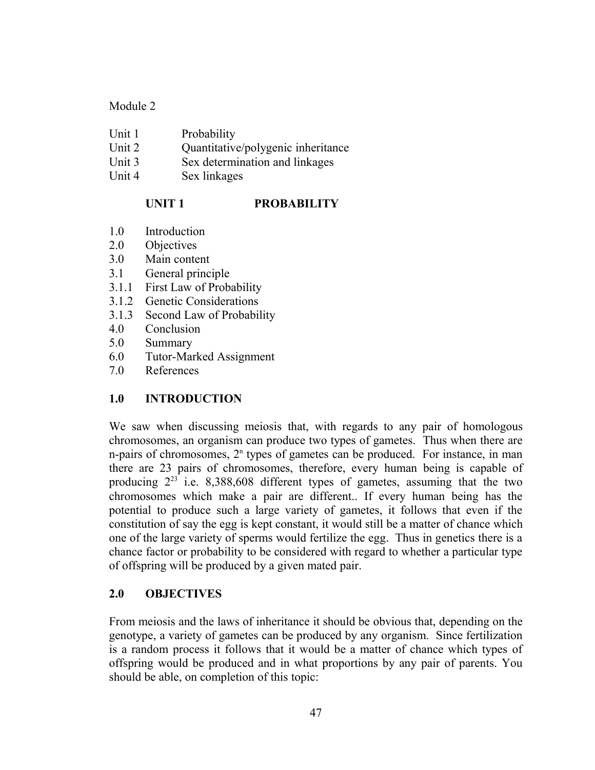#### Module 2

- Unit 1 Probability
- Unit 2 Quantitative/polygenic inheritance
- Unit 3 Sex determination and linkages
- Unit 4 Sex linkages

### **UNIT 1 PROBABILITY**

- 1.0 Introduction
- 2.0 Objectives
- 3.0 Main content
- 3.1 General principle
- 3.1.1 First Law of Probability
- 3.1.2 Genetic Considerations
- 3.1.3 Second Law of Probability
- 4.0 Conclusion
- 5.0 Summary
- 6.0 Tutor-Marked Assignment
- 7.0 References

### **1.0 INTRODUCTION**

We saw when discussing meiosis that, with regards to any pair of homologous chromosomes, an organism can produce two types of gametes. Thus when there are n-pairs of chromosomes, 2<sup>n</sup> types of gametes can be produced. For instance, in man there are 23 pairs of chromosomes, therefore, every human being is capable of producing  $2^{23}$  i.e. 8,388,608 different types of gametes, assuming that the two chromosomes which make a pair are different.. If every human being has the potential to produce such a large variety of gametes, it follows that even if the constitution of say the egg is kept constant, it would still be a matter of chance which one of the large variety of sperms would fertilize the egg. Thus in genetics there is a chance factor or probability to be considered with regard to whether a particular type of offspring will be produced by a given mated pair.

### **2.0 OBJECTIVES**

From meiosis and the laws of inheritance it should be obvious that, depending on the genotype, a variety of gametes can be produced by any organism. Since fertilization is a random process it follows that it would be a matter of chance which types of offspring would be produced and in what proportions by any pair of parents. You should be able, on completion of this topic: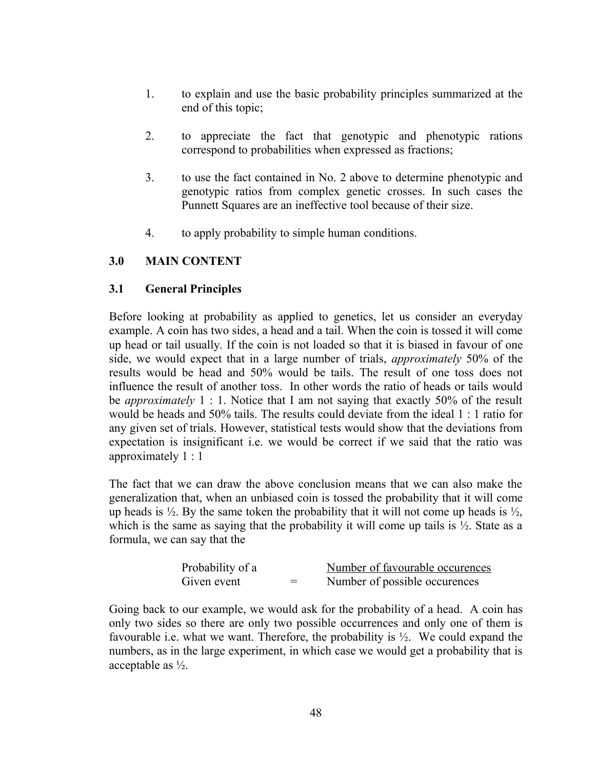- 1. to explain and use the basic probability principles summarized at the end of this topic;
- 2. to appreciate the fact that genotypic and phenotypic rations correspond to probabilities when expressed as fractions;
- 3. to use the fact contained in No. 2 above to determine phenotypic and genotypic ratios from complex genetic crosses. In such cases the Punnett Squares are an ineffective tool because of their size.
- 4. to apply probability to simple human conditions.

## **3.0 MAIN CONTENT**

### **3.1 General Principles**

Before looking at probability as applied to genetics, let us consider an everyday example. A coin has two sides, a head and a tail. When the coin is tossed it will come up head or tail usually. If the coin is not loaded so that it is biased in favour of one side, we would expect that in a large number of trials, *approximately* 50% of the results would be head and 50% would be tails. The result of one toss does not influence the result of another toss. In other words the ratio of heads or tails would be *approximately* 1 : 1. Notice that I am not saying that exactly 50% of the result would be heads and 50% tails. The results could deviate from the ideal 1 : 1 ratio for any given set of trials. However, statistical tests would show that the deviations from expectation is insignificant i.e. we would be correct if we said that the ratio was approximately 1 : 1

The fact that we can draw the above conclusion means that we can also make the generalization that, when an unbiased coin is tossed the probability that it will come up heads is  $\frac{1}{2}$ . By the same token the probability that it will not come up heads is  $\frac{1}{2}$ , which is the same as saying that the probability it will come up tails is  $\frac{1}{2}$ . State as a formula, we can say that the

| Probability of a |   | Number of favourable occurences |
|------------------|---|---------------------------------|
| Given event      | = | Number of possible occurences   |

Going back to our example, we would ask for the probability of a head. A coin has only two sides so there are only two possible occurrences and only one of them is favourable i.e. what we want. Therefore, the probability is ½. We could expand the numbers, as in the large experiment, in which case we would get a probability that is acceptable as ½.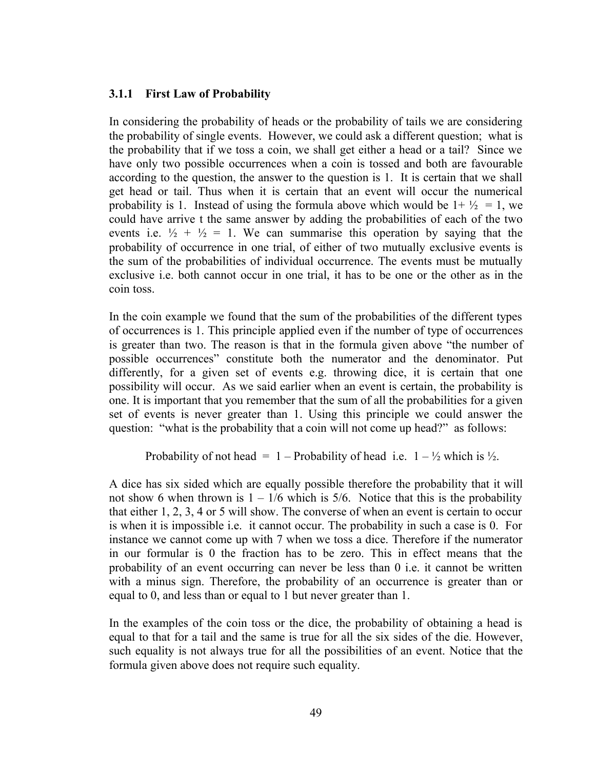#### **3.1.1 First Law of Probability**

In considering the probability of heads or the probability of tails we are considering the probability of single events. However, we could ask a different question; what is the probability that if we toss a coin, we shall get either a head or a tail? Since we have only two possible occurrences when a coin is tossed and both are favourable according to the question, the answer to the question is 1. It is certain that we shall get head or tail. Thus when it is certain that an event will occur the numerical probability is 1. Instead of using the formula above which would be  $1 + \frac{1}{2} = 1$ , we could have arrive t the same answer by adding the probabilities of each of the two events i.e.  $\frac{1}{2} + \frac{1}{2} = 1$ . We can summarise this operation by saying that the probability of occurrence in one trial, of either of two mutually exclusive events is the sum of the probabilities of individual occurrence. The events must be mutually exclusive i.e. both cannot occur in one trial, it has to be one or the other as in the coin toss.

In the coin example we found that the sum of the probabilities of the different types of occurrences is 1. This principle applied even if the number of type of occurrences is greater than two. The reason is that in the formula given above "the number of possible occurrences" constitute both the numerator and the denominator. Put differently, for a given set of events e.g. throwing dice, it is certain that one possibility will occur. As we said earlier when an event is certain, the probability is one. It is important that you remember that the sum of all the probabilities for a given set of events is never greater than 1. Using this principle we could answer the question: "what is the probability that a coin will not come up head?" as follows:

```
Probability of not head = 1 – Probability of head i.e. 1 - \frac{1}{2} which is \frac{1}{2}.
```
A dice has six sided which are equally possible therefore the probability that it will not show 6 when thrown is  $1 - 1/6$  which is 5/6. Notice that this is the probability that either 1, 2, 3, 4 or 5 will show. The converse of when an event is certain to occur is when it is impossible i.e. it cannot occur. The probability in such a case is 0. For instance we cannot come up with 7 when we toss a dice. Therefore if the numerator in our formular is 0 the fraction has to be zero. This in effect means that the probability of an event occurring can never be less than 0 i.e. it cannot be written with a minus sign. Therefore, the probability of an occurrence is greater than or equal to 0, and less than or equal to 1 but never greater than 1.

In the examples of the coin toss or the dice, the probability of obtaining a head is equal to that for a tail and the same is true for all the six sides of the die. However, such equality is not always true for all the possibilities of an event. Notice that the formula given above does not require such equality.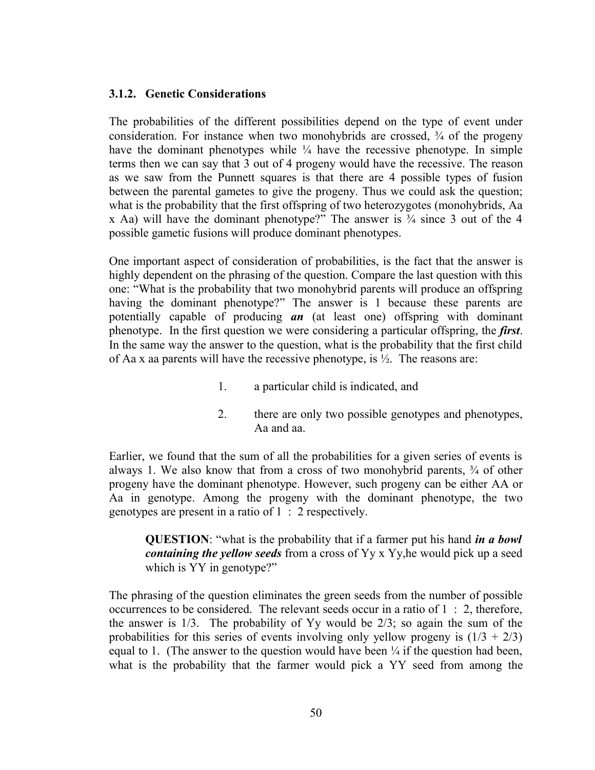#### **3.1.2. Genetic Considerations**

The probabilities of the different possibilities depend on the type of event under consideration. For instance when two monohybrids are crossed,  $\frac{3}{4}$  of the progeny have the dominant phenotypes while  $\frac{1}{4}$  have the recessive phenotype. In simple terms then we can say that 3 out of 4 progeny would have the recessive. The reason as we saw from the Punnett squares is that there are 4 possible types of fusion between the parental gametes to give the progeny. Thus we could ask the question; what is the probability that the first offspring of two heterozygotes (monohybrids, Aa x Aa) will have the dominant phenotype?" The answer is  $\frac{3}{4}$  since 3 out of the 4 possible gametic fusions will produce dominant phenotypes.

One important aspect of consideration of probabilities, is the fact that the answer is highly dependent on the phrasing of the question. Compare the last question with this one: "What is the probability that two monohybrid parents will produce an offspring having the dominant phenotype?" The answer is 1 because these parents are potentially capable of producing *an* (at least one) offspring with dominant phenotype. In the first question we were considering a particular offspring, the *first*. In the same way the answer to the question, what is the probability that the first child of Aa x aa parents will have the recessive phenotype, is  $\frac{1}{2}$ . The reasons are:

- 1. a particular child is indicated, and
- 2. there are only two possible genotypes and phenotypes, Aa and aa.

Earlier, we found that the sum of all the probabilities for a given series of events is always 1. We also know that from a cross of two monohybrid parents,  $\frac{3}{4}$  of other progeny have the dominant phenotype. However, such progeny can be either AA or Aa in genotype. Among the progeny with the dominant phenotype, the two genotypes are present in a ratio of 1 : 2 respectively.

**QUESTION**: "what is the probability that if a farmer put his hand *in a bowl containing the yellow seeds* from a cross of Yy x Yy,he would pick up a seed which is YY in genotype?"

The phrasing of the question eliminates the green seeds from the number of possible occurrences to be considered. The relevant seeds occur in a ratio of 1 : 2, therefore, the answer is 1/3. The probability of Yy would be 2/3; so again the sum of the probabilities for this series of events involving only yellow progeny is  $(1/3 + 2/3)$ equal to 1. (The answer to the question would have been  $\frac{1}{4}$  if the question had been, what is the probability that the farmer would pick a YY seed from among the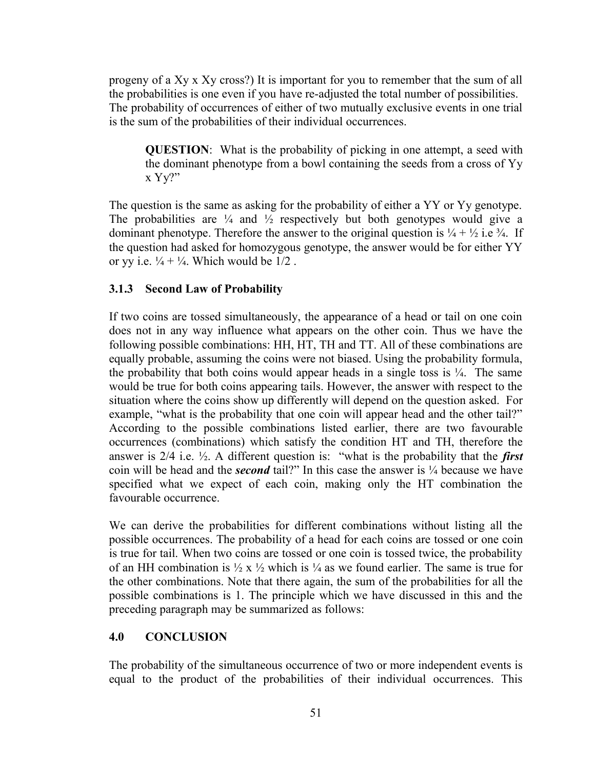progeny of a Xy x Xy cross?) It is important for you to remember that the sum of all the probabilities is one even if you have re-adjusted the total number of possibilities. The probability of occurrences of either of two mutually exclusive events in one trial is the sum of the probabilities of their individual occurrences.

**QUESTION**: What is the probability of picking in one attempt, a seed with the dominant phenotype from a bowl containing the seeds from a cross of Yy x Yy?"

The question is the same as asking for the probability of either a YY or Yy genotype. The probabilities are  $\frac{1}{4}$  and  $\frac{1}{2}$  respectively but both genotypes would give a dominant phenotype. Therefore the answer to the original question is  $\frac{1}{4} + \frac{1}{2}$  i.e  $\frac{3}{4}$ . If the question had asked for homozygous genotype, the answer would be for either YY or yy i.e.  $\frac{1}{4} + \frac{1}{4}$ . Which would be  $1/2$ .

#### **3.1.3 Second Law of Probability**

If two coins are tossed simultaneously, the appearance of a head or tail on one coin does not in any way influence what appears on the other coin. Thus we have the following possible combinations: HH, HT, TH and TT. All of these combinations are equally probable, assuming the coins were not biased. Using the probability formula, the probability that both coins would appear heads in a single toss is  $\frac{1}{4}$ . The same would be true for both coins appearing tails. However, the answer with respect to the situation where the coins show up differently will depend on the question asked. For example, "what is the probability that one coin will appear head and the other tail?" According to the possible combinations listed earlier, there are two favourable occurrences (combinations) which satisfy the condition HT and TH, therefore the answer is 2/4 i.e. ½. A different question is: "what is the probability that the *first* coin will be head and the *second* tail?" In this case the answer is ¼ because we have specified what we expect of each coin, making only the HT combination the favourable occurrence.

We can derive the probabilities for different combinations without listing all the possible occurrences. The probability of a head for each coins are tossed or one coin is true for tail. When two coins are tossed or one coin is tossed twice, the probability of an HH combination is  $\frac{1}{2} \times \frac{1}{2}$  which is  $\frac{1}{4}$  as we found earlier. The same is true for the other combinations. Note that there again, the sum of the probabilities for all the possible combinations is 1. The principle which we have discussed in this and the preceding paragraph may be summarized as follows:

#### **4.0 CONCLUSION**

The probability of the simultaneous occurrence of two or more independent events is equal to the product of the probabilities of their individual occurrences. This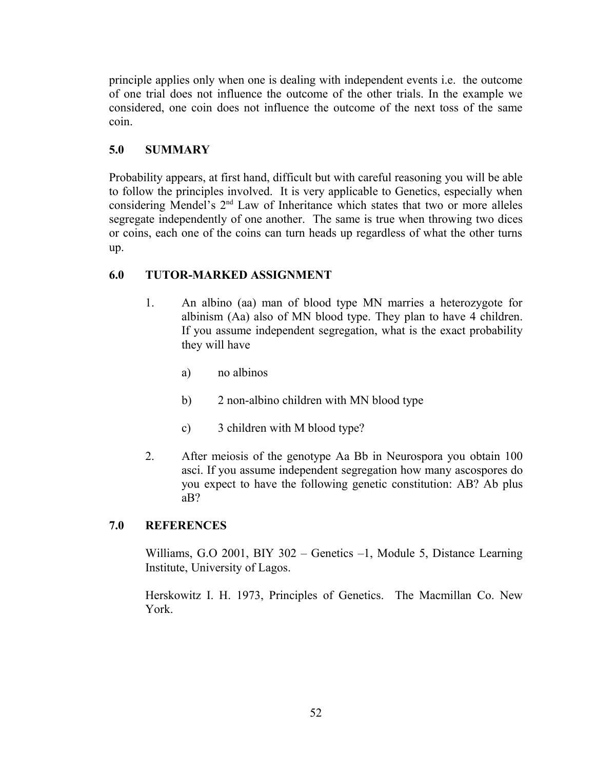principle applies only when one is dealing with independent events i.e. the outcome of one trial does not influence the outcome of the other trials. In the example we considered, one coin does not influence the outcome of the next toss of the same coin.

## **5.0 SUMMARY**

Probability appears, at first hand, difficult but with careful reasoning you will be able to follow the principles involved. It is very applicable to Genetics, especially when considering Mendel's 2nd Law of Inheritance which states that two or more alleles segregate independently of one another. The same is true when throwing two dices or coins, each one of the coins can turn heads up regardless of what the other turns up.

## **6.0 TUTOR-MARKED ASSIGNMENT**

- 1. An albino (aa) man of blood type MN marries a heterozygote for albinism (Aa) also of MN blood type. They plan to have 4 children. If you assume independent segregation, what is the exact probability they will have
	- a) no albinos
	- b) 2 non-albino children with MN blood type
	- c) 3 children with M blood type?
- 2. After meiosis of the genotype Aa Bb in Neurospora you obtain 100 asci. If you assume independent segregation how many ascospores do you expect to have the following genetic constitution: AB? Ab plus aB?

### **7.0 REFERENCES**

Williams, G.O 2001, BIY 302 – Genetics –1, Module 5, Distance Learning Institute, University of Lagos.

Herskowitz I. H. 1973, Principles of Genetics. The Macmillan Co. New York.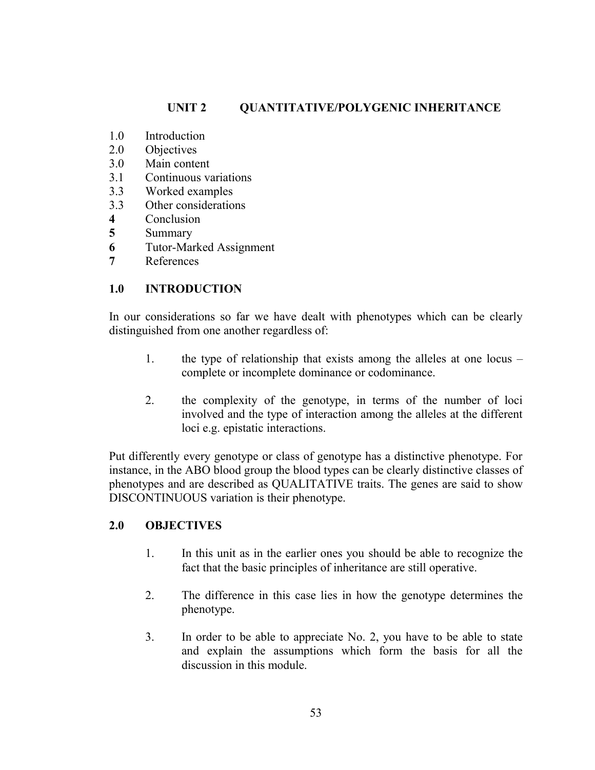## **UNIT 2 QUANTITATIVE/POLYGENIC INHERITANCE**

- 1.0 Introduction
- 2.0 Objectives
- 3.0 Main content
- 3.1 Continuous variations
- 3.3 Worked examples
- 3.3 Other considerations
- **4** Conclusion
- **5** Summary
- **6** Tutor-Marked Assignment
- **7** References

### **1.0 INTRODUCTION**

In our considerations so far we have dealt with phenotypes which can be clearly distinguished from one another regardless of:

- 1. the type of relationship that exists among the alleles at one locus complete or incomplete dominance or codominance.
- 2. the complexity of the genotype, in terms of the number of loci involved and the type of interaction among the alleles at the different loci e.g. epistatic interactions.

Put differently every genotype or class of genotype has a distinctive phenotype. For instance, in the ABO blood group the blood types can be clearly distinctive classes of phenotypes and are described as QUALITATIVE traits. The genes are said to show DISCONTINUOUS variation is their phenotype.

### **2.0 OBJECTIVES**

- 1. In this unit as in the earlier ones you should be able to recognize the fact that the basic principles of inheritance are still operative.
- 2. The difference in this case lies in how the genotype determines the phenotype.
- 3. In order to be able to appreciate No. 2, you have to be able to state and explain the assumptions which form the basis for all the discussion in this module.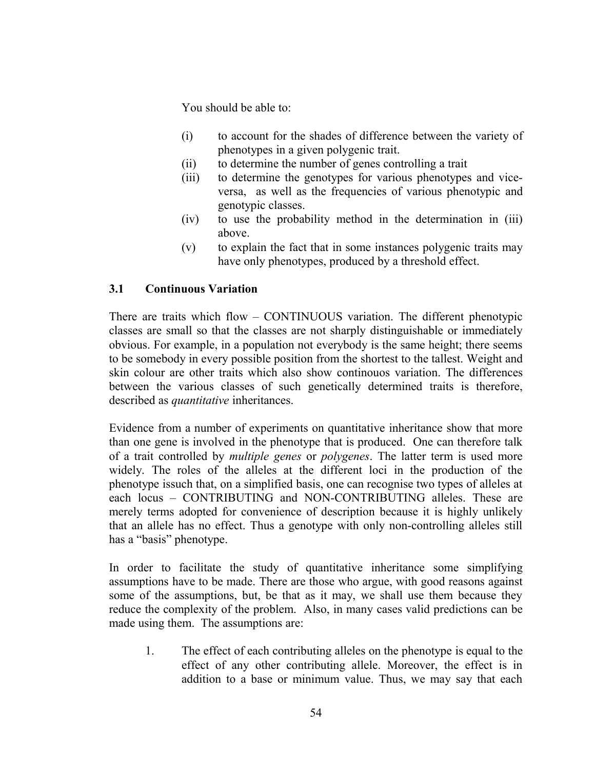You should be able to:

- (i) to account for the shades of difference between the variety of phenotypes in a given polygenic trait.
- (ii) to determine the number of genes controlling a trait
- (iii) to determine the genotypes for various phenotypes and viceversa, as well as the frequencies of various phenotypic and genotypic classes.
- (iv) to use the probability method in the determination in (iii) above.
- (v) to explain the fact that in some instances polygenic traits may have only phenotypes, produced by a threshold effect.

## **3.1 Continuous Variation**

There are traits which flow – CONTINUOUS variation. The different phenotypic classes are small so that the classes are not sharply distinguishable or immediately obvious. For example, in a population not everybody is the same height; there seems to be somebody in every possible position from the shortest to the tallest. Weight and skin colour are other traits which also show continouos variation. The differences between the various classes of such genetically determined traits is therefore, described as *quantitative* inheritances.

Evidence from a number of experiments on quantitative inheritance show that more than one gene is involved in the phenotype that is produced. One can therefore talk of a trait controlled by *multiple genes* or *polygenes*. The latter term is used more widely. The roles of the alleles at the different loci in the production of the phenotype issuch that, on a simplified basis, one can recognise two types of alleles at each locus – CONTRIBUTING and NON-CONTRIBUTING alleles. These are merely terms adopted for convenience of description because it is highly unlikely that an allele has no effect. Thus a genotype with only non-controlling alleles still has a "basis" phenotype.

In order to facilitate the study of quantitative inheritance some simplifying assumptions have to be made. There are those who argue, with good reasons against some of the assumptions, but, be that as it may, we shall use them because they reduce the complexity of the problem. Also, in many cases valid predictions can be made using them. The assumptions are:

1. The effect of each contributing alleles on the phenotype is equal to the effect of any other contributing allele. Moreover, the effect is in addition to a base or minimum value. Thus, we may say that each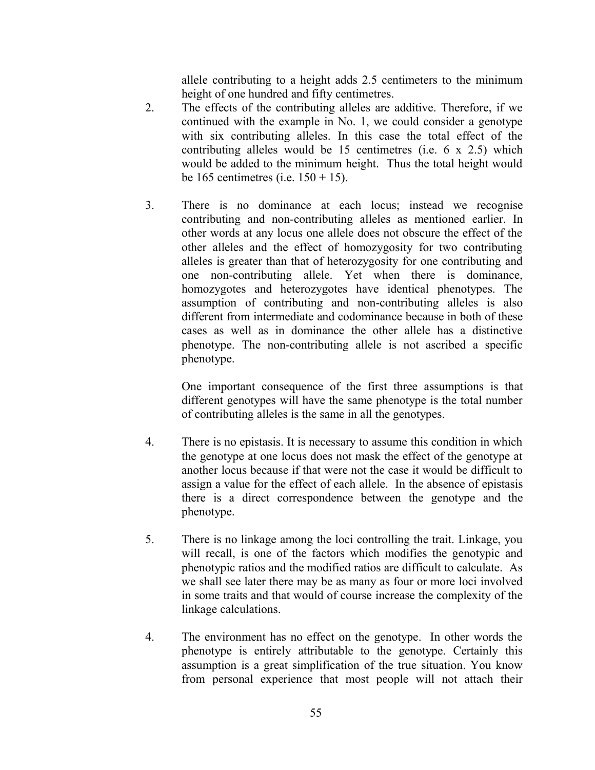allele contributing to a height adds 2.5 centimeters to the minimum height of one hundred and fifty centimetres.

- 2. The effects of the contributing alleles are additive. Therefore, if we continued with the example in No. 1, we could consider a genotype with six contributing alleles. In this case the total effect of the contributing alleles would be 15 centimetres (i.e. 6 x 2.5) which would be added to the minimum height. Thus the total height would be 165 centimetres (i.e.  $150 + 15$ ).
- 3. There is no dominance at each locus; instead we recognise contributing and non-contributing alleles as mentioned earlier. In other words at any locus one allele does not obscure the effect of the other alleles and the effect of homozygosity for two contributing alleles is greater than that of heterozygosity for one contributing and one non-contributing allele. Yet when there is dominance, homozygotes and heterozygotes have identical phenotypes. The assumption of contributing and non-contributing alleles is also different from intermediate and codominance because in both of these cases as well as in dominance the other allele has a distinctive phenotype. The non-contributing allele is not ascribed a specific phenotype.

One important consequence of the first three assumptions is that different genotypes will have the same phenotype is the total number of contributing alleles is the same in all the genotypes.

- 4. There is no epistasis. It is necessary to assume this condition in which the genotype at one locus does not mask the effect of the genotype at another locus because if that were not the case it would be difficult to assign a value for the effect of each allele. In the absence of epistasis there is a direct correspondence between the genotype and the phenotype.
- 5. There is no linkage among the loci controlling the trait. Linkage, you will recall, is one of the factors which modifies the genotypic and phenotypic ratios and the modified ratios are difficult to calculate. As we shall see later there may be as many as four or more loci involved in some traits and that would of course increase the complexity of the linkage calculations.
- 4. The environment has no effect on the genotype. In other words the phenotype is entirely attributable to the genotype. Certainly this assumption is a great simplification of the true situation. You know from personal experience that most people will not attach their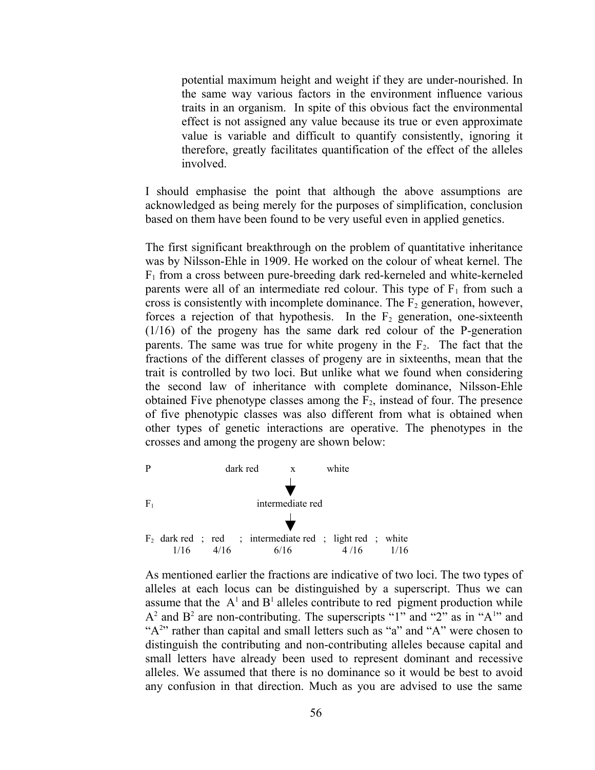potential maximum height and weight if they are under-nourished. In the same way various factors in the environment influence various traits in an organism. In spite of this obvious fact the environmental effect is not assigned any value because its true or even approximate value is variable and difficult to quantify consistently, ignoring it therefore, greatly facilitates quantification of the effect of the alleles involved.

I should emphasise the point that although the above assumptions are acknowledged as being merely for the purposes of simplification, conclusion based on them have been found to be very useful even in applied genetics.

The first significant breakthrough on the problem of quantitative inheritance was by Nilsson-Ehle in 1909. He worked on the colour of wheat kernel. The  $F_1$  from a cross between pure-breeding dark red-kerneled and white-kerneled parents were all of an intermediate red colour. This type of  $F_1$  from such a cross is consistently with incomplete dominance. The  $F_2$  generation, however, forces a rejection of that hypothesis. In the  $F<sub>2</sub>$  generation, one-sixteenth (1/16) of the progeny has the same dark red colour of the P-generation parents. The same was true for white progeny in the  $F<sub>2</sub>$ . The fact that the fractions of the different classes of progeny are in sixteenths, mean that the trait is controlled by two loci. But unlike what we found when considering the second law of inheritance with complete dominance, Nilsson-Ehle obtained Five phenotype classes among the  $F_2$ , instead of four. The presence of five phenotypic classes was also different from what is obtained when other types of genetic interactions are operative. The phenotypes in the crosses and among the progeny are shown below:



As mentioned earlier the fractions are indicative of two loci. The two types of alleles at each locus can be distinguished by a superscript. Thus we can assume that the  $A^1$  and  $B^1$  alleles contribute to red pigment production while  $A<sup>2</sup>$  and  $B<sup>2</sup>$  are non-contributing. The superscripts "1" and "2" as in " $A<sup>1</sup>$ " and " $A<sup>2</sup>$ " rather than capital and small letters such as "a" and " $A$ " were chosen to distinguish the contributing and non-contributing alleles because capital and small letters have already been used to represent dominant and recessive alleles. We assumed that there is no dominance so it would be best to avoid any confusion in that direction. Much as you are advised to use the same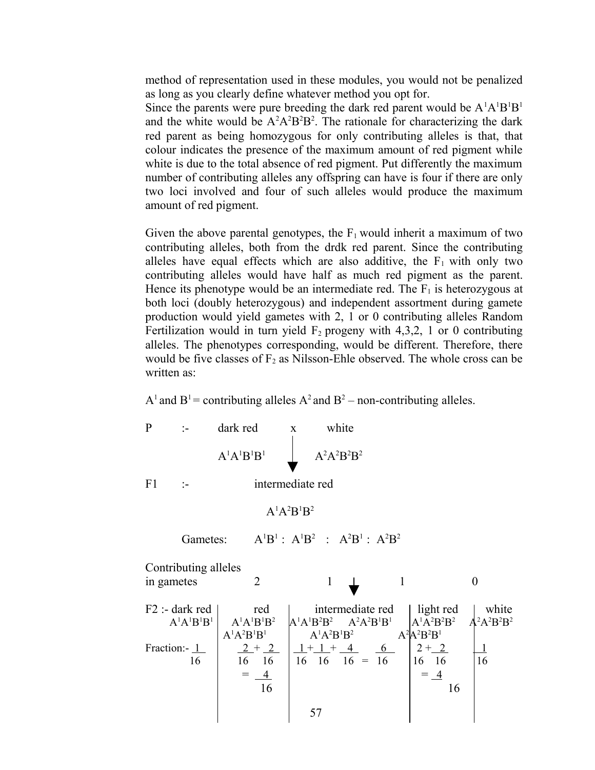method of representation used in these modules, you would not be penalized as long as you clearly define whatever method you opt for.

Since the parents were pure breeding the dark red parent would be  $A<sup>1</sup>A<sup>1</sup>B<sup>1</sup>B<sup>1</sup>$ and the white would be  $A^2A^2B^2B^2$ . The rationale for characterizing the dark red parent as being homozygous for only contributing alleles is that, that colour indicates the presence of the maximum amount of red pigment while white is due to the total absence of red pigment. Put differently the maximum number of contributing alleles any offspring can have is four if there are only two loci involved and four of such alleles would produce the maximum amount of red pigment.

Given the above parental genotypes, the  $F_1$  would inherit a maximum of two contributing alleles, both from the drdk red parent. Since the contributing alleles have equal effects which are also additive, the  $F_1$  with only two contributing alleles would have half as much red pigment as the parent. Hence its phenotype would be an intermediate red. The  $F_1$  is heterozygous at both loci (doubly heterozygous) and independent assortment during gamete production would yield gametes with 2, 1 or 0 contributing alleles Random Fertilization would in turn yield  $F_2$  progeny with 4,3,2, 1 or 0 contributing alleles. The phenotypes corresponding, would be different. Therefore, there would be five classes of  $F_2$  as Nilsson-Ehle observed. The whole cross can be written as:

 $A^1$  and  $B^1$  = contributing alleles  $A^2$  and  $B^2$  – non-contributing alleles.

P : dark red  
\n
$$
A^1A^1B^1B^1
$$
  
\n $A^2A^2B^2B^2$   
\nFI : intermediate red  
\n $A^1A^2B^1B^2$   
\nGametes:  $A^1B^1$ :  $A^1B^2$  :  $A^2B^1$ :  $A^2B^2$   
\nContinuting alleles  
\nin gametes  
\n2 1  
\n $I$   
\n1 0  
\nF2 : dark red  
\n $A^1A^1B^1B^1$   
\n $A^1A^1B^1B^2$   
\n $A^1A^1B^1B^2$   
\n $A^1A^2B^1B^2$   
\n $A^1A^2B^1B^2$   
\n $A^1A^2B^1B^2$   
\n $A^1A^2B^1B^2$   
\n $A^1A^2B^1B^2$   
\n $A^1A^2B^1B^2$   
\n $A^1A^2B^1B^2$   
\n $A^1A^2B^1B^2$   
\n $A^1A^2B^1B^2$   
\n $A^1A^2B^1B^2$   
\n $A^1A^2B^1B^2$   
\n $A^1A^2B^1B^2$   
\n $A^1A^2B^1B^2$   
\n $A^1A^2B^1B^2$   
\n $A^1A^2B^1B^2$   
\n $A^1A^2B^1B^2$   
\n $A^1A^2B^1B^2$   
\n $A^1A^2B^1B^2$   
\n $A^1A^2B^1B^2$   
\n $A^1A^2B^1B^2$   
\n $A^1A^2B^1B^2$   
\n $A^1A^2B^1B^2$   
\n $A^1A^2B^1B^2$   
\n $A^1A^2B^1B^2$   
\n $A^1A^1B^1B^2$   
\n $A^1A^1B^1B^2$   
\n $A^1A^1B^1B^2$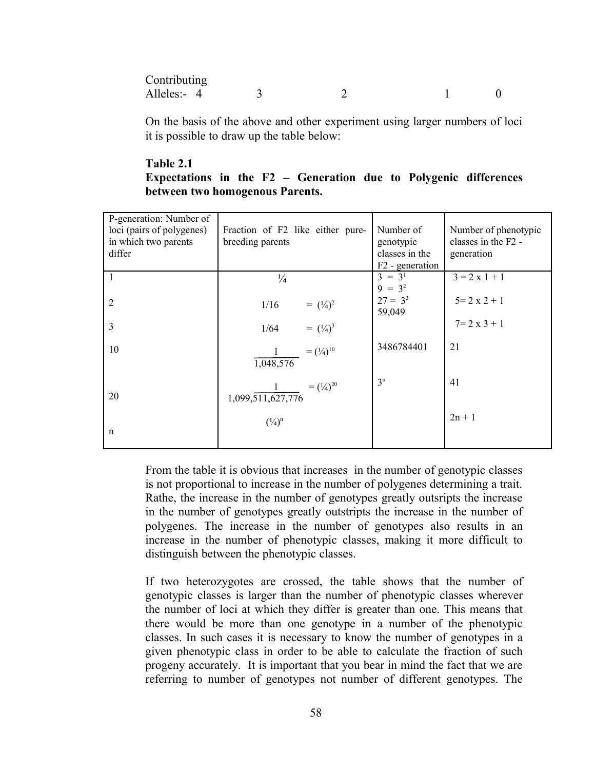| Contributing  |  |  |
|---------------|--|--|
| Alleles: $-4$ |  |  |

On the basis of the above and other experiment using larger numbers of loci it is possible to draw up the table below:

#### **Table 2.1**

| Expectations in the $F2 -$ Generation due to Polygenic differences |  |  |  |  |  |  |  |  |  |
|--------------------------------------------------------------------|--|--|--|--|--|--|--|--|--|
| between two homogenous Parents.                                    |  |  |  |  |  |  |  |  |  |

| P-generation: Number of<br>loci (pairs of polygenes)<br>in which two parents<br>differ | Fraction of F2 like either pure-<br>breeding parents | Number of<br>genotypic<br>classes in the<br>F <sub>2</sub> - generation | Number of phenotypic<br>classes in the F2 -<br>generation |
|----------------------------------------------------------------------------------------|------------------------------------------------------|-------------------------------------------------------------------------|-----------------------------------------------------------|
|                                                                                        | $\frac{1}{4}$                                        | $3 = 3^1$<br>$9 = 3^2$                                                  | $3 = 2 \times 1 + 1$                                      |
| $\overline{2}$                                                                         | $=(\frac{1}{4})^2$<br>1/16                           | $27 = 3^3$<br>59,049                                                    | $5=2 \times 2+1$                                          |
| 3                                                                                      | $=(\frac{1}{4})^3$<br>1/64                           |                                                                         | $7=2 \times 3+1$                                          |
| 10                                                                                     | $=(\frac{1}{4})^{10}$<br>1,048,576                   | 3486784401                                                              | 21                                                        |
| 20                                                                                     | $=$ $\binom{1}{4}^{20}$<br>1,099,511,627,776         | $3^n$                                                                   | 41                                                        |
| n                                                                                      | $(\frac{1}{4})^n$                                    |                                                                         | $2n + 1$                                                  |

From the table it is obvious that increases in the number of genotypic classes is not proportional to increase in the number of polygenes determining a trait. Rathe, the increase in the number of genotypes greatly outsripts the increase in the number of genotypes greatly outstripts the increase in the number of polygenes. The increase in the number of genotypes also results in an increase in the number of phenotypic classes, making it more difficult to distinguish between the phenotypic classes.

If two heterozygotes are crossed, the table shows that the number of genotypic classes is larger than the number of phenotypic classes wherever the number of loci at which they differ is greater than one. This means that there would be more than one genotype in a number of the phenotypic classes. In such cases it is necessary to know the number of genotypes in a given phenotypic class in order to be able to calculate the fraction of such progeny accurately. It is important that you bear in mind the fact that we are referring to number of genotypes not number of different genotypes. The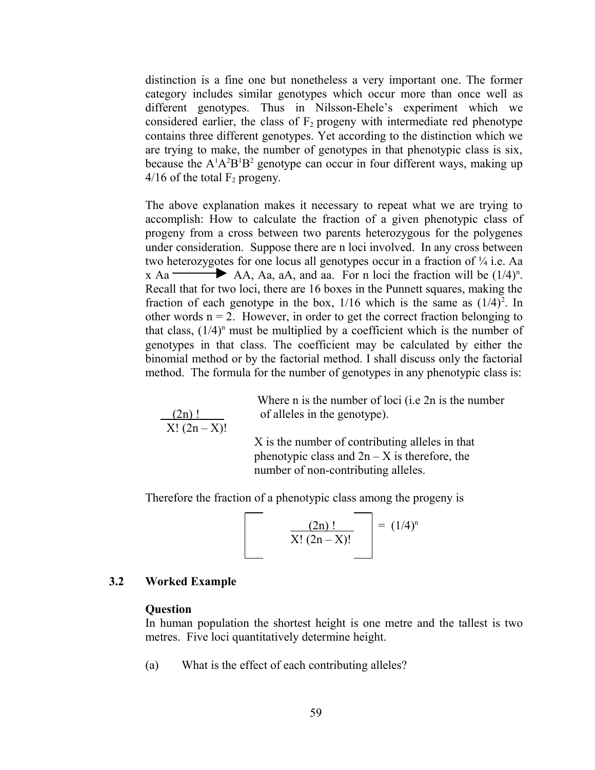distinction is a fine one but nonetheless a very important one. The former category includes similar genotypes which occur more than once well as different genotypes. Thus in Nilsson-Ehele's experiment which we considered earlier, the class of  $F<sub>2</sub>$  progeny with intermediate red phenotype contains three different genotypes. Yet according to the distinction which we are trying to make, the number of genotypes in that phenotypic class is six, because the  $A^1A^2B^1B^2$  genotype can occur in four different ways, making up  $4/16$  of the total  $F_2$  progeny.

The above explanation makes it necessary to repeat what we are trying to accomplish: How to calculate the fraction of a given phenotypic class of progeny from a cross between two parents heterozygous for the polygenes under consideration. Suppose there are n loci involved. In any cross between two heterozygotes for one locus all genotypes occur in a fraction of  $\frac{1}{4}$  i.e. Aa x Aa  $\longrightarrow$  AA, Aa, aA, and aa. For n loci the fraction will be  $(1/4)^n$ . Recall that for two loci, there are 16 boxes in the Punnett squares, making the fraction of each genotype in the box,  $1/16$  which is the same as  $(1/4)^2$ . In other words  $n = 2$ . However, in order to get the correct fraction belonging to that class,  $(1/4)^n$  must be multiplied by a coefficient which is the number of genotypes in that class. The coefficient may be calculated by either the binomial method or by the factorial method. I shall discuss only the factorial method. The formula for the number of genotypes in any phenotypic class is:

$$
\frac{(2n)!}{X!\ (2n-X)!}
$$

 Where n is the number of loci (i.e 2n is the number of alleles in the genotype).

X is the number of contributing alleles in that phenotypic class and  $2n - X$  is therefore, the number of non-contributing alleles.

Therefore the fraction of a phenotypic class among the progeny is

$$
\boxed{\frac{(2n)!}{X!(2n-X)!}} = (1/4)^n
$$

## **3.2 Worked Example**

#### **Question**

In human population the shortest height is one metre and the tallest is two metres. Five loci quantitatively determine height.

(a) What is the effect of each contributing alleles?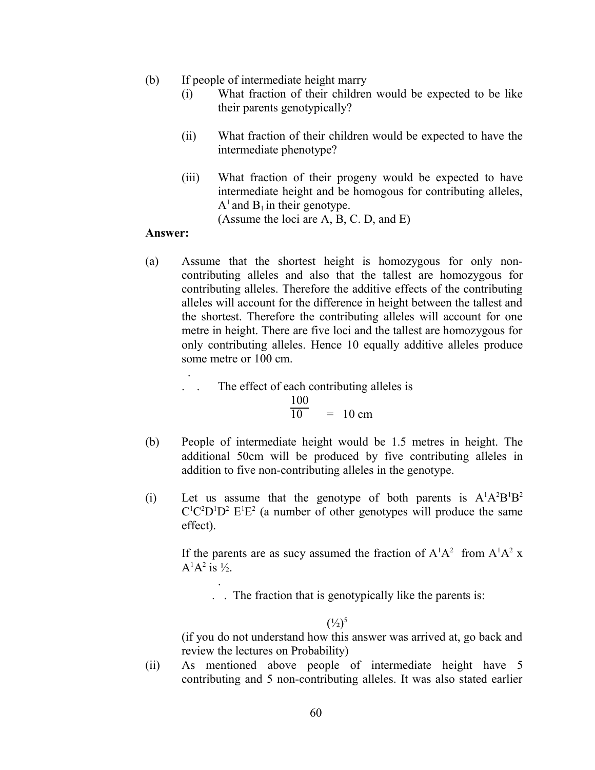- (b) If people of intermediate height marry
	- (i) What fraction of their children would be expected to be like their parents genotypically?
	- (ii) What fraction of their children would be expected to have the intermediate phenotype?
	- (iii) What fraction of their progeny would be expected to have intermediate height and be homogous for contributing alleles,  $A^1$  and  $B_1$  in their genotype. (Assume the loci are A, B, C. D, and E)

#### **Answer:**

.

.

(a) Assume that the shortest height is homozygous for only noncontributing alleles and also that the tallest are homozygous for contributing alleles. Therefore the additive effects of the contributing alleles will account for the difference in height between the tallest and the shortest. Therefore the contributing alleles will account for one metre in height. There are five loci and the tallest are homozygous for only contributing alleles. Hence 10 equally additive alleles produce some metre or 100 cm.

> The effect of each contributing alleles is 100  $\overline{10}$  = 10 cm

- (b) People of intermediate height would be 1.5 metres in height. The additional 50cm will be produced by five contributing alleles in addition to five non-contributing alleles in the genotype.
- (i) Let us assume that the genotype of both parents is  $A<sup>1</sup>A<sup>2</sup>B<sup>1</sup>B<sup>2</sup>$  $C^1C^2D^1D^2$  E<sup>1</sup>E<sup>2</sup> (a number of other genotypes will produce the same effect).

If the parents are as sucy assumed the fraction of  $A<sup>1</sup>A<sup>2</sup>$  from  $A<sup>1</sup>A<sup>2</sup>$  x  $A^1A^2$  is  $\frac{1}{2}$ .

. . The fraction that is genotypically like the parents is:

 $\binom{1}{2}^5$ 

 (if you do not understand how this answer was arrived at, go back and review the lectures on Probability)

(ii) As mentioned above people of intermediate height have 5 contributing and 5 non-contributing alleles. It was also stated earlier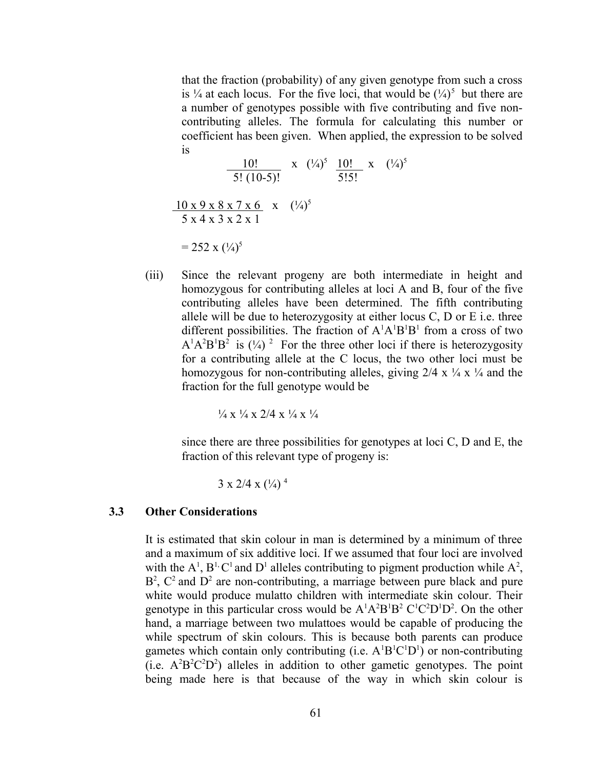that the fraction (probability) of any given genotype from such a cross is  $\frac{1}{4}$  at each locus. For the five loci, that would be  $(\frac{1}{4})^5$  but there are a number of genotypes possible with five contributing and five noncontributing alleles. The formula for calculating this number or coefficient has been given. When applied, the expression to be solved is

$$
\frac{10!}{5! (10-5)!} \times \frac{(\frac{1}{4})^5}{5!5!} \times \frac{10!}{5!5!} \times \frac{(\frac{1}{4})^5}{5 \times 4 \times 3 \times 2 \times 1}
$$

$$
= 252 \times (\frac{1}{4})^5
$$

(iii) Since the relevant progeny are both intermediate in height and homozygous for contributing alleles at loci A and B, four of the five contributing alleles have been determined. The fifth contributing allele will be due to heterozygosity at either locus C, D or E i.e. three different possibilities. The fraction of  $A<sup>1</sup>A<sup>1</sup>B<sup>1</sup>B<sup>1</sup>$  from a cross of two  $A^{1}A^{2}B^{1}B^{2}$  is  $(\frac{1}{4})^{2}$  For the three other loci if there is heterozygosity for a contributing allele at the C locus, the two other loci must be homozygous for non-contributing alleles, giving  $2/4 \times \frac{1}{4} \times \frac{1}{4}$  and the fraction for the full genotype would be

 $\frac{1}{4}$  x  $\frac{1}{4}$  x  $\frac{2}{4}$  x  $\frac{1}{4}$  x  $\frac{1}{4}$ 

since there are three possibilities for genotypes at loci C, D and E, the fraction of this relevant type of progeny is:

 $3 \times 2/4 \times (1/4)^4$ 

#### **3.3 Other Considerations**

It is estimated that skin colour in man is determined by a minimum of three and a maximum of six additive loci. If we assumed that four loci are involved with the  $A^1$ ,  $B^1$ ,  $C^1$  and  $D^1$  alleles contributing to pigment production while  $A^2$ ,  $B^2$ ,  $C^2$  and  $D^2$  are non-contributing, a marriage between pure black and pure white would produce mulatto children with intermediate skin colour. Their genotype in this particular cross would be  $A<sup>1</sup>A<sup>2</sup>B<sup>1</sup>B<sup>2</sup> C<sup>1</sup>C<sup>2</sup>D<sup>1</sup>D<sup>2</sup>$ . On the other hand, a marriage between two mulattoes would be capable of producing the while spectrum of skin colours. This is because both parents can produce gametes which contain only contributing (i.e.  $A^{1}B^{1}C^{1}D^{1}$ ) or non-contributing (i.e.  $A^2B^2C^2D^2$ ) alleles in addition to other gametic genotypes. The point being made here is that because of the way in which skin colour is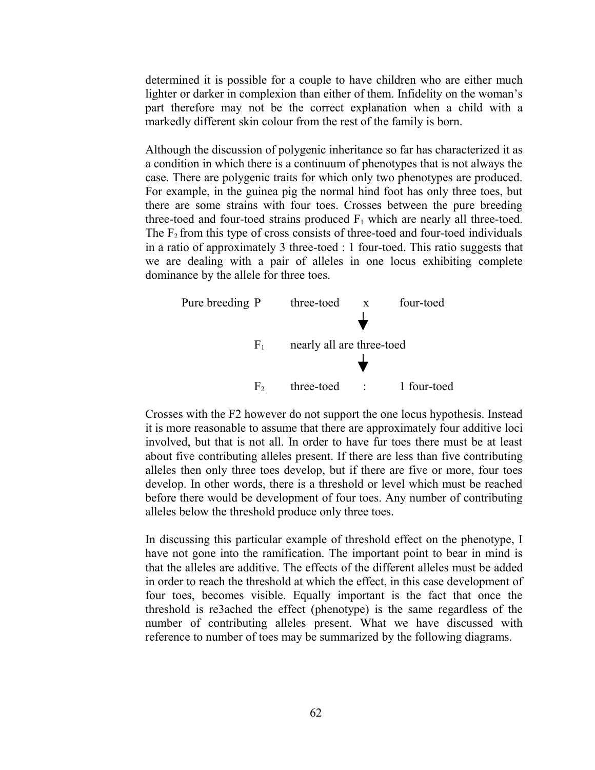determined it is possible for a couple to have children who are either much lighter or darker in complexion than either of them. Infidelity on the woman's part therefore may not be the correct explanation when a child with a markedly different skin colour from the rest of the family is born.

Although the discussion of polygenic inheritance so far has characterized it as a condition in which there is a continuum of phenotypes that is not always the case. There are polygenic traits for which only two phenotypes are produced. For example, in the guinea pig the normal hind foot has only three toes, but there are some strains with four toes. Crosses between the pure breeding three-toed and four-toed strains produced  $F_1$  which are nearly all three-toed. The  $F<sub>2</sub>$  from this type of cross consists of three-toed and four-toed individuals in a ratio of approximately 3 three-toed : 1 four-toed. This ratio suggests that we are dealing with a pair of alleles in one locus exhibiting complete dominance by the allele for three toes.



Crosses with the F2 however do not support the one locus hypothesis. Instead it is more reasonable to assume that there are approximately four additive loci involved, but that is not all. In order to have fur toes there must be at least about five contributing alleles present. If there are less than five contributing alleles then only three toes develop, but if there are five or more, four toes develop. In other words, there is a threshold or level which must be reached before there would be development of four toes. Any number of contributing alleles below the threshold produce only three toes.

In discussing this particular example of threshold effect on the phenotype, I have not gone into the ramification. The important point to bear in mind is that the alleles are additive. The effects of the different alleles must be added in order to reach the threshold at which the effect, in this case development of four toes, becomes visible. Equally important is the fact that once the threshold is re3ached the effect (phenotype) is the same regardless of the number of contributing alleles present. What we have discussed with reference to number of toes may be summarized by the following diagrams.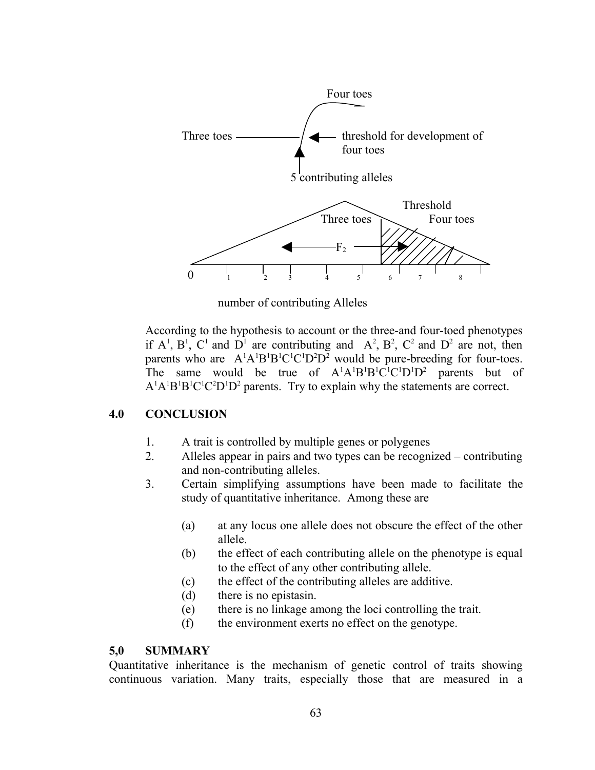

number of contributing Alleles

According to the hypothesis to account or the three-and four-toed phenotypes if  $A^1$ ,  $B^1$ ,  $C^1$  and  $D^1$  are contributing and  $A^2$ ,  $B^2$ ,  $C^2$  and  $D^2$  are not, then parents who are  $A^{1}A^{1}B^{1}B^{1}C^{1}C^{1}D^{2}D^{2}$  would be pure-breeding for four-toes. The same would be true of  $A^1A^1B^1B^1C^1C^1D^1D^2$  parents but of  $A^1A^1B^1B^1C^1C^2D^1D^2$  parents. Try to explain why the statements are correct.

#### **4.0 CONCLUSION**

- 1. A trait is controlled by multiple genes or polygenes
- 2. Alleles appear in pairs and two types can be recognized contributing and non-contributing alleles.
- 3. Certain simplifying assumptions have been made to facilitate the study of quantitative inheritance. Among these are
	- (a) at any locus one allele does not obscure the effect of the other allele.
	- (b) the effect of each contributing allele on the phenotype is equal to the effect of any other contributing allele.
	- (c) the effect of the contributing alleles are additive.
	- (d) there is no epistasin.
	- (e) there is no linkage among the loci controlling the trait.
	- (f) the environment exerts no effect on the genotype.

#### **5,0 SUMMARY**

Quantitative inheritance is the mechanism of genetic control of traits showing continuous variation. Many traits, especially those that are measured in a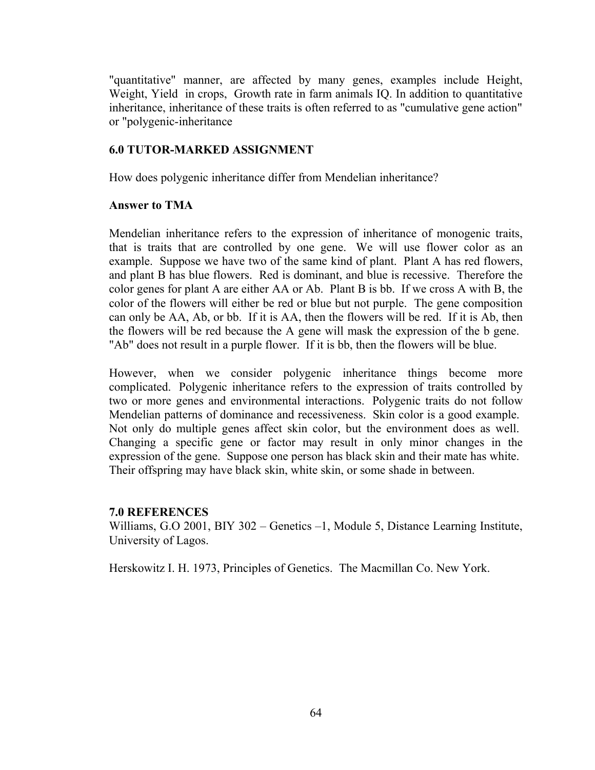"quantitative" manner, are affected by many genes, examples include Height, Weight, Yield in crops, Growth rate in farm animals IQ. In addition to quantitative inheritance, inheritance of these traits is often referred to as "cumulative gene action" or "polygenic-inheritance

#### **6.0 TUTOR-MARKED ASSIGNMENT**

How does polygenic inheritance differ from Mendelian inheritance?

#### **Answer to TMA**

Mendelian inheritance refers to the expression of inheritance of monogenic traits, that is traits that are controlled by one gene. We will use flower color as an example. Suppose we have two of the same kind of plant. Plant A has red flowers, and plant B has blue flowers. Red is dominant, and blue is recessive. Therefore the color genes for plant A are either AA or Ab. Plant B is bb. If we cross A with B, the color of the flowers will either be red or blue but not purple. The gene composition can only be AA, Ab, or bb. If it is AA, then the flowers will be red. If it is Ab, then the flowers will be red because the A gene will mask the expression of the b gene. "Ab" does not result in a purple flower. If it is bb, then the flowers will be blue.

However, when we consider polygenic inheritance things become more complicated. Polygenic inheritance refers to the expression of traits controlled by two or more genes and environmental interactions. Polygenic traits do not follow Mendelian patterns of dominance and recessiveness. Skin color is a good example. Not only do multiple genes affect skin color, but the environment does as well. Changing a specific gene or factor may result in only minor changes in the expression of the gene. Suppose one person has black skin and their mate has white. Their offspring may have black skin, white skin, or some shade in between.

#### **7.0 REFERENCES**

Williams, G.O 2001, BIY 302 – Genetics –1, Module 5, Distance Learning Institute, University of Lagos.

Herskowitz I. H. 1973, Principles of Genetics. The Macmillan Co. New York.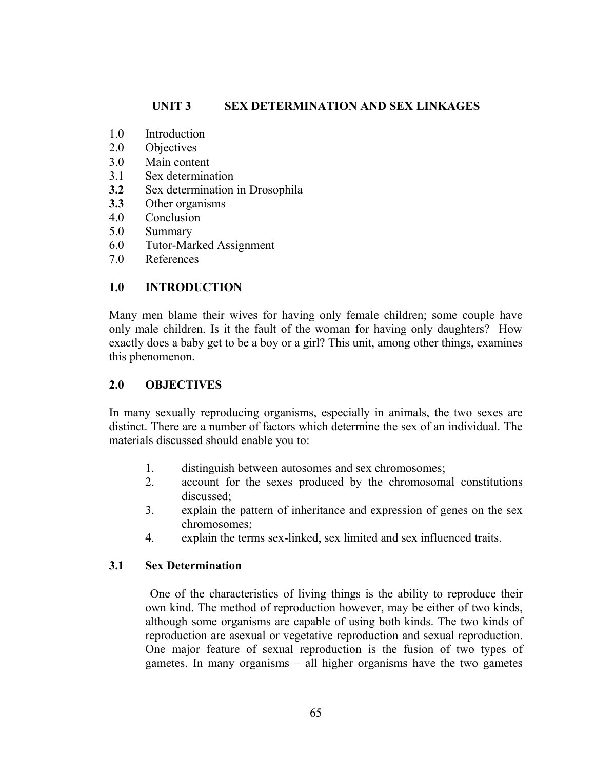### **UNIT 3 SEX DETERMINATION AND SEX LINKAGES**

- 1.0 Introduction
- 2.0 Objectives
- 3.0 Main content
- 3.1 Sex determination
- **3.2** Sex determination in Drosophila
- **3.3** Other organisms
- 4.0 Conclusion
- 5.0 Summary
- 6.0 Tutor-Marked Assignment
- 7.0 References

## **1.0 INTRODUCTION**

Many men blame their wives for having only female children; some couple have only male children. Is it the fault of the woman for having only daughters? How exactly does a baby get to be a boy or a girl? This unit, among other things, examines this phenomenon.

## **2.0 OBJECTIVES**

In many sexually reproducing organisms, especially in animals, the two sexes are distinct. There are a number of factors which determine the sex of an individual. The materials discussed should enable you to:

- 1. distinguish between autosomes and sex chromosomes;
- 2. account for the sexes produced by the chromosomal constitutions discussed;
- 3. explain the pattern of inheritance and expression of genes on the sex chromosomes;
- 4. explain the terms sex-linked, sex limited and sex influenced traits.

### **3.1 Sex Determination**

 One of the characteristics of living things is the ability to reproduce their own kind. The method of reproduction however, may be either of two kinds, although some organisms are capable of using both kinds. The two kinds of reproduction are asexual or vegetative reproduction and sexual reproduction. One major feature of sexual reproduction is the fusion of two types of gametes. In many organisms – all higher organisms have the two gametes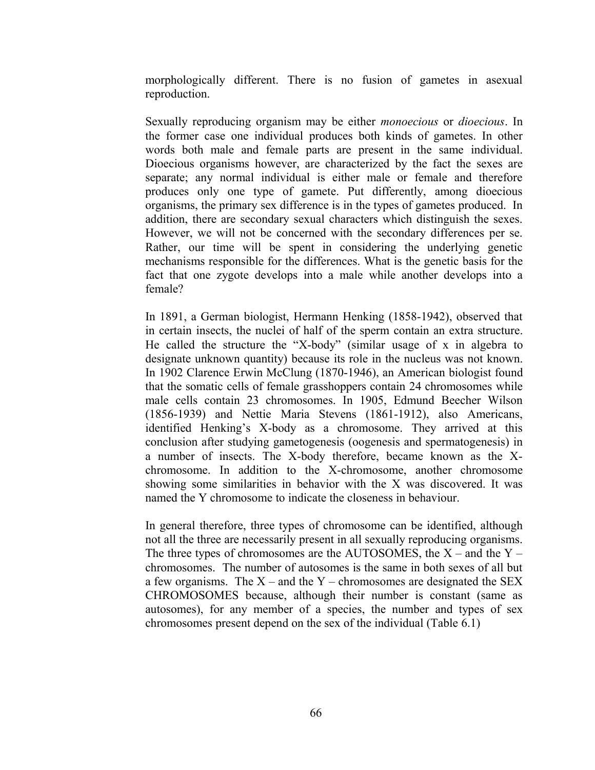morphologically different. There is no fusion of gametes in asexual reproduction.

Sexually reproducing organism may be either *monoecious* or *dioecious*. In the former case one individual produces both kinds of gametes. In other words both male and female parts are present in the same individual. Dioecious organisms however, are characterized by the fact the sexes are separate; any normal individual is either male or female and therefore produces only one type of gamete. Put differently, among dioecious organisms, the primary sex difference is in the types of gametes produced. In addition, there are secondary sexual characters which distinguish the sexes. However, we will not be concerned with the secondary differences per se. Rather, our time will be spent in considering the underlying genetic mechanisms responsible for the differences. What is the genetic basis for the fact that one zygote develops into a male while another develops into a female?

In 1891, a German biologist, Hermann Henking (1858-1942), observed that in certain insects, the nuclei of half of the sperm contain an extra structure. He called the structure the "X-body" (similar usage of x in algebra to designate unknown quantity) because its role in the nucleus was not known. In 1902 Clarence Erwin McClung (1870-1946), an American biologist found that the somatic cells of female grasshoppers contain 24 chromosomes while male cells contain 23 chromosomes. In 1905, Edmund Beecher Wilson (1856-1939) and Nettie Maria Stevens (1861-1912), also Americans, identified Henking's X-body as a chromosome. They arrived at this conclusion after studying gametogenesis (oogenesis and spermatogenesis) in a number of insects. The X-body therefore, became known as the Xchromosome. In addition to the X-chromosome, another chromosome showing some similarities in behavior with the X was discovered. It was named the Y chromosome to indicate the closeness in behaviour.

In general therefore, three types of chromosome can be identified, although not all the three are necessarily present in all sexually reproducing organisms. The three types of chromosomes are the AUTOSOMES, the  $X$  – and the Y – chromosomes. The number of autosomes is the same in both sexes of all but a few organisms. The  $X$  – and the Y – chromosomes are designated the SEX CHROMOSOMES because, although their number is constant (same as autosomes), for any member of a species, the number and types of sex chromosomes present depend on the sex of the individual (Table 6.1)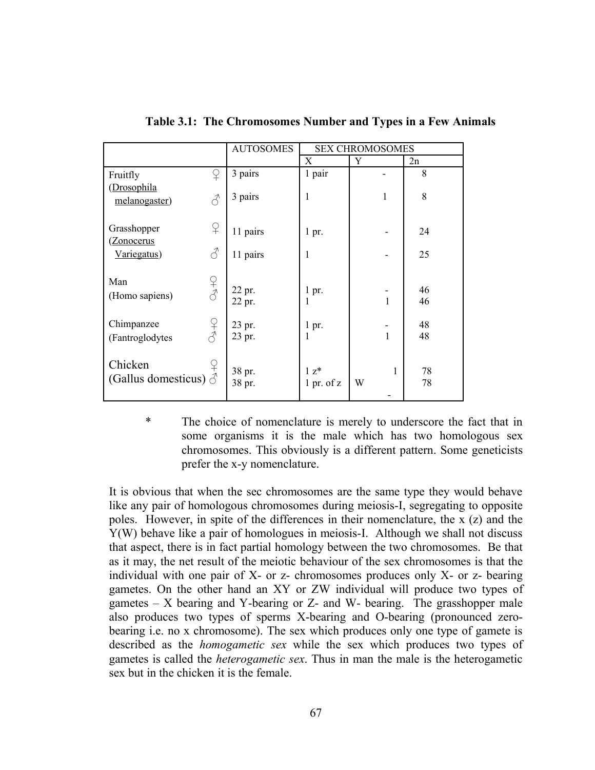|                                                         |               | <b>AUTOSOMES</b> | <b>SEX CHROMOSOMES</b>          |   |          |  |
|---------------------------------------------------------|---------------|------------------|---------------------------------|---|----------|--|
|                                                         |               |                  | Χ                               | Y | 2n       |  |
| Fruitfly                                                |               | 3 pairs          | 1 pair                          |   | 8        |  |
| (Drosophila<br>melanogaster)                            | $\mathcal{L}$ | 3 pairs          | 1                               | 1 | 8        |  |
| Grasshopper<br>(Zonocerus                               | ♀             | 11 pairs         | $1 \text{ pr.}$                 |   | 24       |  |
| Variegatus)                                             | 3             | 11 pairs         | 1                               |   | 25       |  |
| Man<br>(Homo sapiens)                                   | 248           | 22 pr.<br>22 pr. | $1 \text{ pr.}$<br>1            | 1 | 46<br>46 |  |
| Chimpanzee<br>(Fantroglodytes                           | 24            | 23 pr.<br>23 pr. | $1 \text{ pr.}$<br>1            | 1 | 48<br>48 |  |
| Chicken<br>(Gallus domesticus) $\vec{\circlearrowleft}$ |               | 38 pr.<br>38 pr. | $1z^*$<br>$1 \text{ pr. of } z$ | W | 78<br>78 |  |

**Table 3.1: The Chromosomes Number and Types in a Few Animals**

\* The choice of nomenclature is merely to underscore the fact that in some organisms it is the male which has two homologous sex chromosomes. This obviously is a different pattern. Some geneticists prefer the x-y nomenclature.

It is obvious that when the sec chromosomes are the same type they would behave like any pair of homologous chromosomes during meiosis-I, segregating to opposite poles. However, in spite of the differences in their nomenclature, the  $x(z)$  and the Y(W) behave like a pair of homologues in meiosis-I. Although we shall not discuss that aspect, there is in fact partial homology between the two chromosomes. Be that as it may, the net result of the meiotic behaviour of the sex chromosomes is that the individual with one pair of X- or z- chromosomes produces only X- or z- bearing gametes. On the other hand an XY or ZW individual will produce two types of gametes  $- X$  bearing and Y-bearing or  $Z$ - and W- bearing. The grasshopper male also produces two types of sperms X-bearing and O-bearing (pronounced zerobearing i.e. no x chromosome). The sex which produces only one type of gamete is described as the *homogametic sex* while the sex which produces two types of gametes is called the *heterogametic sex*. Thus in man the male is the heterogametic sex but in the chicken it is the female.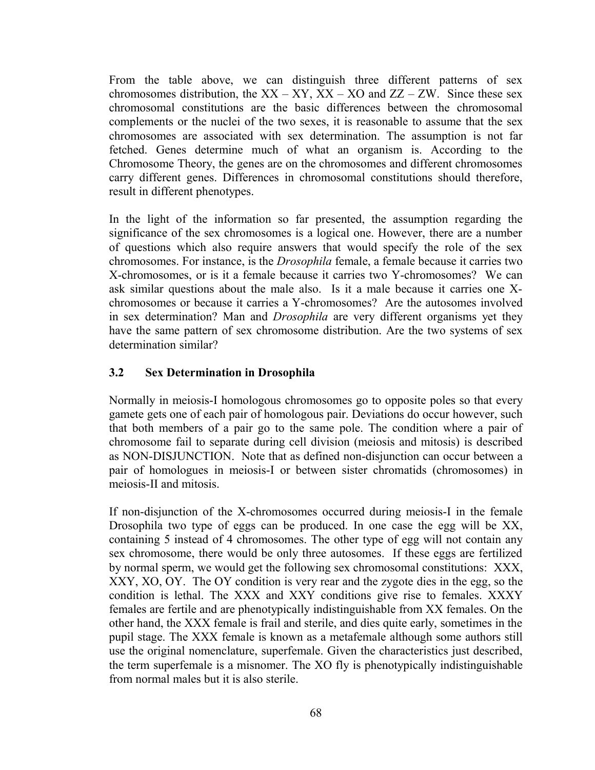From the table above, we can distinguish three different patterns of sex chromosomes distribution, the  $XX - XY$ ,  $XX - XO$  and  $ZZ - ZW$ . Since these sex chromosomal constitutions are the basic differences between the chromosomal complements or the nuclei of the two sexes, it is reasonable to assume that the sex chromosomes are associated with sex determination. The assumption is not far fetched. Genes determine much of what an organism is. According to the Chromosome Theory, the genes are on the chromosomes and different chromosomes carry different genes. Differences in chromosomal constitutions should therefore, result in different phenotypes.

In the light of the information so far presented, the assumption regarding the significance of the sex chromosomes is a logical one. However, there are a number of questions which also require answers that would specify the role of the sex chromosomes. For instance, is the *Drosophila* female, a female because it carries two X-chromosomes, or is it a female because it carries two Y-chromosomes? We can ask similar questions about the male also. Is it a male because it carries one Xchromosomes or because it carries a Y-chromosomes? Are the autosomes involved in sex determination? Man and *Drosophila* are very different organisms yet they have the same pattern of sex chromosome distribution. Are the two systems of sex determination similar?

### **3.2 Sex Determination in Drosophila**

Normally in meiosis-I homologous chromosomes go to opposite poles so that every gamete gets one of each pair of homologous pair. Deviations do occur however, such that both members of a pair go to the same pole. The condition where a pair of chromosome fail to separate during cell division (meiosis and mitosis) is described as NON-DISJUNCTION. Note that as defined non-disjunction can occur between a pair of homologues in meiosis-I or between sister chromatids (chromosomes) in meiosis-II and mitosis.

If non-disjunction of the X-chromosomes occurred during meiosis-I in the female Drosophila two type of eggs can be produced. In one case the egg will be XX, containing 5 instead of 4 chromosomes. The other type of egg will not contain any sex chromosome, there would be only three autosomes. If these eggs are fertilized by normal sperm, we would get the following sex chromosomal constitutions: XXX, XXY, XO, OY. The OY condition is very rear and the zygote dies in the egg, so the condition is lethal. The XXX and XXY conditions give rise to females. XXXY females are fertile and are phenotypically indistinguishable from XX females. On the other hand, the XXX female is frail and sterile, and dies quite early, sometimes in the pupil stage. The XXX female is known as a metafemale although some authors still use the original nomenclature, superfemale. Given the characteristics just described, the term superfemale is a misnomer. The XO fly is phenotypically indistinguishable from normal males but it is also sterile.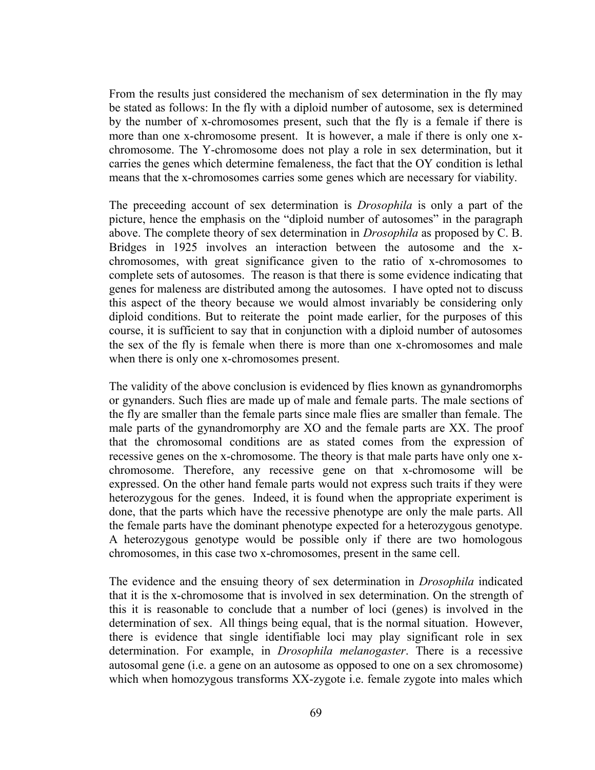From the results just considered the mechanism of sex determination in the fly may be stated as follows: In the fly with a diploid number of autosome, sex is determined by the number of x-chromosomes present, such that the fly is a female if there is more than one x-chromosome present. It is however, a male if there is only one xchromosome. The Y-chromosome does not play a role in sex determination, but it carries the genes which determine femaleness, the fact that the OY condition is lethal means that the x-chromosomes carries some genes which are necessary for viability.

The preceeding account of sex determination is *Drosophila* is only a part of the picture, hence the emphasis on the "diploid number of autosomes" in the paragraph above. The complete theory of sex determination in *Drosophila* as proposed by C. B. Bridges in 1925 involves an interaction between the autosome and the xchromosomes, with great significance given to the ratio of x-chromosomes to complete sets of autosomes. The reason is that there is some evidence indicating that genes for maleness are distributed among the autosomes. I have opted not to discuss this aspect of the theory because we would almost invariably be considering only diploid conditions. But to reiterate the point made earlier, for the purposes of this course, it is sufficient to say that in conjunction with a diploid number of autosomes the sex of the fly is female when there is more than one x-chromosomes and male when there is only one x-chromosomes present.

The validity of the above conclusion is evidenced by flies known as gynandromorphs or gynanders. Such flies are made up of male and female parts. The male sections of the fly are smaller than the female parts since male flies are smaller than female. The male parts of the gynandromorphy are XO and the female parts are XX. The proof that the chromosomal conditions are as stated comes from the expression of recessive genes on the x-chromosome. The theory is that male parts have only one xchromosome. Therefore, any recessive gene on that x-chromosome will be expressed. On the other hand female parts would not express such traits if they were heterozygous for the genes. Indeed, it is found when the appropriate experiment is done, that the parts which have the recessive phenotype are only the male parts. All the female parts have the dominant phenotype expected for a heterozygous genotype. A heterozygous genotype would be possible only if there are two homologous chromosomes, in this case two x-chromosomes, present in the same cell.

The evidence and the ensuing theory of sex determination in *Drosophila* indicated that it is the x-chromosome that is involved in sex determination. On the strength of this it is reasonable to conclude that a number of loci (genes) is involved in the determination of sex. All things being equal, that is the normal situation. However, there is evidence that single identifiable loci may play significant role in sex determination. For example, in *Drosophila melanogaster*. There is a recessive autosomal gene (i.e. a gene on an autosome as opposed to one on a sex chromosome) which when homozygous transforms XX-zygote i.e. female zygote into males which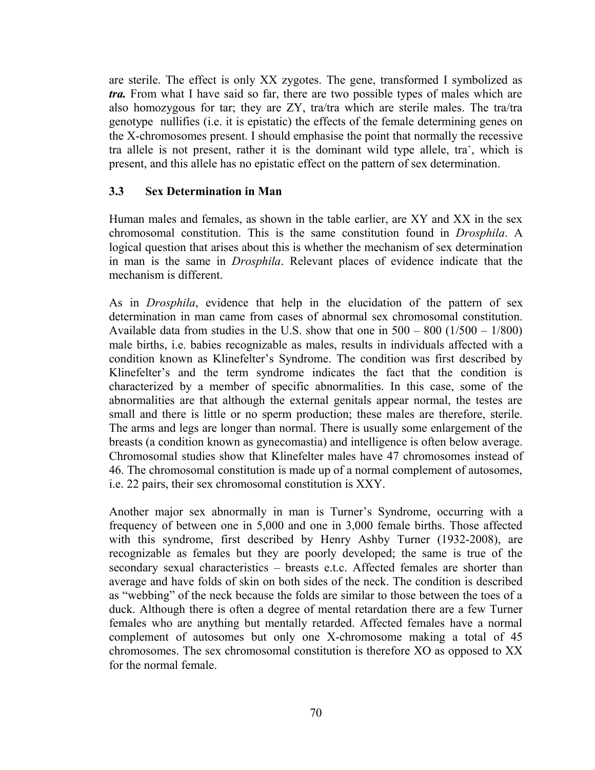are sterile. The effect is only XX zygotes. The gene, transformed I symbolized as *tra.* From what I have said so far, there are two possible types of males which are also homozygous for tar; they are ZY, tra/tra which are sterile males. The tra/tra genotype nullifies (i.e. it is epistatic) the effects of the female determining genes on the X-chromosomes present. I should emphasise the point that normally the recessive tra allele is not present, rather it is the dominant wild type allele, tra<sup>+</sup>, which is present, and this allele has no epistatic effect on the pattern of sex determination.

#### **3.3 Sex Determination in Man**

Human males and females, as shown in the table earlier, are XY and XX in the sex chromosomal constitution. This is the same constitution found in *Drosphila*. A logical question that arises about this is whether the mechanism of sex determination in man is the same in *Drosphila*. Relevant places of evidence indicate that the mechanism is different.

As in *Drosphila*, evidence that help in the elucidation of the pattern of sex determination in man came from cases of abnormal sex chromosomal constitution. Available data from studies in the U.S. show that one in  $500 - 800$  ( $1/500 - 1/800$ ) male births, i.e. babies recognizable as males, results in individuals affected with a condition known as Klinefelter's Syndrome. The condition was first described by Klinefelter's and the term syndrome indicates the fact that the condition is characterized by a member of specific abnormalities. In this case, some of the abnormalities are that although the external genitals appear normal, the testes are small and there is little or no sperm production; these males are therefore, sterile. The arms and legs are longer than normal. There is usually some enlargement of the breasts (a condition known as gynecomastia) and intelligence is often below average. Chromosomal studies show that Klinefelter males have 47 chromosomes instead of 46. The chromosomal constitution is made up of a normal complement of autosomes, i.e. 22 pairs, their sex chromosomal constitution is XXY.

Another major sex abnormally in man is Turner's Syndrome, occurring with a frequency of between one in 5,000 and one in 3,000 female births. Those affected with this syndrome, first described by [Henry Ashby Turner](http://en.wikipedia.org/wiki/Henry_Turner_(endocrinologist)) (1932-2008), are recognizable as females but they are poorly developed; the same is true of the secondary sexual characteristics – breasts e.t.c. Affected females are shorter than average and have folds of skin on both sides of the neck. The condition is described as "webbing" of the neck because the folds are similar to those between the toes of a duck. Although there is often a degree of mental retardation there are a few Turner females who are anything but mentally retarded. Affected females have a normal complement of autosomes but only one X-chromosome making a total of 45 chromosomes. The sex chromosomal constitution is therefore XO as opposed to XX for the normal female.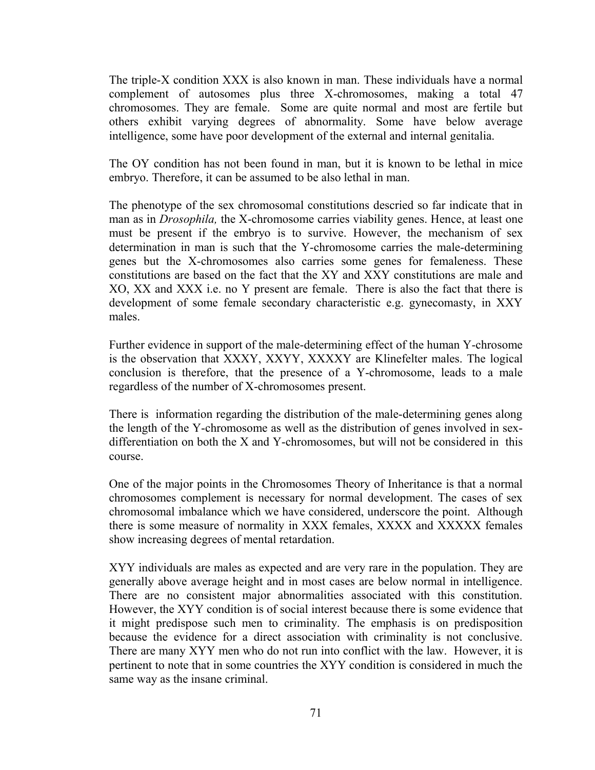The triple-X condition XXX is also known in man. These individuals have a normal complement of autosomes plus three X-chromosomes, making a total 47 chromosomes. They are female. Some are quite normal and most are fertile but others exhibit varying degrees of abnormality. Some have below average intelligence, some have poor development of the external and internal genitalia.

The OY condition has not been found in man, but it is known to be lethal in mice embryo. Therefore, it can be assumed to be also lethal in man.

The phenotype of the sex chromosomal constitutions descried so far indicate that in man as in *Drosophila,* the X-chromosome carries viability genes. Hence, at least one must be present if the embryo is to survive. However, the mechanism of sex determination in man is such that the Y-chromosome carries the male-determining genes but the X-chromosomes also carries some genes for femaleness. These constitutions are based on the fact that the XY and XXY constitutions are male and XO, XX and XXX i.e. no Y present are female. There is also the fact that there is development of some female secondary characteristic e.g. gynecomasty, in XXY males.

Further evidence in support of the male-determining effect of the human Y-chrosome is the observation that XXXY, XXYY, XXXXY are Klinefelter males. The logical conclusion is therefore, that the presence of a Y-chromosome, leads to a male regardless of the number of X-chromosomes present.

There is information regarding the distribution of the male-determining genes along the length of the Y-chromosome as well as the distribution of genes involved in sexdifferentiation on both the X and Y-chromosomes, but will not be considered in this course.

One of the major points in the Chromosomes Theory of Inheritance is that a normal chromosomes complement is necessary for normal development. The cases of sex chromosomal imbalance which we have considered, underscore the point. Although there is some measure of normality in XXX females, XXXX and XXXXX females show increasing degrees of mental retardation.

XYY individuals are males as expected and are very rare in the population. They are generally above average height and in most cases are below normal in intelligence. There are no consistent major abnormalities associated with this constitution. However, the XYY condition is of social interest because there is some evidence that it might predispose such men to criminality. The emphasis is on predisposition because the evidence for a direct association with criminality is not conclusive. There are many XYY men who do not run into conflict with the law. However, it is pertinent to note that in some countries the XYY condition is considered in much the same way as the insane criminal.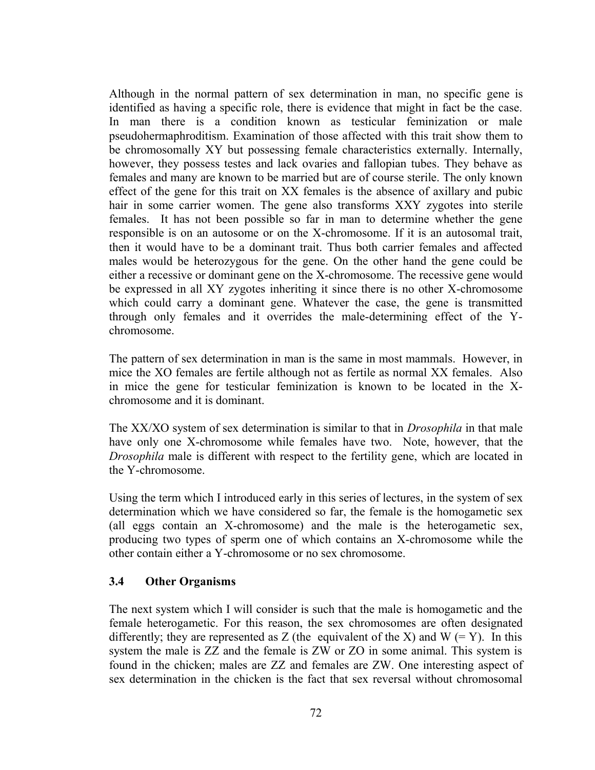Although in the normal pattern of sex determination in man, no specific gene is identified as having a specific role, there is evidence that might in fact be the case. In man there is a condition known as testicular feminization or male pseudohermaphroditism. Examination of those affected with this trait show them to be chromosomally XY but possessing female characteristics externally. Internally, however, they possess testes and lack ovaries and fallopian tubes. They behave as females and many are known to be married but are of course sterile. The only known effect of the gene for this trait on XX females is the absence of axillary and pubic hair in some carrier women. The gene also transforms XXY zygotes into sterile females. It has not been possible so far in man to determine whether the gene responsible is on an autosome or on the X-chromosome. If it is an autosomal trait, then it would have to be a dominant trait. Thus both carrier females and affected males would be heterozygous for the gene. On the other hand the gene could be either a recessive or dominant gene on the X-chromosome. The recessive gene would be expressed in all XY zygotes inheriting it since there is no other X-chromosome which could carry a dominant gene. Whatever the case, the gene is transmitted through only females and it overrides the male-determining effect of the Ychromosome.

The pattern of sex determination in man is the same in most mammals. However, in mice the XO females are fertile although not as fertile as normal XX females. Also in mice the gene for testicular feminization is known to be located in the Xchromosome and it is dominant.

The XX/XO system of sex determination is similar to that in *Drosophila* in that male have only one X-chromosome while females have two. Note, however, that the *Drosophila* male is different with respect to the fertility gene, which are located in the Y-chromosome.

Using the term which I introduced early in this series of lectures, in the system of sex determination which we have considered so far, the female is the homogametic sex (all eggs contain an X-chromosome) and the male is the heterogametic sex, producing two types of sperm one of which contains an X-chromosome while the other contain either a Y-chromosome or no sex chromosome.

#### **3.4 Other Organisms**

The next system which I will consider is such that the male is homogametic and the female heterogametic. For this reason, the sex chromosomes are often designated differently; they are represented as Z (the equivalent of the X) and  $W = Y$ ). In this system the male is ZZ and the female is ZW or ZO in some animal. This system is found in the chicken; males are ZZ and females are ZW. One interesting aspect of sex determination in the chicken is the fact that sex reversal without chromosomal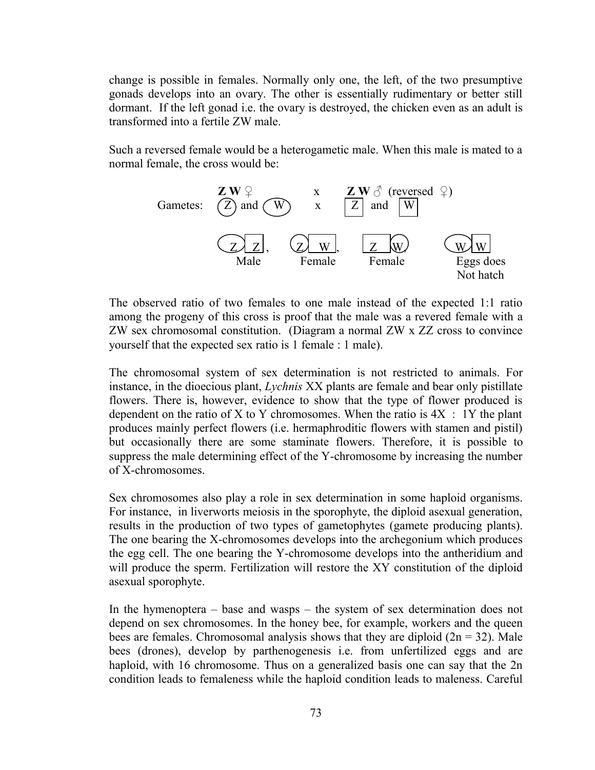change is possible in females. Normally only one, the left, of the two presumptive gonads develops into an ovary. The other is essentially rudimentary or better still dormant. If the left gonad i.e. the ovary is destroyed, the chicken even as an adult is transformed into a fertile ZW male.

Such a reversed female would be a heterogametic male. When this male is mated to a normal female, the cross would be:



The observed ratio of two females to one male instead of the expected 1:1 ratio among the progeny of this cross is proof that the male was a revered female with a ZW sex chromosomal constitution. (Diagram a normal ZW x ZZ cross to convince yourself that the expected sex ratio is 1 female : 1 male).

The chromosomal system of sex determination is not restricted to animals. For instance, in the dioecious plant, *Lychnis* XX plants are female and bear only pistillate flowers. There is, however, evidence to show that the type of flower produced is dependent on the ratio of X to Y chromosomes. When the ratio is  $4X : 1Y$  the plant produces mainly perfect flowers (i.e. hermaphroditic flowers with stamen and pistil) but occasionally there are some staminate flowers. Therefore, it is possible to suppress the male determining effect of the Y-chromosome by increasing the number of X-chromosomes.

Sex chromosomes also play a role in sex determination in some haploid organisms. For instance, in liverworts meiosis in the sporophyte, the diploid asexual generation, results in the production of two types of gametophytes (gamete producing plants). The one bearing the X-chromosomes develops into the archegonium which produces the egg cell. The one bearing the Y-chromosome develops into the antheridium and will produce the sperm. Fertilization will restore the XY constitution of the diploid asexual sporophyte.

In the hymenoptera – base and wasps – the system of sex determination does not depend on sex chromosomes. In the honey bee, for example, workers and the queen bees are females. Chromosomal analysis shows that they are diploid  $(2n = 32)$ . Male bees (drones), develop by parthenogenesis i.e. from unfertilized eggs and are haploid, with 16 chromosome. Thus on a generalized basis one can say that the 2n condition leads to femaleness while the haploid condition leads to maleness. Careful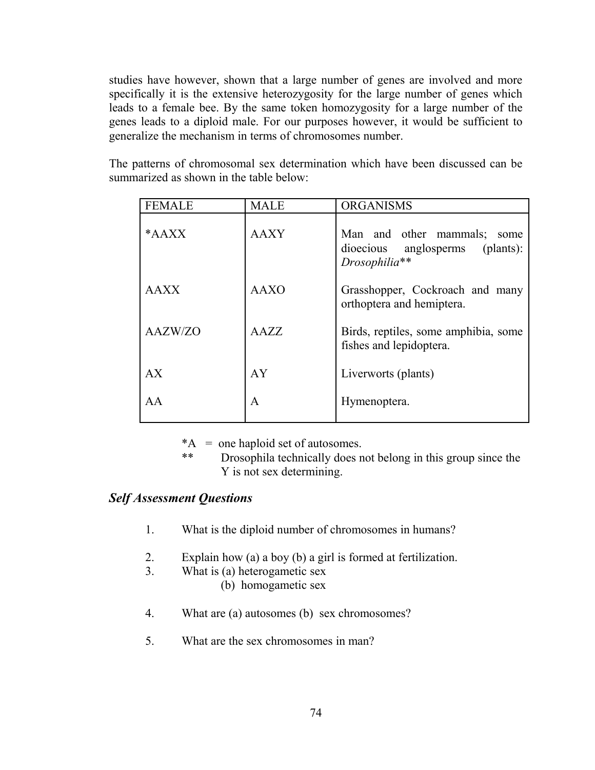studies have however, shown that a large number of genes are involved and more specifically it is the extensive heterozygosity for the large number of genes which leads to a female bee. By the same token homozygosity for a large number of the genes leads to a diploid male. For our purposes however, it would be sufficient to generalize the mechanism in terms of chromosomes number.

The patterns of chromosomal sex determination which have been discussed can be summarized as shown in the table below:

| <b>FEMALE</b> | <b>MALE</b> | <b>ORGANISMS</b>                                                                      |
|---------------|-------------|---------------------------------------------------------------------------------------|
| $*AAXX$       | <b>AAXY</b> | Man and other mammals;<br>some<br>dioecious anglosperms<br>(plants):<br>Drosophilia** |
| <b>AAXX</b>   | <b>AAXO</b> | Grasshopper, Cockroach and many<br>orthoptera and hemiptera.                          |
| AAZW/ZO       | AAZZ        | Birds, reptiles, some amphibia, some<br>fishes and lepidoptera.                       |
| AX            | AY          | Liverworts (plants)                                                                   |
| AΑ            | A           | Hymenoptera.                                                                          |

\*A = one haploid set of autosomes.

 \*\* Drosophila technically does not belong in this group since the Y is not sex determining.

# *Self Assessment Questions*

- 1. What is the diploid number of chromosomes in humans?
- 2. Explain how (a) a boy (b) a girl is formed at fertilization.
- 3. What is (a) heterogametic sex
	- (b) homogametic sex
- 4. What are (a) autosomes (b) sex chromosomes?
- 5. What are the sex chromosomes in man?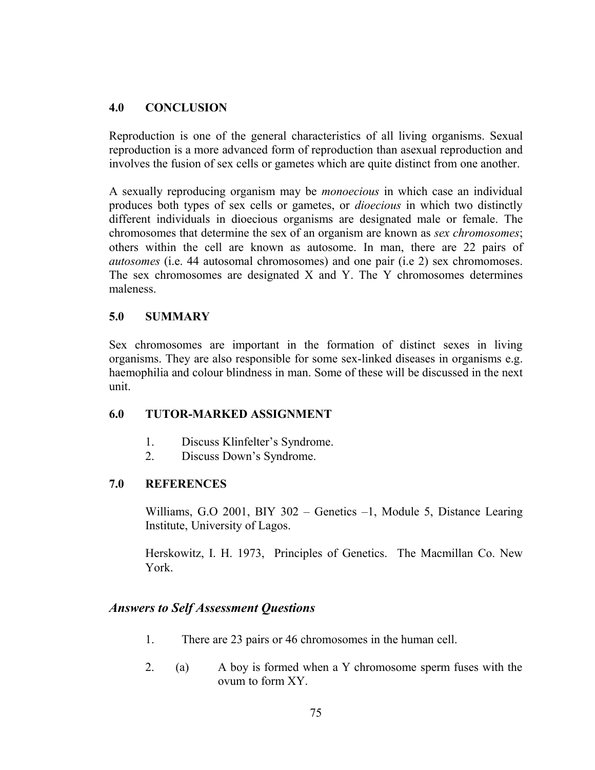# **4.0 CONCLUSION**

Reproduction is one of the general characteristics of all living organisms. Sexual reproduction is a more advanced form of reproduction than asexual reproduction and involves the fusion of sex cells or gametes which are quite distinct from one another.

A sexually reproducing organism may be *monoecious* in which case an individual produces both types of sex cells or gametes, or *dioecious* in which two distinctly different individuals in dioecious organisms are designated male or female. The chromosomes that determine the sex of an organism are known as *sex chromosomes*; others within the cell are known as autosome. In man, there are 22 pairs of *autosomes* (i.e. 44 autosomal chromosomes) and one pair (i.e 2) sex chromomoses. The sex chromosomes are designated X and Y. The Y chromosomes determines maleness.

# **5.0 SUMMARY**

Sex chromosomes are important in the formation of distinct sexes in living organisms. They are also responsible for some sex-linked diseases in organisms e.g. haemophilia and colour blindness in man. Some of these will be discussed in the next unit.

# **6.0 TUTOR-MARKED ASSIGNMENT**

- 1. Discuss Klinfelter's Syndrome.
- 2. Discuss Down's Syndrome.

# **7.0 REFERENCES**

Williams, G.O 2001, BIY 302 – Genetics –1, Module 5, Distance Learing Institute, University of Lagos.

Herskowitz, I. H. 1973, Principles of Genetics. The Macmillan Co. New York.

# *Answers to Self Assessment Questions*

- 1. There are 23 pairs or 46 chromosomes in the human cell.
- 2. (a) A boy is formed when a Y chromosome sperm fuses with the ovum to form XY.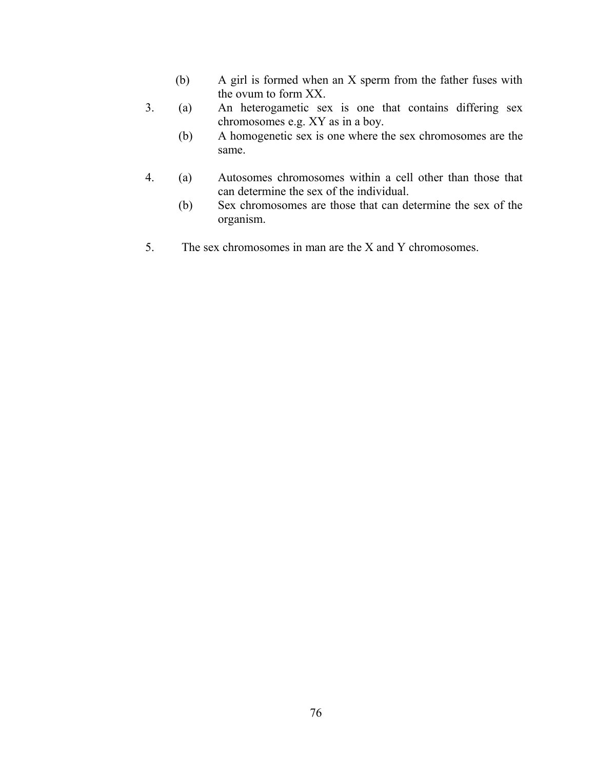- (b) A girl is formed when an X sperm from the father fuses with the ovum to form XX.
- 3. (a) An heterogametic sex is one that contains differing sex chromosomes e.g. XY as in a boy.
	- (b) A homogenetic sex is one where the sex chromosomes are the same.
- 4. (a) Autosomes chromosomes within a cell other than those that can determine the sex of the individual.
	- (b) Sex chromosomes are those that can determine the sex of the organism.
- 5. The sex chromosomes in man are the X and Y chromosomes.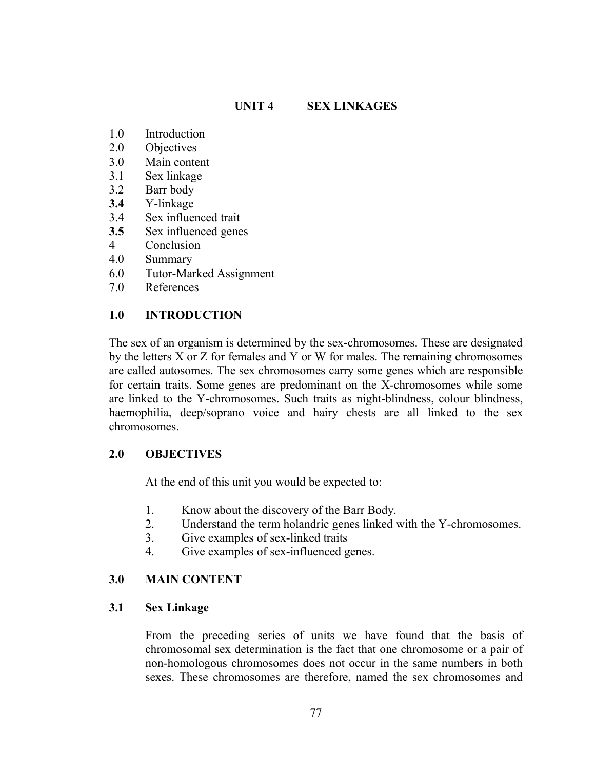#### **UNIT 4 SEX LINKAGES**

- 1.0 Introduction
- 2.0 Objectives
- 3.0 Main content
- 3.1 Sex linkage
- 3.2 Barr body
- **3.4** Y-linkage
- 3.4 Sex influenced trait
- **3.5** Sex influenced genes
- 4 Conclusion
- 4.0 Summary
- 6.0 Tutor-Marked Assignment
- 7.0 References

# **1.0 INTRODUCTION**

The sex of an organism is determined by the sex-chromosomes. These are designated by the letters X or Z for females and Y or W for males. The remaining chromosomes are called autosomes. The sex chromosomes carry some genes which are responsible for certain traits. Some genes are predominant on the X-chromosomes while some are linked to the Y-chromosomes. Such traits as night-blindness, colour blindness, haemophilia, deep/soprano voice and hairy chests are all linked to the sex chromosomes.

# **2.0 OBJECTIVES**

At the end of this unit you would be expected to:

- 1. Know about the discovery of the Barr Body.
- 2. Understand the term holandric genes linked with the Y-chromosomes.
- 3. Give examples of sex-linked traits
- 4. Give examples of sex-influenced genes.

# **3.0 MAIN CONTENT**

#### **3.1 Sex Linkage**

From the preceding series of units we have found that the basis of chromosomal sex determination is the fact that one chromosome or a pair of non-homologous chromosomes does not occur in the same numbers in both sexes. These chromosomes are therefore, named the sex chromosomes and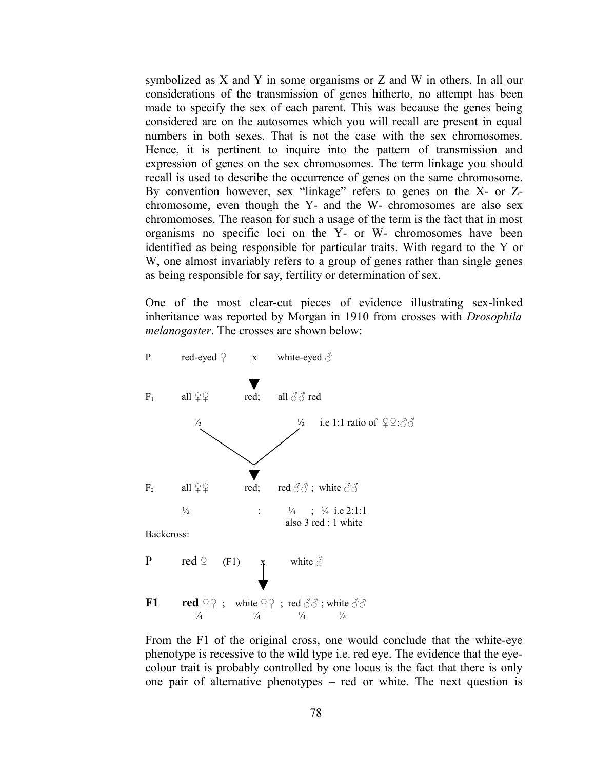symbolized as X and Y in some organisms or Z and W in others. In all our considerations of the transmission of genes hitherto, no attempt has been made to specify the sex of each parent. This was because the genes being considered are on the autosomes which you will recall are present in equal numbers in both sexes. That is not the case with the sex chromosomes. Hence, it is pertinent to inquire into the pattern of transmission and expression of genes on the sex chromosomes. The term linkage you should recall is used to describe the occurrence of genes on the same chromosome. By convention however, sex "linkage" refers to genes on the X- or Zchromosome, even though the Y- and the W- chromosomes are also sex chromomoses. The reason for such a usage of the term is the fact that in most organisms no specific loci on the Y- or W- chromosomes have been identified as being responsible for particular traits. With regard to the Y or W, one almost invariably refers to a group of genes rather than single genes as being responsible for say, fertility or determination of sex.

One of the most clear-cut pieces of evidence illustrating sex-linked inheritance was reported by Morgan in 1910 from crosses with *Drosophila melanogaster*. The crosses are shown below:



From the F1 of the original cross, one would conclude that the white-eye phenotype is recessive to the wild type i.e. red eye. The evidence that the eyecolour trait is probably controlled by one locus is the fact that there is only one pair of alternative phenotypes – red or white. The next question is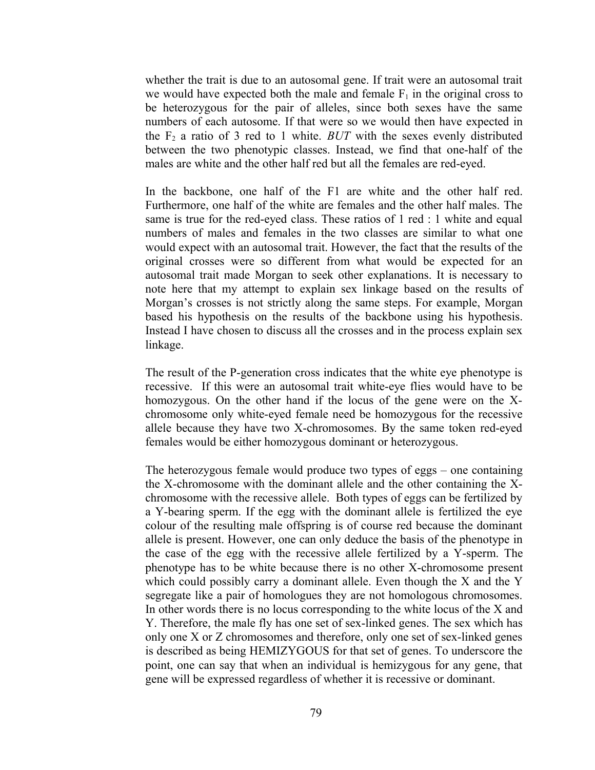whether the trait is due to an autosomal gene. If trait were an autosomal trait we would have expected both the male and female  $F_1$  in the original cross to be heterozygous for the pair of alleles, since both sexes have the same numbers of each autosome. If that were so we would then have expected in the  $F<sub>2</sub>$  a ratio of 3 red to 1 white. *BUT* with the sexes evenly distributed between the two phenotypic classes. Instead, we find that one-half of the males are white and the other half red but all the females are red-eyed.

In the backbone, one half of the F1 are white and the other half red. Furthermore, one half of the white are females and the other half males. The same is true for the red-eyed class. These ratios of 1 red : 1 white and equal numbers of males and females in the two classes are similar to what one would expect with an autosomal trait. However, the fact that the results of the original crosses were so different from what would be expected for an autosomal trait made Morgan to seek other explanations. It is necessary to note here that my attempt to explain sex linkage based on the results of Morgan's crosses is not strictly along the same steps. For example, Morgan based his hypothesis on the results of the backbone using his hypothesis. Instead I have chosen to discuss all the crosses and in the process explain sex linkage.

The result of the P-generation cross indicates that the white eye phenotype is recessive. If this were an autosomal trait white-eye flies would have to be homozygous. On the other hand if the locus of the gene were on the Xchromosome only white-eyed female need be homozygous for the recessive allele because they have two X-chromosomes. By the same token red-eyed females would be either homozygous dominant or heterozygous.

The heterozygous female would produce two types of eggs – one containing the X-chromosome with the dominant allele and the other containing the Xchromosome with the recessive allele. Both types of eggs can be fertilized by a Y-bearing sperm. If the egg with the dominant allele is fertilized the eye colour of the resulting male offspring is of course red because the dominant allele is present. However, one can only deduce the basis of the phenotype in the case of the egg with the recessive allele fertilized by a Y-sperm. The phenotype has to be white because there is no other X-chromosome present which could possibly carry a dominant allele. Even though the X and the Y segregate like a pair of homologues they are not homologous chromosomes. In other words there is no locus corresponding to the white locus of the X and Y. Therefore, the male fly has one set of sex-linked genes. The sex which has only one X or Z chromosomes and therefore, only one set of sex-linked genes is described as being HEMIZYGOUS for that set of genes. To underscore the point, one can say that when an individual is hemizygous for any gene, that gene will be expressed regardless of whether it is recessive or dominant.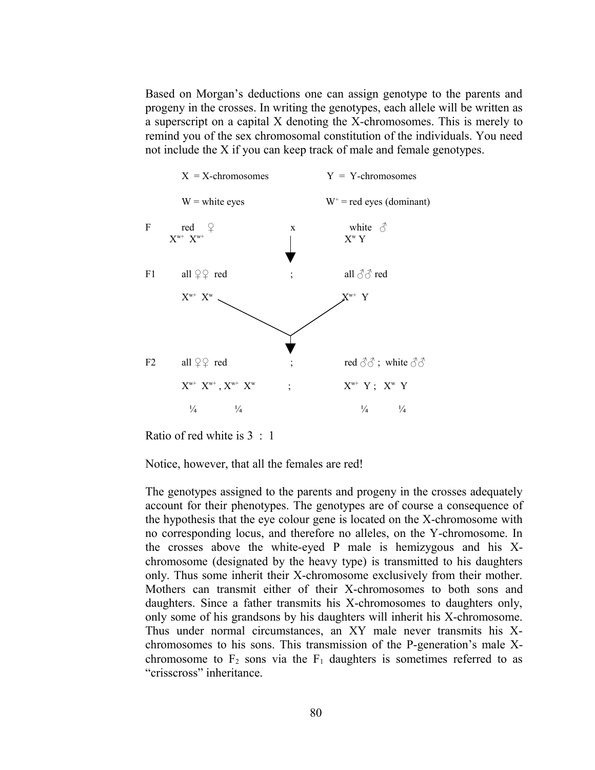Based on Morgan's deductions one can assign genotype to the parents and progeny in the crosses. In writing the genotypes, each allele will be written as a superscript on a capital X denoting the X-chromosomes. This is merely to remind you of the sex chromosomal constitution of the individuals. You need not include the X if you can keep track of male and female genotypes.



Ratio of red white is  $3 \cdot 1$ 

Notice, however, that all the females are red!

The genotypes assigned to the parents and progeny in the crosses adequately account for their phenotypes. The genotypes are of course a consequence of the hypothesis that the eye colour gene is located on the X-chromosome with no corresponding locus, and therefore no alleles, on the Y-chromosome. In the crosses above the white-eyed P male is hemizygous and his Xchromosome (designated by the heavy type) is transmitted to his daughters only. Thus some inherit their X-chromosome exclusively from their mother. Mothers can transmit either of their X-chromosomes to both sons and daughters. Since a father transmits his X-chromosomes to daughters only, only some of his grandsons by his daughters will inherit his X-chromosome. Thus under normal circumstances, an XY male never transmits his Xchromosomes to his sons. This transmission of the P-generation's male Xchromosome to  $F_2$  sons via the  $F_1$  daughters is sometimes referred to as "crisscross" inheritance.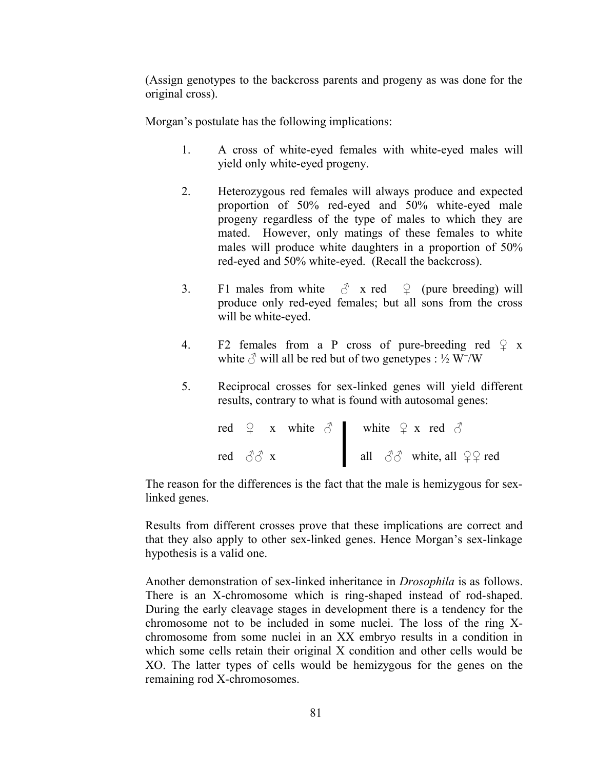(Assign genotypes to the backcross parents and progeny as was done for the original cross).

Morgan's postulate has the following implications:

- 1. A cross of white-eyed females with white-eyed males will yield only white-eyed progeny.
- 2. Heterozygous red females will always produce and expected proportion of 50% red-eyed and 50% white-eyed male progeny regardless of the type of males to which they are mated. However, only matings of these females to white males will produce white daughters in a proportion of 50% red-eyed and 50% white-eyed. (Recall the backcross).
- 3. F1 males from white  $\beta$  x red  $\varphi$  (pure breeding) will produce only red-eyed females; but all sons from the cross will be white-eyed.
- 4. F2 females from a P cross of pure-breeding red  $\frac{1}{2}$  x white  $\Diamond$  will all be red but of two genetypes :  $\frac{1}{2}$  W<sup>+</sup>/W
- 5. Reciprocal crosses for sex-linked genes will yield different results, contrary to what is found with autosomal genes:

red  $\varphi$  x white  $\varphi$  white  $\varphi$  x red  $\varphi$ red  $\partial \partial x$  all  $\partial \partial$  white, all  $\varphi$  red

The reason for the differences is the fact that the male is hemizygous for sexlinked genes.

Results from different crosses prove that these implications are correct and that they also apply to other sex-linked genes. Hence Morgan's sex-linkage hypothesis is a valid one.

Another demonstration of sex-linked inheritance in *Drosophila* is as follows. There is an X-chromosome which is ring-shaped instead of rod-shaped. During the early cleavage stages in development there is a tendency for the chromosome not to be included in some nuclei. The loss of the ring Xchromosome from some nuclei in an XX embryo results in a condition in which some cells retain their original X condition and other cells would be XO. The latter types of cells would be hemizygous for the genes on the remaining rod X-chromosomes.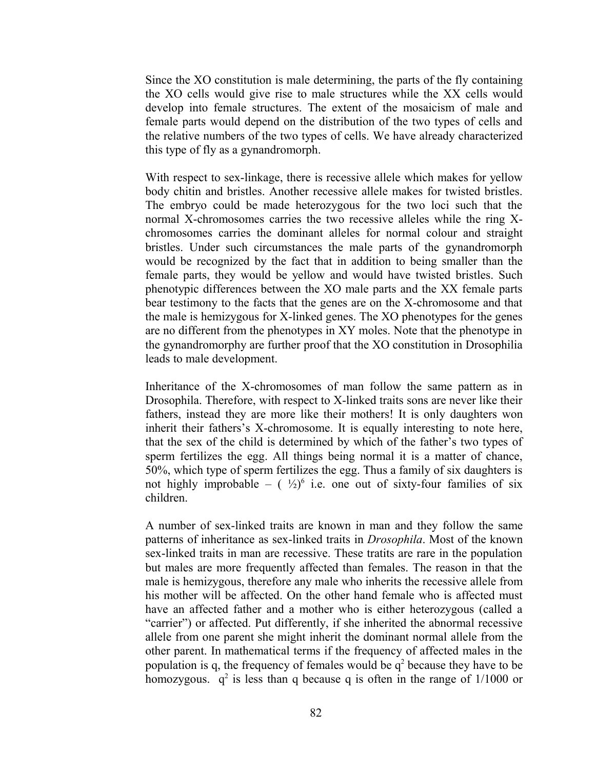Since the XO constitution is male determining, the parts of the fly containing the XO cells would give rise to male structures while the XX cells would develop into female structures. The extent of the mosaicism of male and female parts would depend on the distribution of the two types of cells and the relative numbers of the two types of cells. We have already characterized this type of fly as a gynandromorph.

With respect to sex-linkage, there is recessive allele which makes for yellow body chitin and bristles. Another recessive allele makes for twisted bristles. The embryo could be made heterozygous for the two loci such that the normal X-chromosomes carries the two recessive alleles while the ring Xchromosomes carries the dominant alleles for normal colour and straight bristles. Under such circumstances the male parts of the gynandromorph would be recognized by the fact that in addition to being smaller than the female parts, they would be yellow and would have twisted bristles. Such phenotypic differences between the XO male parts and the XX female parts bear testimony to the facts that the genes are on the X-chromosome and that the male is hemizygous for X-linked genes. The XO phenotypes for the genes are no different from the phenotypes in XY moles. Note that the phenotype in the gynandromorphy are further proof that the XO constitution in Drosophilia leads to male development.

Inheritance of the X-chromosomes of man follow the same pattern as in Drosophila. Therefore, with respect to X-linked traits sons are never like their fathers, instead they are more like their mothers! It is only daughters won inherit their fathers's X-chromosome. It is equally interesting to note here, that the sex of the child is determined by which of the father's two types of sperm fertilizes the egg. All things being normal it is a matter of chance, 50%, which type of sperm fertilizes the egg. Thus a family of six daughters is not highly improbable  $(\frac{1}{2})^6$  i.e. one out of sixty-four families of six children.

A number of sex-linked traits are known in man and they follow the same patterns of inheritance as sex-linked traits in *Drosophila*. Most of the known sex-linked traits in man are recessive. These tratits are rare in the population but males are more frequently affected than females. The reason in that the male is hemizygous, therefore any male who inherits the recessive allele from his mother will be affected. On the other hand female who is affected must have an affected father and a mother who is either heterozygous (called a "carrier") or affected. Put differently, if she inherited the abnormal recessive allele from one parent she might inherit the dominant normal allele from the other parent. In mathematical terms if the frequency of affected males in the population is q, the frequency of females would be  $q^2$  because they have to be homozygous.  $q^2$  is less than q because q is often in the range of 1/1000 or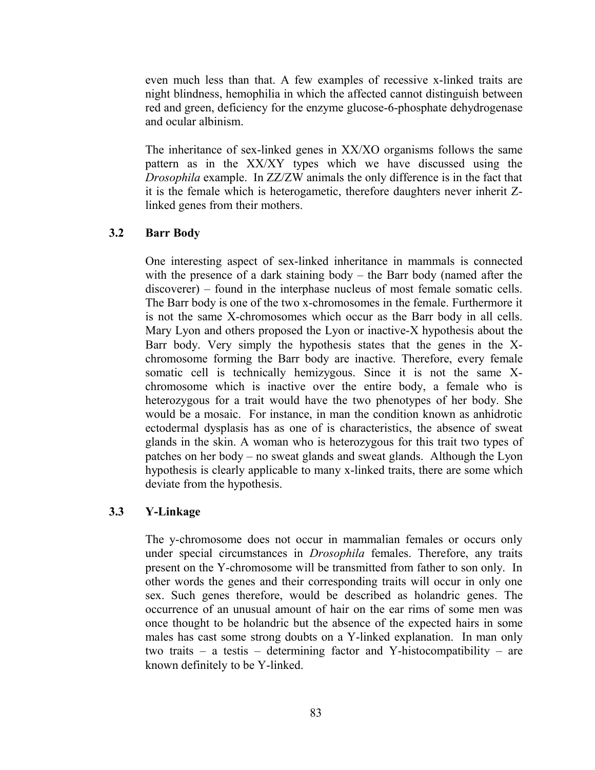even much less than that. A few examples of recessive x-linked traits are night blindness, hemophilia in which the affected cannot distinguish between red and green, deficiency for the enzyme glucose-6-phosphate dehydrogenase and ocular albinism.

The inheritance of sex-linked genes in XX/XO organisms follows the same pattern as in the XX/XY types which we have discussed using the *Drosophila* example. In ZZ/ZW animals the only difference is in the fact that it is the female which is heterogametic, therefore daughters never inherit Zlinked genes from their mothers.

#### **3.2 Barr Body**

One interesting aspect of sex-linked inheritance in mammals is connected with the presence of a dark staining body – the Barr body (named after the discoverer) – found in the interphase nucleus of most female somatic cells. The Barr body is one of the two x-chromosomes in the female. Furthermore it is not the same X-chromosomes which occur as the Barr body in all cells. Mary Lyon and others proposed the Lyon or inactive-X hypothesis about the Barr body. Very simply the hypothesis states that the genes in the Xchromosome forming the Barr body are inactive. Therefore, every female somatic cell is technically hemizygous. Since it is not the same Xchromosome which is inactive over the entire body, a female who is heterozygous for a trait would have the two phenotypes of her body. She would be a mosaic. For instance, in man the condition known as anhidrotic ectodermal dysplasis has as one of is characteristics, the absence of sweat glands in the skin. A woman who is heterozygous for this trait two types of patches on her body – no sweat glands and sweat glands. Although the Lyon hypothesis is clearly applicable to many x-linked traits, there are some which deviate from the hypothesis.

#### **3.3 Y-Linkage**

The y-chromosome does not occur in mammalian females or occurs only under special circumstances in *Drosophila* females. Therefore, any traits present on the Y-chromosome will be transmitted from father to son only. In other words the genes and their corresponding traits will occur in only one sex. Such genes therefore, would be described as holandric genes. The occurrence of an unusual amount of hair on the ear rims of some men was once thought to be holandric but the absence of the expected hairs in some males has cast some strong doubts on a Y-linked explanation. In man only two traits – a testis – determining factor and Y-histocompatibility – are known definitely to be Y-linked.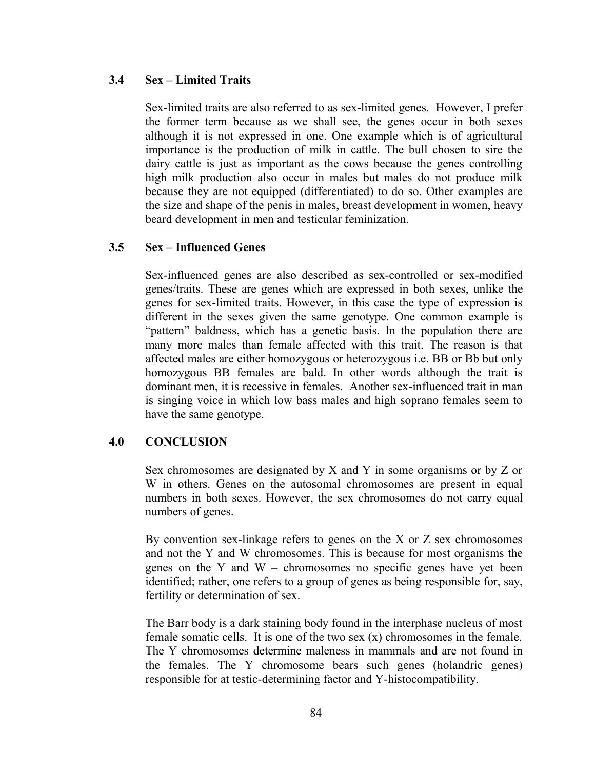# **3.4 Sex – Limited Traits**

Sex-limited traits are also referred to as sex-limited genes. However, I prefer the former term because as we shall see, the genes occur in both sexes although it is not expressed in one. One example which is of agricultural importance is the production of milk in cattle. The bull chosen to sire the dairy cattle is just as important as the cows because the genes controlling high milk production also occur in males but males do not produce milk because they are not equipped (differentiated) to do so. Other examples are the size and shape of the penis in males, breast development in women, heavy beard development in men and testicular feminization.

# **3.5 Sex – Influenced Genes**

Sex-influenced genes are also described as sex-controlled or sex-modified genes/traits. These are genes which are expressed in both sexes, unlike the genes for sex-limited traits. However, in this case the type of expression is different in the sexes given the same genotype. One common example is "pattern" baldness, which has a genetic basis. In the population there are many more males than female affected with this trait. The reason is that affected males are either homozygous or heterozygous i.e. BB or Bb but only homozygous BB females are bald. In other words although the trait is dominant men, it is recessive in females. Another sex-influenced trait in man is singing voice in which low bass males and high soprano females seem to have the same genotype.

# **4.0 CONCLUSION**

Sex chromosomes are designated by X and Y in some organisms or by Z or W in others. Genes on the autosomal chromosomes are present in equal numbers in both sexes. However, the sex chromosomes do not carry equal numbers of genes.

By convention sex-linkage refers to genes on the X or Z sex chromosomes and not the Y and W chromosomes. This is because for most organisms the genes on the Y and W – chromosomes no specific genes have yet been identified; rather, one refers to a group of genes as being responsible for, say, fertility or determination of sex.

The Barr body is a dark staining body found in the interphase nucleus of most female somatic cells. It is one of the two sex (x) chromosomes in the female. The Y chromosomes determine maleness in mammals and are not found in the females. The Y chromosome bears such genes (holandric genes) responsible for at testic-determining factor and Y-histocompatibility.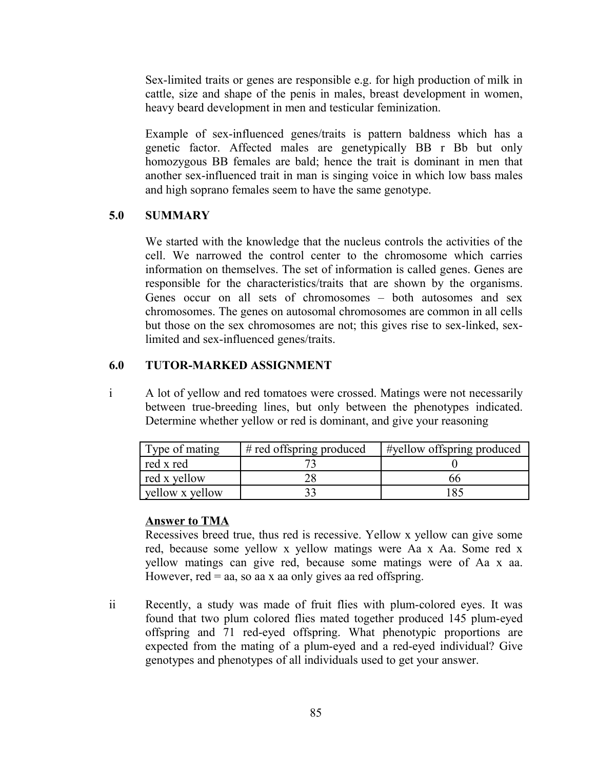Sex-limited traits or genes are responsible e.g. for high production of milk in cattle, size and shape of the penis in males, breast development in women, heavy beard development in men and testicular feminization.

Example of sex-influenced genes/traits is pattern baldness which has a genetic factor. Affected males are genetypically BB r Bb but only homozygous BB females are bald; hence the trait is dominant in men that another sex-influenced trait in man is singing voice in which low bass males and high soprano females seem to have the same genotype.

# **5.0 SUMMARY**

We started with the knowledge that the nucleus controls the activities of the cell. We narrowed the control center to the chromosome which carries information on themselves. The set of information is called genes. Genes are responsible for the characteristics/traits that are shown by the organisms. Genes occur on all sets of chromosomes – both autosomes and sex chromosomes. The genes on autosomal chromosomes are common in all cells but those on the sex chromosomes are not; this gives rise to sex-linked, sexlimited and sex-influenced genes/traits.

# **6.0 TUTOR-MARKED ASSIGNMENT**

i A lot of yellow and red tomatoes were crossed. Matings were not necessarily between true-breeding lines, but only between the phenotypes indicated. Determine whether yellow or red is dominant, and give your reasoning

| Type of mating  | $#$ red offspring produced | #yellow offspring produced |
|-----------------|----------------------------|----------------------------|
| red x red       |                            |                            |
| red x yellow    |                            | რრ                         |
| yellow x yellow |                            | 185                        |

#### **Answer to TMA**

Recessives breed true, thus red is recessive. Yellow x yellow can give some red, because some yellow x yellow matings were Aa x Aa. Some red x yellow matings can give red, because some matings were of Aa x aa. However,  $red = aa$ , so aa x aa only gives aa red offspring.

ii Recently, a study was made of fruit flies with plum-colored eyes. It was found that two plum colored flies mated together produced 145 plum-eyed offspring and 71 red-eyed offspring. What phenotypic proportions are expected from the mating of a plum-eyed and a red-eyed individual? Give genotypes and phenotypes of all individuals used to get your answer.